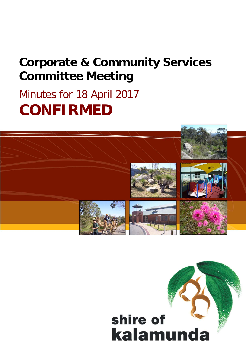# **Corporate & Community Services Committee Meeting**

# Minutes for 18 April 2017 **CONFIRMED**



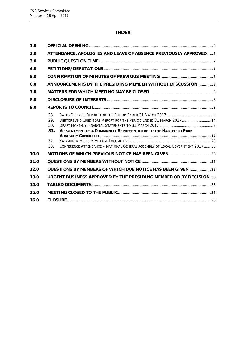# **INDEX**

| 1.0  |                                                                                                                                                                                                                                                                         |
|------|-------------------------------------------------------------------------------------------------------------------------------------------------------------------------------------------------------------------------------------------------------------------------|
| 2.0  | ATTENDANCE, APOLOGIES AND LEAVE OF ABSENCE PREVIOUSLY APPROVED  6                                                                                                                                                                                                       |
| 3.0  |                                                                                                                                                                                                                                                                         |
| 4.0  |                                                                                                                                                                                                                                                                         |
| 5.0  |                                                                                                                                                                                                                                                                         |
| 6.0  | ANNOUNCEMENTS BY THE PRESIDING MEMBER WITHOUT DISCUSSION 8                                                                                                                                                                                                              |
| 7.0  |                                                                                                                                                                                                                                                                         |
| 8.0  |                                                                                                                                                                                                                                                                         |
| 9.0  |                                                                                                                                                                                                                                                                         |
|      | 28.<br>DEBTORS AND CREDITORS REPORT FOR THE PERIOD ENDED 31 MARCH 2017  14<br>29.<br>30.<br><b>APPOINTMENT OF A COMMUNITY REPRESENTATIVE TO THE HARTFIELD PARK</b><br>31.<br>32.<br>CONFERENCE ATTENDANCE - NATIONAL GENERAL ASSEMBLY OF LOCAL GOVERNMENT 201730<br>33. |
| 10.0 |                                                                                                                                                                                                                                                                         |
| 11.0 |                                                                                                                                                                                                                                                                         |
| 12.0 | QUESTIONS BY MEMBERS OF WHICH DUE NOTICE HAS BEEN GIVEN  36                                                                                                                                                                                                             |
| 13.0 | URGENT BUSINESS APPROVED BY THE PRESIDING MEMBER OR BY DECISION.36                                                                                                                                                                                                      |
| 14.0 |                                                                                                                                                                                                                                                                         |
| 15.0 |                                                                                                                                                                                                                                                                         |
| 16.0 |                                                                                                                                                                                                                                                                         |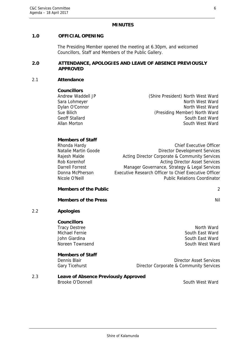#### **MINUTES**

## 0B**1.0 OFFICIAL OPENING**

The Presiding Member opened the meeting at 6.30pm, and welcomed Councillors, Staff and Members of the Public Gallery.

#### 1B**2.0 ATTENDANCE, APOLOGIES AND LEAVE OF ABSENCE PREVIOUSLY APPROVED**

#### 2.1 **Attendance**

#### **Councillors**

Andrew Waddell JP (Shire President) North West Ward Sara Lohmeyer North West Ward Dylan O'Connor North West Ward Sue Bilich (Presiding Member) North Ward Geoff Stallard South East Ward Allan Morton **South West Ward** 

#### **Members of Staff**

| Rhonda Hardy         | <b>Chief Executive Officer</b>                        |
|----------------------|-------------------------------------------------------|
| Natalie Martin Goode | <b>Director Development Services</b>                  |
| Rajesh Malde         | Acting Director Corporate & Community Services        |
| Rob Korenhof         | <b>Acting Director Asset Services</b>                 |
| Darrell Forrest      | Manager Governance, Strategy & Legal Services         |
| Donna McPherson      | Executive Research Officer to Chief Executive Officer |
| Nicole O'Neill       | <b>Public Relations Coordinator</b>                   |
|                      |                                                       |

## **Members of the Public** 2

#### **Members of the Press** Nilla and Section 2014 and 2014 and 2014 and 2014 and 2014 and 2014 and 2014 and 2014 and 2014 and 2014 and 2014 and 2014 and 2014 and 2014 and 2014 and 2014 and 2014 and 2014 and 2014 and 2014 and 2

## 2.2 **Apologies**

#### **Councillors**

Tracy Destree North Ward Michael Fernie South East Ward John Giardina South East Ward

# **Members of Staff**

Noreen Townsend South West Ward

Dennis Blair Director Asset Services Gary Ticehurst **Director Corporate & Community Services** 

#### 2.3 **Leave of Absence Previously Approved**  Brooke O'Donnell South West Ward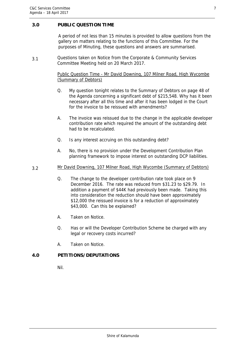## 2B**3.0 PUBLIC QUESTION TIME**

A period of not less than 15 minutes is provided to allow questions from the gallery on matters relating to the functions of this Committee. For the purposes of Minuting, these questions and answers are summarised.

3.1 Questions taken on Notice from the Corporate & Community Services Committee Meeting held on 20 March 2017.

> Public Question Time - Mr David Downing, 107 Milner Road, High Wycombe (Summary of Debtors)

- Q. My question tonight relates to the Summary of Debtors on page 48 of the Agenda concerning a significant debt of \$215,548. Why has it been necessary after all this time and after it has been lodged in the Court for the invoice to be reissued with amendments?
- A. The invoice was reissued due to the change in the applicable developer contribution rate which required the amount of the outstanding debt had to be recalculated.
- Q. Is any interest accruing on this outstanding debt?
- A. No, there is no provision under the Development Contribution Plan planning framework to impose interest on outstanding DCP liabilities.
- 3.2 Mr David Downing, 107 Milner Road, High Wycombe (Summary of Debtors)
	- Q. The change to the developer contribution rate took place on 9 December 2016. The rate was reduced from \$31.23 to \$29.79. In addition a payment of \$44K had previously been made. Taking this into consideration the reduction should have been approximately \$12,000 the reissued invoice is for a reduction of approximately \$43,000. Can this be explained?
	- A. Taken on Notice.
	- Q. Has or will the Developer Contribution Scheme be charged with any legal or recovery costs incurred?
	- A. Taken on Notice.

#### 3B**4.0 PETITIONS/DEPUTATIONS**

Nil.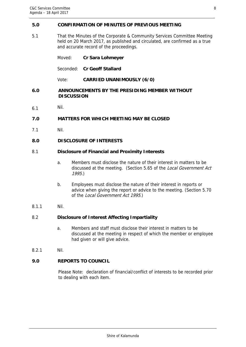#### 4B**5.0 CONFIRMATION OF MINUTES OF PREVIOUS MEETING**

5.1 That the Minutes of the Corporate & Community Services Committee Meeting held on 20 March 2017, as published and circulated, are confirmed as a true and accurate record of the proceedings.

Moved: **Cr Sara Lohmeyer**

Seconded: **Cr Geoff Stallard**

Vote: **CARRIED UNANIMOUSLY (6/0)** 

#### 5B**6.0 ANNOUNCEMENTS BY THE PRESIDING MEMBER WITHOUT DISCUSSION**

6.1 Nil.

#### 6B**7.0 MATTERS FOR WHICH MEETING MAY BE CLOSED**

7.1 Nil.

#### 7B**8.0 DISCLOSURE OF INTERESTS**

#### 8.1 **Disclosure of Financial and Proximity Interests**

- a. Members must disclose the nature of their interest in matters to be discussed at the meeting. (Section 5.65 of the Local Government Act 1995.)
- b. Employees must disclose the nature of their interest in reports or advice when giving the report or advice to the meeting. (Section 5.70 of the Local Government Act 1995.)
- 8.1.1 Nil.

#### 8.2 **Disclosure of Interest Affecting Impartiality**

- a. Members and staff must disclose their interest in matters to be discussed at the meeting in respect of which the member or employee had given or will give advice.
- 8.2.1 Nil.

## 8B**9.0 REPORTS TO COUNCIL**

Please Note: declaration of financial/conflict of interests to be recorded prior to dealing with each item.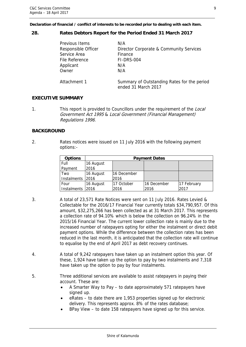**Declaration of financial / conflict of interests to be recorded prior to dealing with each item.** 

#### **28. Rates Debtors Report for the Period Ended 31 March 2017**

| Service Area<br>Applicant<br>Owner | Previous Items<br>Responsible Officer<br>File Reference | N/A<br>Director Corporate & Community Services<br>Finance<br>FI-DRS-004<br>N/A<br>N/A |
|------------------------------------|---------------------------------------------------------|---------------------------------------------------------------------------------------|
|                                    | Attachment 1                                            | Summary of Outstanding Rates for the period<br>ended 31 March 2017                    |

## **EXECUTIVE SUMMARY**

1. This report is provided to Councillors under the requirement of the Local Government Act 1995 & Local Government (Financial Management) Regulations 1996.

## **BACKGROUND**

2. Rates notices were issued on 11 July 2016 with the following payment options:-

| <b>Options</b>   |           |             | <b>Payment Dates</b> |             |
|------------------|-----------|-------------|----------------------|-------------|
| Full             | 16 August |             |                      |             |
| Payment          | 2016      |             |                      |             |
| Two              | 16 August | 16 December |                      |             |
| Instalments 2016 |           | 2016        |                      |             |
| Four             | 16 August | 17 October  | 16 December          | 17 February |
| Instalments 2016 |           | 2016        | 2016                 | 2017        |

- 3. A total of 23,571 Rate Notices were sent on 11 July 2016. Rates Levied & Collectable for the 2016/17 Financial Year currently totals \$34,790,957. Of this amount, \$32,275,266 has been collected as at 31 March 2017. This represents a collection rate of 94.10% which is below the collection on 96.24% in the 2015/16 Financial Year. The current lower collection rate is mainly due to the increased number of ratepayers opting for either the instalment or direct debit payment options. While the difference between the collection rates has been reduced in the last month, it is anticipated that the collection rate will continue to equalise by the end of April 2017 as debt recovery continues.
- 4. A total of 9,242 ratepayers have taken up an instalment option this year. Of these, 1,924 have taken up the option to pay by two instalments and 7,318 have taken up the option to pay by four instalments.
- 5. Three additional services are available to assist ratepayers in paying their account. These are:
	- A Smarter Way to Pay to date approximately 571 ratepayers have signed up.
	- eRates to date there are 1,953 properties signed up for electronic delivery. This represents approx. 8% of the rates database;
	- BPay View to date 158 ratepayers have signed up for this service.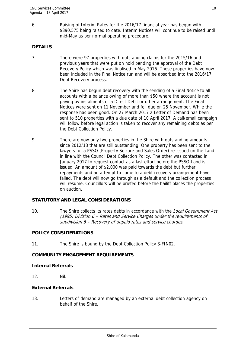6. Raising of Interim Rates for the 2016/17 financial year has begun with \$390,575 being raised to date. Interim Notices will continue to be raised until mid-May as per normal operating procedure.

# **DETAILS**

- 7. There were 97 properties with outstanding claims for the 2015/16 and previous years that were put on hold pending the approval of the Debt Recovery Policy which was finalised in May 2016. These properties have now been included in the Final Notice run and will be absorbed into the 2016/17 Debt Recovery process.
- 8. The Shire has begun debt recovery with the sending of a Final Notice to all accounts with a balance owing of more than \$50 where the account is not paying by instalments or a Direct Debit or other arrangement. The Final Notices were sent on 11 November and fell due on 25 November. While the response has been good. On 27 March 2017 a Letter of Demand has been sent to 510 properties with a due date of 10 April 2017. A call/email campaign will follow before legal action is taken to recover any remaining debts as per the Debt Collection Policy.
- 9. There are now only two properties in the Shire with outstanding amounts since 2012/13 that are still outstanding. One property has been sent to the lawyers for a PSSO (Property Seizure and Sales Order) re-issued on the Land in line with the Council Debt Collection Policy. The other was contacted in January 2017 to request contact as a last effort before the PSSO-Land is issued. An amount of \$2,000 was paid towards the debt but further repayments and an attempt to come to a debt recovery arrangement have failed. The debt will now go through as a default and the collection process will resume. Councillors will be briefed before the bailiff places the properties on auction.

# **STATUTORY AND LEGAL CONSIDERATIONS**

10. The Shire collects its rates debts in accordance with the Local Government Act (1995) Division 6 – Rates and Service Charges under the requirements of subdivision 5 – Recovery of unpaid rates and service charges.

#### **POLICY CONSIDERATIONS**

11. The Shire is bound by the Debt Collection Policy S-FIN02.

## **COMMUNITY ENGAGEMENT REQUIREMENTS**

#### **Internal Referrals**

12. Nil.

## **External Referrals**

13. Letters of demand are managed by an external debt collection agency on behalf of the Shire.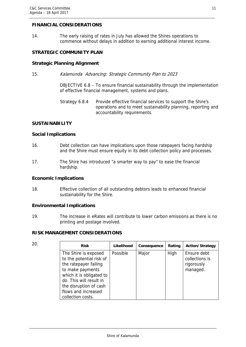# **FINANCIAL CONSIDERATIONS**

14. The early raising of rates in July has allowed the Shires operations to commence without delays in addition to earning additional interest income.

#### **STRATEGIC COMMUNITY PLAN**

#### **Strategic Planning Alignment**

15. Kalamunda Advancing: Strategic Community Plan to 2023

OBJECTIVE 6.8 – To ensure financial sustainability through the implementation of effective financial management, systems and plans.

#### **SUSTAINABILITY**

#### **Social Implications**

- 16. Debt collection can have implications upon those ratepayers facing hardship and the Shire must ensure equity in its debt collection policy and processes.
- 17. The Shire has introduced "a smarter way to pay" to ease the financial hardship.

#### **Economic Implications**

18. Effective collection of all outstanding debtors leads to enhanced financial sustainability for the Shire.

#### **Environmental Implications**

19. The increase in eRates will contribute to lower carbon emissions as there is no printing and postage involved.

#### **RISK MANAGEMENT CONSIDERATIONS**

| ٠      |  |
|--------|--|
| I      |  |
| $\sim$ |  |

| 20. | <b>Risk</b>                                                                                                                                                                                                                | <b>Likelihood</b> | Consequence | Rating | Action/Strategy                                         |
|-----|----------------------------------------------------------------------------------------------------------------------------------------------------------------------------------------------------------------------------|-------------------|-------------|--------|---------------------------------------------------------|
|     | The Shire is exposed<br>to the potential risk of<br>the ratepayer failing<br>to make payments<br>which it is obligated to<br>do. This will result in<br>the disruption of cash<br>flows and increased<br>collection costs. | Possible          | Major       | High   | Ensure debt<br>collections is<br>rigorously<br>managed. |

Strategy 6.8.4 Provide effective financial services to support the Shire's operations and to meet sustainability planning, reporting and accountability requirements.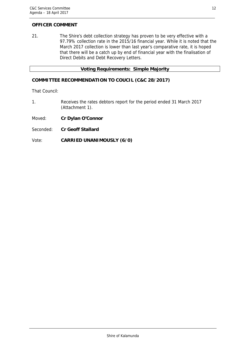## **OFFICER COMMENT**

21. The Shire's debt collection strategy has proven to be very effective with a 97.79% collection rate in the 2015/16 financial year. While it is noted that the March 2017 collection is lower than last year's comparative rate, it is hoped that there will be a catch up by end of financial year with the finalisation of Direct Debits and Debt Recovery Letters.

#### **Voting Requirements: Simple Majority**

# **COMMITTEE RECOMMENDATION TO COUCIL (C&C 28/2017)**

That Council:

- 1. Receives the rates debtors report for the period ended 31 March 2017 (Attachment 1).
- Moved: **Cr Dylan O'Connor**
- Seconded: **Cr Geoff Stallard**

#### Vote: **CARRIED UNANIMOUSLY (6/0)**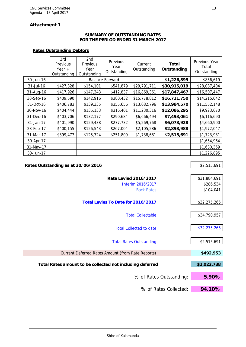# **Attachment 1**

#### **SUMMARY OF OUTSTANDING RATES FOR THE PERIOD ENDED 31 MARCH 2017**

## **Rates Outstanding Debtors**

|           | 3rd<br>Previous<br>Year $+$<br>Outstanding | 2nd<br>Previous<br>Year<br>Outstanding | Previous<br>Year<br>Outstanding | Current<br>Outstanding | Total<br>Outstanding | Previous Year<br>Total<br>Outstanding |
|-----------|--------------------------------------------|----------------------------------------|---------------------------------|------------------------|----------------------|---------------------------------------|
| 30-Jun-16 |                                            |                                        | <b>Balance Forward</b>          |                        | \$1,226,895          | \$856,619                             |
| 31-Jul-16 | \$427,328                                  | \$154,101                              | \$541,879                       | \$29,791,711           | \$30,915,019         | \$28,087,404                          |
| 31-Aug-16 | \$417,926                                  | \$147,343                              | \$412,837                       | \$16,869,361           | \$17,847,467         | \$16,507,447                          |
| 30-Sep-16 | \$409,590                                  | \$142,916                              | \$380,432                       | \$15,778,812           | \$16,711,750         | \$14,215,042                          |
| 31-Oct-16 | \$406,783                                  | \$139,335                              | \$355,656                       | \$13,082,796           | \$13,984,570         | \$11,552,148                          |
| 30-Nov-16 | \$404,444                                  | \$135,133                              | \$316,401                       | \$11,230,316           | \$12,086,295         | \$9,923,670                           |
| 31-Dec-16 | \$403,706                                  | \$132,177                              | \$290,684                       | \$6,666,494            | \$7,493,061          | \$6,116,690                           |
| 31-Jan-17 | \$401,990                                  | \$129,438                              | \$277,732                       | \$5,269,768            | \$6,078,928          | \$4,660,900                           |
| 28-Feb-17 | \$400,155                                  | \$126,543                              | \$267,004                       | \$2,105,286            | \$2,898,988          | \$1,972,047                           |
| 31-Mar-17 | \$399,477                                  | \$125,724                              | \$251,809                       | \$1,738,681            | \$2,515,691          | \$1,723,981                           |
| 30-Apr-17 |                                            |                                        |                                 |                        |                      | \$1,654,964                           |
| 31-May-17 |                                            |                                        |                                 |                        |                      | \$1,630,369                           |
| 30-Jun-17 |                                            |                                        |                                 |                        |                      | \$1,226,895                           |

| Rates Outstanding as at 30/06/2016                        | \$2,515,691  |
|-----------------------------------------------------------|--------------|
|                                                           |              |
| <b>Rate Levied 2016/2017</b>                              | \$31,884,691 |
| Interim 2016/2017                                         | \$286,534    |
| <b>Back Rates</b>                                         | \$104,041    |
|                                                           |              |
| Total Levies To Date for 2016/2017                        | \$32,275,266 |
|                                                           |              |
| <b>Total Collectable</b>                                  | \$34,790,957 |
|                                                           |              |
| <b>Total Collected to date</b>                            | \$32,275,266 |
|                                                           |              |
| <b>Total Rates Outstanding</b>                            | \$2,515,691  |
|                                                           |              |
| Current Deferred Rates Amount (from Rate Reports)         | \$492,953    |
|                                                           |              |
| Total Rates amount to be collected not including deferred | \$2,022,738  |
|                                                           |              |
| % of Rates Outstanding:                                   | 5.90%        |
|                                                           |              |
| % of Rates Collected:                                     | 94.10%       |

Ï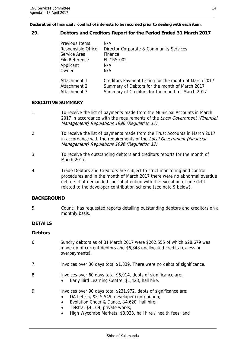**Declaration of financial / conflict of interests to be recorded prior to dealing with each item.** 

## **29. Debtors and Creditors Report for the Period Ended 31 March 2017**

| Previous Items      | N/A                                                   |
|---------------------|-------------------------------------------------------|
| Responsible Officer | Director Corporate & Community Services               |
| Service Area        | Finance                                               |
| File Reference      | <b>FI-CRS-002</b>                                     |
| Applicant           | N/A                                                   |
| Owner               | N/A                                                   |
| Attachment 1        | Creditors Payment Listing for the month of March 2017 |
| Attachment 2        | Summary of Debtors for the month of March 2017        |
| Attachment 3        | Summary of Creditors for the month of March 2017      |

## **EXECUTIVE SUMMARY**

- 1. To receive the list of payments made from the Municipal Accounts in March 2017 in accordance with the requirements of the Local Government (Financial Management) Regulations 1996 (Regulation 12).
- 2. To receive the list of payments made from the Trust Accounts in March 2017 in accordance with the requirements of the Local Government (Financial Management) Regulations 1996 (Regulation 12).
- 3. To receive the outstanding debtors and creditors reports for the month of March 2017.
- 4. Trade Debtors and Creditors are subject to strict monitoring and control procedures and in the month of March 2017 there were no abnormal overdue debtors that demanded special attention with the exception of one debt related to the developer contribution scheme (see note 9 below).

# **BACKGROUND**

5. Council has requested reports detailing outstanding debtors and creditors on a monthly basis.

# **DETAILS**

#### **Debtors**

- 6. Sundry debtors as of 31 March 2017 were \$262,555 of which \$28,679 was made up of current debtors and \$6,848 unallocated credits (excess or overpayments).
- 7. Invoices over 30 days total \$1,839. There were no debts of significance.
- 8. Invoices over 60 days total \$6,914, debts of significance are:
	- Early Bird Learning Centre, \$1,423, hall hire.
- 9. Invoices over 90 days total \$231,972, debts of significance are:
	- DA Letizia, \$215,549, developer contribution;
	- Evolution Cheer & Dance, \$4,620, hall hire;
	- Telstra, \$4,169, private works;
	- High Wycombe Markets, \$3,023, hall hire / health fees; and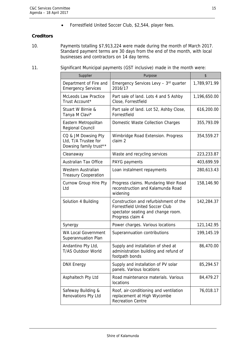Forrestfield United Soccer Club, \$2,544, player fees.

## **Creditors**

- 10. Payments totalling \$7,913,224 were made during the month of March 2017. Standard payment terms are 30 days from the end of the month, with local businesses and contractors on 14 day terms.
- 11. Significant Municipal payments (GST inclusive) made in the month were:

| Supplier                                                              | Purpose                                                                                                                                   | \$           |
|-----------------------------------------------------------------------|-------------------------------------------------------------------------------------------------------------------------------------------|--------------|
| Department of Fire and<br><b>Emergency Services</b>                   | Emergency Services Levy - 3rd quarter<br>2016/17                                                                                          | 1,789,971.99 |
| <b>McLeods Law Practice</b><br>Trust Account*                         | Part sale of land. Lots 4 and 5 Ashby<br>Close, Forrestfield                                                                              | 1,196,650.00 |
| Stuart W Birnie &<br>Tanya M Clavi*                                   | Part sale of land. Lot 52, Ashby Close,<br>Forrestfield                                                                                   | 616,200.00   |
| Eastern Metropolitan<br>Regional Council                              | Domestic Waste Collection Charges                                                                                                         | 355,793.09   |
| CQ & JM Dowsing Pty<br>Ltd, T/A Trustee for<br>Dowsing family trust** | Wimbridge Road Extension. Progress<br>claim 2                                                                                             | 354,559.27   |
| Cleanaway                                                             | Waste and recycling services                                                                                                              | 223,233.87   |
| <b>Australian Tax Office</b>                                          | PAYG payments                                                                                                                             | 403,699.59   |
| Western Australian<br><b>Treasury Cooperation</b>                     | Loan instalment repayments                                                                                                                | 280,613.43   |
| Curnow Group Hire Pty<br>Ltd                                          | Progress claims. Mundaring Weir Road<br>reconstruction and Kalamunda Road<br>widening                                                     | 158,146.90   |
| Solution 4 Building                                                   | Construction and refurbishment of the<br><b>Forrestfield United Soccer Club</b><br>spectator seating and change room.<br>Progress claim 4 | 142,284.37   |
| Synergy                                                               | Power charges. Various locations                                                                                                          | 121,142.95   |
| <b>WA Local Government</b><br>Superannuation Plan                     | Superannuation contributions                                                                                                              | 199,145.19   |
| Andantino Pty Ltd,<br>T/AS Outdoor World                              | Supply and installation of shed at<br>administration building and refund of<br>footpath bonds                                             | 86,470.00    |
| <b>DNX Energy</b>                                                     | Supply and installation of PV solar<br>panels. Various locations                                                                          | 85,294.57    |
| Asphaltech Pty Ltd                                                    | Road maintenance materials. Various<br>locations                                                                                          | 84,479.27    |
| Safeway Building &<br>Renovations Pty Ltd                             | Roof, air-conditioning and ventilation<br>replacement at High Wycombe<br><b>Recreation Centre</b>                                         | 76,018.17    |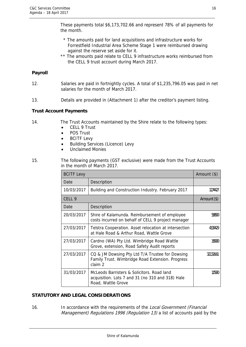These payments total \$6,173,702.66 and represent 78% of all payments for the month.

- \* The amounts paid for land acquisitions and infrastructure works for Forrestfield Industrial Area Scheme Stage 1 were reimbursed drawing against the reserve set aside for it.
- \*\* The amounts paid relate to CELL 9 infrastructure works reimbursed from the CELL 9 trust account during March 2017.

## **Payroll**

- 12. Salaries are paid in fortnightly cycles. A total of \$1,235,796.05 was paid in net salaries for the month of March 2017.
- 13. Details are provided in (Attachment 1) after the creditor's payment listing.

#### **Trust Account Payments**

- 14. The Trust Accounts maintained by the Shire relate to the following types:
	- CELL 9 Trust
	- POS Trust
	- BCITF Levy
	- Building Services (Licence) Levy
	- Unclaimed Monies
- 15. The following payments (GST exclusive) were made from the Trust Accounts in the month of March 2017.

| <b>BCITF Levy</b> | Amount $(\$)$                                                                                                        |             |
|-------------------|----------------------------------------------------------------------------------------------------------------------|-------------|
| Date              | Description                                                                                                          |             |
| 10/03/2017        | Building and Construction Industry. February 2017                                                                    | 1274427     |
| CELL <sub>9</sub> |                                                                                                                      | Amount (\$) |
| Date              | Description                                                                                                          |             |
| 20/03/2017        | Shire of Kalamunda. Reimbursement of employee<br>costs incurred on behalf of CELL 9 project manager                  | 58500       |
| 27/03/2017        | Telstra Cooperation. Asset relocation at intersection<br>at Hale Road & Arthur Road, Wattle Grove                    | 43.TAD 5    |
| 27/03/2017        | Cardno (WA) Pty Ltd. Wimbridge Road Wattle<br>Grove, extension, Road Safety Audit reports                            | 35KM)       |
| 27/03/2017        | CQ & JM Dowsing Pty Ltd T/A Trustee for Dowsing<br>Family Trust. Wimbridge Road Extension. Progress<br>claim 2       | 3223661     |
| 31/03/2017        | McLeods Barristers & Solicitors. Road land<br>acquisition. Lots 7 and 31 (no 310 and 318) Hale<br>Road, Wattle Grove | 1,15930     |

#### **STATUTORY AND LEGAL CONSIDERATIONS**

16. In accordance with the requirements of the Local Government (Financial Management) Regulations 1996 (Regulation 13) a list of accounts paid by the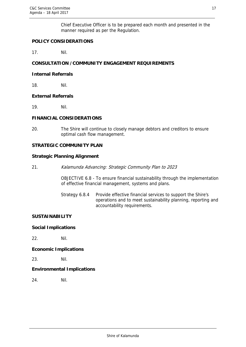Chief Executive Officer is to be prepared each month and presented in the manner required as per the Regulation.

# **POLICY CONSIDERATIONS**

17. Nil.

# **CONSULTATION /COMMUNITY ENGAGEMENT REQUIREMENTS**

#### **Internal Referrals**

18. Nil.

## **External Referrals**

19. Nil.

## **FINANCIAL CONSIDERATIONS**

20. The Shire will continue to closely manage debtors and creditors to ensure optimal cash flow management.

## **STRATEGIC COMMUNITY PLAN**

## **Strategic Planning Alignment**

21. Kalamunda Advancing: Strategic Community Plan to 2023

OBJECTIVE 6.8 - To ensure financial sustainability through the implementation of effective financial management, systems and plans.

Strategy 6.8.4 Provide effective financial services to support the Shire's operations and to meet sustainability planning, reporting and accountability requirements.

#### **SUSTAINABILITY**

#### **Social Implications**

22. Nil.

#### **Economic Implications**

23. Nil.

# **Environmental Implications**

24. Nil.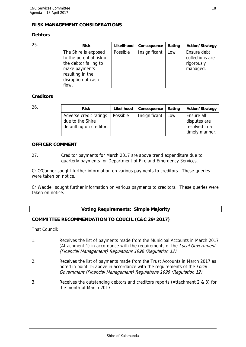# **RISK MANAGEMENT CONSIDERATIONS**

# **Debtors**

| 25. | <b>Risk</b>                                                                                                                                   | Likelihood | Consequence   | Rating | <b>Action/Strategy</b>                                   |
|-----|-----------------------------------------------------------------------------------------------------------------------------------------------|------------|---------------|--------|----------------------------------------------------------|
|     | The Shire is exposed<br>to the potential risk of<br>the debtor failing to<br>make payments<br>resulting in the<br>disruption of cash<br>flow. | Possible   | Insignificant | Low    | Ensure debt<br>collections are<br>rigorously<br>managed. |

## **Creditors**

| 26. | <b>Risk</b>                                                           | Likelihood | Consequence   | Rating | <b>Action/Strategy</b>                                        |
|-----|-----------------------------------------------------------------------|------------|---------------|--------|---------------------------------------------------------------|
|     | Adverse credit ratings<br>due to the Shire<br>defaulting on creditor. | Possible   | Insignificant | Low    | Ensure all<br>disputes are<br>resolved in a<br>timely manner. |

## **OFFICER COMMENT**

27. Creditor payments for March 2017 are above trend expenditure due to quarterly payments for Department of Fire and Emergency Services.

Cr O'Connor sought further information on various payments to creditors. These queries were taken on notice.

Cr Waddell sought further information on various payments to creditors. These queries were taken on notice.

#### **Voting Requirements: Simple Majority**

# **COMMITTEE RECOMMENDATION TO COUCIL (C&C 29/2017)**

That Council:

- 1. Receives the list of payments made from the Municipal Accounts in March 2017 (Attachment 1) in accordance with the requirements of the Local Government (Financial Management) Regulations 1996 (Regulation 12).
- 2. Receives the list of payments made from the Trust Accounts in March 2017 as noted in point 15 above in accordance with the requirements of the Local Government (Financial Management) Regulations 1996 (Regulation 12).
- 3. Receives the outstanding debtors and creditors reports (Attachment 2 & 3) for the month of March 2017.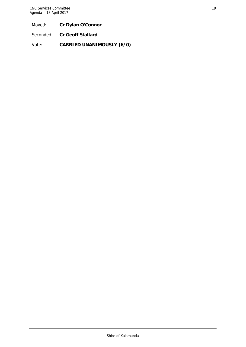Moved: **Cr Dylan O'Connor** 

Seconded: **Cr Geoff Stallard** 

Vote: **CARRIED UNANIMOUSLY (6/0)**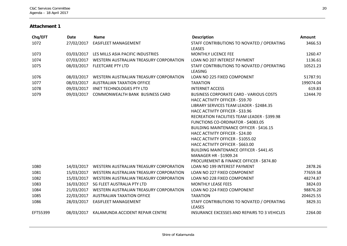#### **Attachment 1**

| Chq/EFT  | <b>Date</b> | <b>Name</b>                             | <b>Description</b>                                                                                                                                                                                                                                                                                                                                                                                                                                                                                                                           | Amount    |
|----------|-------------|-----------------------------------------|----------------------------------------------------------------------------------------------------------------------------------------------------------------------------------------------------------------------------------------------------------------------------------------------------------------------------------------------------------------------------------------------------------------------------------------------------------------------------------------------------------------------------------------------|-----------|
| 1072     | 27/02/2017  | EASIFLEET MANAGEMENT                    | STAFF CONTRIBUTIONS TO NOVATED / OPERATING<br><b>LEASES</b>                                                                                                                                                                                                                                                                                                                                                                                                                                                                                  | 3466.53   |
| 1073     | 03/03/2017  | LES MILLS ASIA PACIFIC INDUSTRIES       | MONTHLY LICENCE FEE                                                                                                                                                                                                                                                                                                                                                                                                                                                                                                                          | 1260.47   |
| 1074     | 07/03/2017  | WESTERN AUSTRALIAN TREASURY CORPORATION | LOAN NO 207 INTEREST PAYMENT                                                                                                                                                                                                                                                                                                                                                                                                                                                                                                                 | 1136.61   |
| 1075     |             | 08/03/2017 FLEETCARE PTY LTD            | STAFF CONTRIBUTIONS TO NOVATED / OPERATING<br>LEASING                                                                                                                                                                                                                                                                                                                                                                                                                                                                                        | 10521.23  |
| 1076     | 08/03/2017  | WESTERN AUSTRALIAN TREASURY CORPORATION | LOAN NO 225 FIXED COMPONENT                                                                                                                                                                                                                                                                                                                                                                                                                                                                                                                  | 51787.91  |
| 1077     | 08/03/2017  | <b>AUSTRALIAN TAXATION OFFICE</b>       | <b>TAXATION</b>                                                                                                                                                                                                                                                                                                                                                                                                                                                                                                                              | 199074.04 |
| 1078     | 09/03/2017  | <b>IINET TECHNOLOGIES PTY LTD</b>       | <b>INTERNET ACCESS</b>                                                                                                                                                                                                                                                                                                                                                                                                                                                                                                                       | 619.83    |
| 1079     | 09/03/2017  | <b>COMMONWEALTH BANK BUSINESS CARD</b>  | <b>BUSINESS CORPORATE CARD - VARIOUS COSTS</b><br>HACC ACTIVITY OFFICER - \$59.70<br>LIBRARY SERVICES TEAM LEADER - \$2484.35<br>HACC ACTIVITY OFFICER - \$33.96<br>RECREATION FACILITIES TEAM LEADER - \$399.98<br>FUNCTIONS CO-ORDINATOR - \$4083.05<br><b>BUILDING MAINTENANCE OFFICER - \$416.15</b><br>HACC ACTIVITY OFFICER - \$24.00<br>HACC ACTIVITY OFFICER - \$1055.02<br>HACC ACTIVITY OFFICER - \$663.00<br><b>BUILDING MAINTENANCE OFFICER - \$441.45</b><br>MANAGER HR - \$1909.24<br>PROCUREMENT & FINANCE OFFICER - \$874.80 | 12444.70  |
| 1080     | 14/03/2017  | WESTERN AUSTRALIAN TREASURY CORPORATION | <b>LOAN NO 199 INTEREST PAYMENT</b>                                                                                                                                                                                                                                                                                                                                                                                                                                                                                                          | 2878.26   |
| 1081     | 15/03/2017  | WESTERN AUSTRALIAN TREASURY CORPORATION | LOAN NO 227 FIXED COMPONENT                                                                                                                                                                                                                                                                                                                                                                                                                                                                                                                  | 77659.58  |
| 1082     | 15/03/2017  | WESTERN AUSTRALIAN TREASURY CORPORATION | LOAN NO 228 FIXED COMPONENT                                                                                                                                                                                                                                                                                                                                                                                                                                                                                                                  | 48274.87  |
| 1083     | 16/03/2017  | SG FLEET AUSTRALIA PTY LTD              | <b>MONTHLY LEASE FEES</b>                                                                                                                                                                                                                                                                                                                                                                                                                                                                                                                    | 3824.03   |
| 1084     | 21/03/2017  | WESTERN AUSTRALIAN TREASURY CORPORATION | LOAN NO 224 FIXED COMPONENT                                                                                                                                                                                                                                                                                                                                                                                                                                                                                                                  | 98876.20  |
| 1085     | 22/03/2017  | <b>AUSTRALIAN TAXATION OFFICE</b>       | <b>TAXATION</b>                                                                                                                                                                                                                                                                                                                                                                                                                                                                                                                              | 204625.55 |
| 1086     | 28/03/2017  | <b>EASIFLEET MANAGEMENT</b>             | STAFF CONTRIBUTIONS TO NOVATED / OPERATING<br>LEASES                                                                                                                                                                                                                                                                                                                                                                                                                                                                                         | 3829.31   |
| EFT55399 | 08/03/2017  | KALAMUNDA ACCIDENT REPAIR CENTRE        | INSURANCE EXCESSES AND REPAIRS TO 3 VEHICLES                                                                                                                                                                                                                                                                                                                                                                                                                                                                                                 | 2264.00   |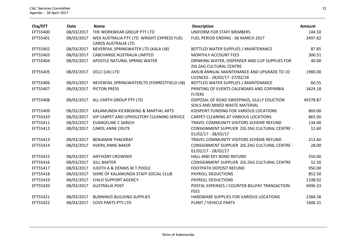| Chq/EFT  | Date       | <b>Name</b>                                                             | <b>Description</b>                                                           | Amount   |
|----------|------------|-------------------------------------------------------------------------|------------------------------------------------------------------------------|----------|
| EFT55400 | 08/03/2017 | THE WORKWEAR GROUP PTY LTD                                              | UNIFORM FOR STAFF MEMBERS                                                    | 144.50   |
| EFT55401 | 08/03/2017 | WEX AUSTRALIA PTY LTD WRIGHT EXPRESS FUEL<br><b>CARDS AUSTRALIA LTD</b> | FUEL PERIOD ENDING - 06 MARCH 2017                                           | 3497.82  |
| EFT55402 | 08/03/2017 | NEVERFAIL SPRINGWATER LTD (KALA LIB)                                    | BOTTLED WATER SUPPLIES / MAINTENANCE                                         | 87.85    |
| EFT55403 | 08/03/2017 | <b>CABCHARGE AUSTRALIA LIMITED</b>                                      | MONTHLY ACCOUNT FEES                                                         | 306.51   |
| EFT55404 | 08/03/2017 | APOSTLE NATURAL SPRING WATER                                            | DRINKING WATER, DISPENSER AND CUP SUPPLIES FOR<br>ZIG ZAG CULTURAL CENTRE    | 40.00    |
| EFT55405 | 08/03/2017 | OCLC (UK) LTD                                                           | AMLIB ANNUAL MAINTENANCE AND UPGRADE TO 10<br>LICENCES - 28/02/17 -27/02/18  | 1980.00  |
| EFT55406 | 08/03/2017 | NEVERFAIL SPRINGWATERLTD (FORRESTFIELD LIB)                             | BOTTLED WATER SUPPLIES / MAINTENANCE                                         | 60.55    |
| EFT55407 | 08/03/2017 | <b>PICTON PRESS</b>                                                     | PRINTING OF EVENTS CALENDARS AND CORYMBIA<br><b>FLYERS</b>                   | 3424.18  |
| EFT55408 | 08/03/2017 | ALL EARTH GROUP PTY LTD                                                 | DISPOSAL OF ROAD SWEEPINGS, GULLY EDUCTION<br>SOILS AND MIXED WASTE MATERIAL | 49378.87 |
| EFT55409 | 08/03/2017 | KALAMUNDA KICKBOXING & MARTIAL ARTS                                     | KIDSPORT FUNDING FOR VARIOUS LOCATIONS                                       | 869.00   |
| EFT55410 | 08/03/2017 | VIP CARPET AND UPHOLSTERY CLEANING SERVICE                              | CARPET CLEANING AT VARIOUS LOCATIONS                                         | 865.00   |
| EFT55411 | 08/03/2017 | <b>EVANGELINE C SARICH</b>                                              | TRAVEL COMMUNITY VISITORS SCHEME REFUND                                      | 134.00   |
| EFT55412 | 08/03/2017 | <b>CAROL ANNE CRUTE</b>                                                 | CONSIGNMENT SUPPLIER ZIG ZAG CULTURAL CENTRE -<br>$01/02/17 - 28/02/17$      | 12.60    |
| EFT55413 | 08/03/2017 | <b>BENJAMIN THACKRAY</b>                                                | TRAVEL COMMUNITY VISITORS SCHEME REFUND                                      | 213.60   |
| EFT55414 | 08/03/2017 | <b>AVERIL ANNE BAKER</b>                                                | CONSIGNMENT SUPPLIER ZIG ZAG CULTURAL CENTRE -<br>$01/02/17 - 28/02/17$      | 28.00    |
| EFT55415 | 08/03/2017 | <b>ANTHONY CROWDER</b>                                                  | HALL AND KEY BOND REFUND                                                     | 550.00   |
| EFT55416 | 08/03/2017 | <b>GILL BAXTER</b>                                                      | CONSIGNMENT SUPPLIER ZIG ZAG CULTURAL CENTRE                                 | 52.50    |
| EFT55417 | 08/03/2017 | JUDITH A & DENNIS W T POOLE                                             | <b>FOOTPATH DEPOSIT REFUND</b>                                               | 950.00   |
| EFT55418 | 08/03/2017 | SHIRE OF KALAMUNDA STAFF SOCIAL CLUB                                    | PAYROLL DEDUCTIONS                                                           | 852.50   |
| EFT55419 | 08/03/2017 | <b>CHILD SUPPORT AGENCY</b>                                             | PAYROLL DEDUCTIONS                                                           | 1198.92  |
| EFT55420 | 08/03/2017 | <b>AUSTRALIA POST</b>                                                   | POSTAL EXPENSES / COUNTER BILLPAY TRANSACTION<br><b>FEES</b>                 | 9496.33  |
| EFT55421 | 08/03/2017 | <b>BUNNINGS BUILDING SUPPLIES</b>                                       | HARDWARE SUPPLIES FOR VARIOUS LOCATIONS                                      | 2384.38  |
| EFT55422 | 08/03/2017 | <b>COVS PARTS PTY LTD</b>                                               | PLANT / VEHICLE PARTS                                                        | 1606.31  |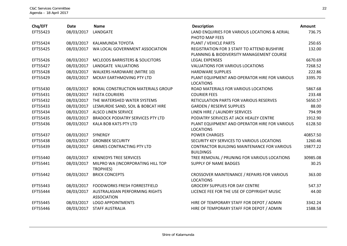| Chq/EFT  | <b>Date</b> | <b>Name</b>                                          | <b>Description</b>                                                                       | Amount   |
|----------|-------------|------------------------------------------------------|------------------------------------------------------------------------------------------|----------|
| EFT55423 | 08/03/2017  | LANDGATE                                             | LAND ENQUIRIES FOR VARIOUS LOCATIONS & AERIAL<br>PHOTO MAP FEES                          | 736.75   |
| EFT55424 | 08/03/2017  | KALAMUNDA TOYOTA                                     | PLANT / VEHICLE PARTS                                                                    | 250.65   |
| EFT55425 | 08/03/2017  | WA LOCAL GOVERNMENT ASSOCIATION                      | REGISTRATION FOR 3 STAFF TO ATTEND BUSHFIRE<br>PLANNING & BIODIVERSITY MANAGEMENT COURSE | 132.00   |
| EFT55426 | 08/03/2017  | <b>MCLEODS BARRISTERS &amp; SOLICITORS</b>           | <b>LEGAL EXPENSES</b>                                                                    | 6670.69  |
| EFT55427 | 08/03/2017  | LANDGATE VALUATIONS                                  | <b>VALUATIONS FOR VARIOUS LOCATIONS</b>                                                  | 7268.52  |
| EFT55428 | 08/03/2017  | <b>WALKERS HARDWARE (MITRE 10)</b>                   | <b>HARDWARE SUPPLIES</b>                                                                 | 222.86   |
| EFT55429 | 08/03/2017  | MCKAY EARTHMOVING PTY LTD                            | PLANT EQUIPMENT AND OPERATOR HIRE FOR VARIOUS<br><b>LOCATIONS</b>                        | 3395.70  |
| EFT55430 | 08/03/2017  | <b>BORAL CONSTRUCTION MATERIALS GROUP</b>            | ROAD MATERIALS FOR VARIOUS LOCATIONS                                                     | 5867.68  |
| EFT55431 | 08/03/2017  | <b>FASTA COURIERS</b>                                | <b>COURIER FEES</b>                                                                      | 233.48   |
| EFT55432 | 08/03/2017  | THE WATERSHED WATER SYSTEMS                          | RETICULATION PARTS FOR VARIOUS RESERVES                                                  | 5650.57  |
| EFT55433 | 08/03/2017  | LESMURDIE SAND, SOIL & BOBCAT HIRE                   | <b>GARDEN / RESERVE SUPPLIES</b>                                                         | 88.00    |
| EFT55434 | 08/03/2017  | <b>ALSCO LINEN SERVICE</b>                           | LINEN HIRE / LAUNDRY SERVICES                                                            | 794.99   |
| EFT55435 | 08/03/2017  | <b>BRADOCK PODIATRY SERVICES PTY LTD</b>             | PODIATRY SERVICES AT JACK HEALEY CENTRE                                                  | 1912.90  |
| EFT55436 | 08/03/2017  | KALA BOB KATS PTY LTD                                | PLANT EQUIPMENT AND OPERATOR HIRE FOR VARIOUS<br><b>LOCATIONS</b>                        | 6128.50  |
| EFT55437 | 08/03/2017  | <b>SYNERGY</b>                                       | <b>POWER CHARGES</b>                                                                     | 40857.50 |
| EFT55438 | 08/03/2017  | <b>GRONBEK SECURITY</b>                              | SECURITY KEY SERVICES TO VARIOUS LOCATIONS                                               | 1260.46  |
| EFT55439 | 08/03/2017  | <b>GRIMES CONTRACTING PTY LTD</b>                    | <b>CONTRACTOR BUILDING MAINTENANCE FOR VARIOUS</b><br><b>BUILDINGS</b>                   | 19877.22 |
| EFT55440 | 08/03/2017  | <b>KENNEDYS TREE SERVICES</b>                        | TREE REMOVAL / PRUNING FOR VARIOUS LOCATIONS                                             | 30985.08 |
| EFT55441 | 08/03/2017  | MILPRO WA (INCORPORATING HILL TOP<br>TROPHIES)       | <b>SUPPLY OF NAME BADGES</b>                                                             | 30.25    |
| EFT55442 | 08/03/2017  | <b>BRICK CONCEPTS</b>                                | CROSSOVER MAINTENANCE / REPAIRS FOR VARIOUS<br><b>LOCATIONS</b>                          | 363.00   |
| EFT55443 | 08/03/2017  | <b>FOODWORKS FRESH FORRESTFIELD</b>                  | <b>GROCERY SUPPLIES FOR DAY CENTRE</b>                                                   | 547.37   |
| EFT55444 | 08/03/2017  | AUSTRALASIAN PERFORMING RIGHTS<br><b>ASSOCIATION</b> | LICENCE FEE FOR THE USE OF COPYRIGHT MUSIC                                               | 44.00    |
| EFT55445 | 08/03/2017  | <b>LOGO APPOINTMENTS</b>                             | HIRE OF TEMPORARY STAFF FOR DEPOT / ADMIN                                                | 3342.24  |
| EFT55446 | 08/03/2017  | <b>STAFF AUSTRALIA</b>                               | HIRE OF TEMPORARY STAFF FOR DEPOT / ADMIN                                                | 1588.58  |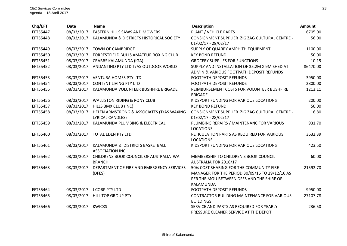| Chq/EFT  | Date       | <b>Name</b>                                                | <b>Description</b>                                                                                                                                  | Amount   |
|----------|------------|------------------------------------------------------------|-----------------------------------------------------------------------------------------------------------------------------------------------------|----------|
| EFT55447 | 08/03/2017 | <b>EASTERN HILLS SAWS AND MOWERS</b>                       | PLANT / VEHICLE PARTS                                                                                                                               | 6705.00  |
| EFT55448 | 08/03/2017 | KALAMUNDA & DISTRICTS HISTORICAL SOCIETY                   | CONSIGNMENT SUPPLIER ZIG ZAG CULTURAL CENTRE -                                                                                                      | 56.00    |
| EFT55449 | 08/03/2017 | <b>TOWN OF CAMBRIDGE</b>                                   | $01/02/17 - 28/02/17$<br>SUPPLY OF QUARRY AMPHITH EQUIPMENT                                                                                         | 1100.00  |
| EFT55450 | 08/03/2017 | FORRESTFIELD BULLS AMATEUR BOXING CLUB                     | <b>KEY BOND REFUND</b>                                                                                                                              | 50.00    |
|          |            |                                                            |                                                                                                                                                     |          |
| EFT55451 | 08/03/2017 | <b>CRABBS KALAMUNDA (IGA)</b>                              | <b>GROCERY SUPPLIES FOR FUNCTIONS</b>                                                                                                               | 10.15    |
| EFT55452 | 08/03/2017 | ANDANTINO PTY LTD T/AS OUTDOOR WORLD                       | SUPPLY AND INSTALLATION OF 35.2M X 9M SHED AT<br>ADMIN & VARIOUS FOOTPATH DEPOSIT REFUNDS                                                           | 86470.00 |
| EFT55453 | 08/03/2017 | <b>VENTURA HOMES PTY LTD</b>                               | FOOTPATH DEPOSIT REFUNDS                                                                                                                            | 3950.00  |
| EFT55454 | 08/03/2017 | <b>CONTENT LIVING PTY LTD</b>                              | <b>FOOTPATH DEPOSIT REFUNDS</b>                                                                                                                     | 2800.00  |
| EFT55455 | 08/03/2017 | KALAMUNDA VOLUNTEER BUSHFIRE BRIGADE                       | REIMBURSEMENT COSTS FOR VOLUNTEER BUSHFIRE<br><b>BRIGADE</b>                                                                                        | 1213.11  |
| EFT55456 | 08/03/2017 | <b>WALLISTON RIDING &amp; PONY CLUB</b>                    | KIDSPORT FUNDING FOR VARIOUS LOCATIONS                                                                                                              | 200.00   |
| EFT55457 | 08/03/2017 | HILLS BMX CLUB (INC)                                       | <b>KEY BOND REFUND</b>                                                                                                                              | 50.00    |
| EFT55458 | 08/03/2017 | HELEN ARMSTRONG & ASSOCIATES (T/AS WAXING                  | CONSIGNMENT SUPPLIER ZIG ZAG CULTURAL CENTRE -                                                                                                      | 16.80    |
|          |            | <b>LYRICAL CANDLES)</b>                                    | $01/02/17 - 28/02/17$                                                                                                                               |          |
| EFT55459 | 08/03/2017 | KALAMUNDA PLUMBING & ELECTRICAL                            | PLUMBING REPAIRS / MAINTENANC FOR VARIOUS<br><b>LOCATIONS</b>                                                                                       | 931.70   |
| EFT55460 | 08/03/2017 | TOTAL EDEN PTY LTD                                         | RETICULATION PARTS AS REQUIRED FOR VARIOUS<br><b>LOCATIONS</b>                                                                                      | 3632.39  |
| EFT55461 | 08/03/2017 | KALAMUNDA & DISTRICTS BASKETBALL<br><b>ASSOCIATION INC</b> | KIDSPORT FUNDING FOR VARIOUS LOCATIONS                                                                                                              | 423.50   |
| EFT55462 | 08/03/2017 | CHILDRENS BOOK COUNCIL OF AUSTRALIA WA<br><b>BRANCH</b>    | MEMBERSHIP TO CHILDREN'S BOOK COUNCIL<br>AUSTRALIA FOR 2016/17                                                                                      | 60.00    |
| EFT55463 | 08/03/2017 | DEPARTMENT OF FIRE AND EMERGENCY SERVICES<br>(DFES)        | 50% COST SHARING FOR THE COMMUNITY FIRE<br>MANAGER FOR THE PERIOD 30/09/16 TO 29/12/16 AS<br>PER THE MOU BETWEEN DFES AND THE SHIRE OF<br>KALAMUNDA | 21592.70 |
| EFT55464 |            | 08/03/2017 J CORP PTY LTD                                  | FOOTPATH DEPOSIT REFUNDS                                                                                                                            | 9950.00  |
| EFT55465 | 08/03/2017 | <b>HILL TOP GROUP PTY</b>                                  | CONTRACTOR BUILDING MAINTENANCE FOR VARIOUS<br><b>BUILDINGS</b>                                                                                     | 27107.78 |
| EFT55466 | 08/03/2017 | <b>KWICKS</b>                                              | SERVICE AND PARTS AS REQUIRED FOR YEARLY<br>PRESSURE CLEANER SERVICE AT THE DEPOT                                                                   | 236.50   |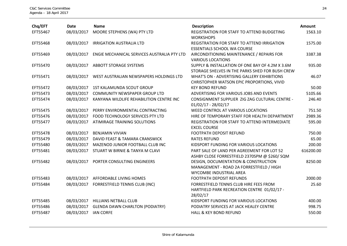| Chq/EFT  | <b>Date</b> | <b>Name</b>                                 | <b>Description</b>                                                                                          | Amount    |
|----------|-------------|---------------------------------------------|-------------------------------------------------------------------------------------------------------------|-----------|
| EFT55467 | 08/03/2017  | MOORE STEPHENS (WA) PTY LTD                 | REGISTRATION FOR STAFF TO ATTEND BUDGETING<br><b>WORKSHOPS</b>                                              | 1563.10   |
| EFT55468 | 08/03/2017  | <b>IRRIGATION AUSTRALIA LTD</b>             | REGISTRATION FOR STAFF TO ATTEND IRRIGATION<br><b>ESSENTIALS SCHOOL WA COURSE</b>                           | 1575.00   |
| EFT55469 | 08/03/2017  | ENGIE MECHANICAL SERVICES AUSTRALIA PTY LTD | AIRCONDITIONING MAINTENANCE / REPAIRS FOR<br><b>VARIOUS LOCATIONS</b>                                       | 3387.38   |
| EFT55470 | 08/03/2017  | <b>ABBOTT STORAGE SYSTEMS</b>               | SUPPLY & INSTALLATION OF ONE BAY OF 4.2M X 3.6M<br>STORAGE SHELVES IN THE PARKS SHED FOR BUSH CREW          | 935.00    |
| EFT55471 | 08/03/2017  | WEST AUSTRALIAN NEWSPAPERS HOLDINGS LTD     | WHAT'S ON - ADVERTISING GALLERY EXHIBITIONS<br>CHRISTOPHER WATSON EPIC PROPORTIONS, VIVID                   | 46.07     |
| EFT55472 | 08/03/2017  | 1ST KALAMUNDA SCOUT GROUP                   | <b>KEY BOND REFUND</b>                                                                                      | 50.00     |
| EFT55473 | 08/03/2017  | <b>COMMUNITY NEWSPAPER GROUP LTD</b>        | ADVERTISING FOR VARIOUS JOBS AND EVENTS                                                                     | 5105.66   |
| EFT55474 | 08/03/2017  | KANYANA WILDLIFE REHABILITION CENTRE INC    | CONSIGNMENT SUPPLIER ZIG ZAG CULTURAL CENTRE -<br>$01/02/17 - 28/02/17$                                     | 246.40    |
| EFT55475 | 08/03/2017  | PERRY ENVIRONMENTAL CONTRACTING             | WEED CONTROL AT VARIOUS LOCATIONS                                                                           | 751.50    |
| EFT55476 | 08/03/2017  | FOOD TECHNOLOGY SERVICES PTY LTD            | HIRE OF TEMPORARY STAFF FOR HEALTH DEPARTMENT                                                               | 2989.36   |
| EFT55477 | 08/03/2017  | <b>ATIMIRAGE TRAINING SOLUTIONS</b>         | REGISTRATION FOR STAFF TO ATTEND INTERMEDIATE<br><b>EXCEL COURSE</b>                                        | 595.00    |
| EFT55478 | 08/03/2017  | <b>BENJAMIN VIVIAN</b>                      | FOOTPATH DEPOSIT REFUND                                                                                     | 750.00    |
| EFT55479 | 08/03/2017  | DAVID FEAST & TAMARA CRANSWICK              | <b>RATES REFUND</b>                                                                                         | 65.00     |
| EFT55480 | 08/03/2017  | MAZENOD JUNIOR FOOTBALL CLUB INC            | KIDSPORT FUNDING FOR VARIOUS LOCATIONS                                                                      | 200.00    |
| EFT55481 | 08/03/2017  | STUART W BIRNIE & TANYA M CLAVI             | PART SALE OF LAND PER AGREEMENT FOR LOT 52<br>ASHBY CLOSE FORRESTFIELD 2370SPM @ \$260/ SQM                 | 616200.00 |
| EFT55482 | 08/03/2017  | PORTER CONSULTING ENGINEERS                 | DESIGN, DOCUMENTATION & CONSTRUCTION<br>MANAGEMENT - ROAD 2A FORRESTFIELD / HIGH<br>WYCOMBE INDUSTRIAL AREA | 8250.00   |
| EFT55483 | 08/03/2017  | AFFORDABLE LIVING HOMES                     | <b>FOOTPATH DEPOSIT REFUNDS</b>                                                                             | 2000.00   |
| EFT55484 | 08/03/2017  | FORRESTFIELD TENNIS CLUB (INC)              | FORRESTFIELD TENNIS CLUB HIRE FEES FROM<br>HARTFIELD PARK RECREATION CENTRE 01/02/17 -<br>28/02/17          | 25.60     |
| EFT55485 | 08/03/2017  | <b>HILLIANS NETBALL CLUB</b>                | KIDSPORT FUNDING FOR VARIOUS LOCATIONS                                                                      | 400.00    |
| EFT55486 | 08/03/2017  | <b>GLENDA DAWN CHARLTON (PODIATRY)</b>      | PODIATRY SERVICES AT JACK HEALEY CENTRE                                                                     | 998.75    |
| EFT55487 | 08/03/2017  | <b>IAN CORFE</b>                            | <b>HALL &amp; KEY BOND REFUND</b>                                                                           | 550.00    |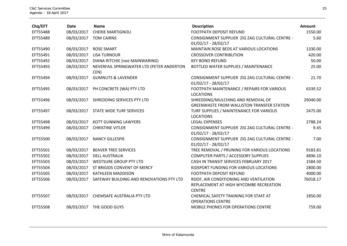| Chq/EFT  | <b>Date</b> | <b>Name</b>                                       | <b>Description</b>                                                                                | Amount   |
|----------|-------------|---------------------------------------------------|---------------------------------------------------------------------------------------------------|----------|
| EFT55488 | 08/03/2017  | <b>CHERIE MARTIGNOLI</b>                          | FOOTPATH DEPOSIT REFUND                                                                           | 1550.00  |
| EFT55489 | 08/03/2017  | <b>TOM CAIRNS</b>                                 | CONSIGNMENT SUPPLIER ZIG ZAG CULTURAL CENTRE -                                                    | 5.60     |
|          |             |                                                   | $01/02/17 - 28/02/17$                                                                             |          |
| EFT55490 | 08/03/2017  | <b>ROSE SMART</b>                                 | MAINTAIN ROSE BEDS AT VARIOUS LOCATIONS                                                           | 1330.00  |
| EFT55491 | 08/03/2017  | <b>LISA TURNOUR</b>                               | <b>CROSSOVER CONTRIBUTION</b>                                                                     | 420.00   |
| EFT55492 | 08/03/2017  | DIANA RITCHIE (nee MAINWARING)                    | <b>KEY BOND REFUND</b>                                                                            | 50.00    |
| EFT55493 | 08/03/2017  | NEVERFAIL SPRINGWATER LTD (PETER ANDERTON<br>CEN) | BOTTLED WATER SUPPLIES / MAINTENANCE                                                              | 25.00    |
| EFT55494 | 08/03/2017  | <b>GUMNUTS &amp; LAVENDER</b>                     | CONSIGNMENT SUPPLIER ZIG ZAG CULTURAL CENTRE -<br>$01/02/17 - 28/02/17$                           | 21.70    |
| EFT55495 | 08/03/2017  | PH CONCRETE (WA) PTY LTD                          | FOOTPATH MAINTENANCE / REPAIRS FOR VARIOUS<br><b>LOCATIONS</b>                                    | 6339.52  |
| EFT55496 | 08/03/2017  | SHREDDING SERVICES PTY LTD                        | SHREDDING/MULCHING AND REMOVAL OF<br>GREENWASTE FROM WALLISTON TRANSFER STATION                   | 29040.00 |
| EFT55497 | 08/03/2017  | STATE WIDE TURF SERVICES                          | TURF SUPPLIES / MAINTENANCE FOR VARIOUS<br><b>LOCATIONS</b>                                       | 2475.00  |
| EFT55498 | 08/03/2017  | <b>KOTT GUNNING LAWYERS</b>                       | <b>LEGAL EXPENSES</b>                                                                             | 2788.24  |
| EFT55499 | 08/03/2017  | <b>CHRISTINE VITLER</b>                           | CONSIGNMENT SUPPLIER ZIG ZAG CULTURAL CENTRE -<br>$01/02/17 - 28/02/17$                           | 9.45     |
| EFT55500 | 08/03/2017  | <b>NANCY GILLESPIE</b>                            | CONSIGNMENT SUPPLIER ZIG ZAG CULTURAL CENTRE -<br>$01/02/17 - 28/02/17$                           | 7.00     |
| EFT55501 | 08/03/2017  | <b>BEAVER TREE SERVICES</b>                       | TREE REMOVAL / PRUNING FOR VARIOUS LOCATIONS                                                      | 9183.81  |
| EFT55502 | 08/03/2017  | <b>DELL AUSTRALIA</b>                             | <b>COMPUTER PARTS / ACCESSORY SUPPLIES</b>                                                        | 4896.10  |
| EFT55503 | 08/03/2017  | <b>WESTSURE GROUP PTY LTD</b>                     | CASH IN TRANSIT SERVICES FEBRUARY 2017                                                            | 1584.50  |
| EFT55504 | 08/03/2017  | ST BRIGIDS CONVENT OF MERCY                       | KIDSPORT FUNDING FOR VARIOUS LOCATIONS                                                            | 2800.00  |
| EFT55505 | 08/03/2017  | <b>KATHLEEN MADDISON</b>                          | FOOTPATH DEPOSIT REFUND                                                                           | 4000.00  |
| EFT55506 | 08/03/2017  | SAFEWAY BUILDING AND RENOVATIONS PTY LTD          | ROOF, AIR CONDITIONING AND VENTILATION<br>REPLACEMENT AT HIGH WYCOMBE RECREATION<br><b>CENTRE</b> | 76018.17 |
| EFT55507 | 08/03/2017  | CHEMSAFE AUSTRALIA PTY LTD                        | CHEMICAL SAFETY TRAINING FOR STAFF AT<br><b>OPERATIONS CENTRE</b>                                 | 1850.00  |
| EFT55508 |             | 08/03/2017 THE GOOD GUYS                          | MOBILE PHONES FOR OPERATIONS CENTRE                                                               | 759.00   |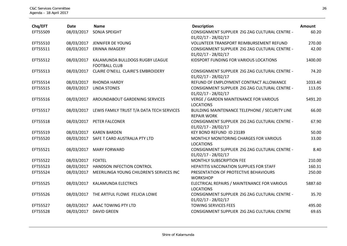| Chq/EFT  | <b>Date</b> | <b>Name</b>                                             | <b>Description</b>                                                      | Amount  |
|----------|-------------|---------------------------------------------------------|-------------------------------------------------------------------------|---------|
| EFT55509 | 08/03/2017  | SONJA SPEIGHT                                           | CONSIGNMENT SUPPLIER ZIG ZAG CULTURAL CENTRE -<br>$01/02/17 - 28/02/17$ | 60.20   |
| EFT55510 | 08/03/2017  | JENNIFER DE YOUNG                                       | VOLUNTEER TRANSPORT REIMBURSEMENT REFUND                                | 270.00  |
| EFT55511 | 08/03/2017  | <b>ERINNA IMAGERY</b>                                   | CONSIGNMENT SUPPLIER ZIG ZAG CULTURAL CENTRE -<br>$01/02/17 - 28/02/17$ | 42.00   |
| EFT55512 | 08/03/2017  | KALAMUNDA BULLDOGS RUGBY LEAGUE<br><b>FOOTBALL CLUB</b> | KIDSPORT FUNDING FOR VARIOUS LOCATIONS                                  | 1400.00 |
| EFT55513 | 08/03/2017  | CLAIRE O'NEILL CLAIRE'S EMBROIDERY                      | CONSIGNMENT SUPPLIER ZIG ZAG CULTURAL CENTRE -<br>$01/02/17 - 28/02/17$ | 74.20   |
| EFT55514 | 08/03/2017  | <b>RHONDA HARDY</b>                                     | REFUND OF EMPLOYMENT CONTRACT ALLOWANCE                                 | 1033.40 |
| EFT55515 | 08/03/2017  | <b>LINDA STONES</b>                                     | CONSIGNMENT SUPPLIER ZIG ZAG CULTURAL CENTRE -<br>$01/02/17 - 28/02/17$ | 113.05  |
| EFT55516 | 08/03/2017  | AROUNDABOUT GARDENING SERVICES                          | <b>VERGE / GARDEN MAINTENANCE FOR VARIOUS</b><br><b>LOCATIONS</b>       | 5491.20 |
| EFT55517 | 08/03/2017  | LEWIS FAMILY TRUST T/A DATA TECH SERVICES               | BUILDING MAINTENANCE TELEPHONE / SECURITY LINE<br><b>REPAIR WORK</b>    | 66.00   |
| EFT55518 | 08/03/2017  | PETER FALCONER                                          | CONSIGNMENT SUPPLIER ZIG ZAG CULTURAL CENTRE -<br>$01/02/17 - 28/02/17$ | 67.90   |
| EFT55519 | 08/03/2017  | <b>KAREN BARDEN</b>                                     | KEY BOND REFUND ID 23189                                                | 50.00   |
| EFT55520 | 08/03/2017  | SAFE T CARD AUSTRALIA PTY LTD                           | MONTHLY MONITORING CHARGES FOR VARIOUS<br><b>LOCATIONS</b>              | 33.00   |
| EFT55521 | 08/03/2017  | <b>MARY FORWARD</b>                                     | CONSIGNMENT SUPPLIER ZIG ZAG CULTURAL CENTRE -<br>$01/02/17 - 28/02/17$ | 8.40    |
| EFT55522 | 08/03/2017  | <b>FOXTEL</b>                                           | <b>MONTHLY SUBSCRIPTION FEE</b>                                         | 210.00  |
| EFT55523 | 08/03/2017  | HANDSON INFECTION CONTROL                               | HEPATITIS VACCINATION SUPPLIES FOR STAFF                                | 160.31  |
| EFT55524 | 08/03/2017  | MEERILINGA YOUNG CHILDREN'S SERVICES INC                | PRESENTATION OF PROTECTIVE BEHAVIOURS<br><b>WORKSHOP</b>                | 250.00  |
| EFT55525 | 08/03/2017  | KALAMUNDA ELECTRICS                                     | ELECTRICAL REPAIRS / MAINTENANCE FOR VARIOUS<br><b>LOCATIONS</b>        | 5887.60 |
| EFT55526 | 08/03/2017  | THE ARTFUL FLOWE FELICIA LOWE                           | CONSIGNMENT SUPPLIER ZIG ZAG CULTURAL CENTRE -<br>$01/02/17 - 28/02/17$ | 35.70   |
| EFT55527 | 08/03/2017  | AAAC TOWING PTY LTD                                     | <b>TOWING SERVICES FEES</b>                                             | 495.00  |
| EFT55528 | 08/03/2017  | <b>DAVID GREEN</b>                                      | CONSIGNMENT SUPPLIER ZIG ZAG CULTURAL CENTRE                            | 69.65   |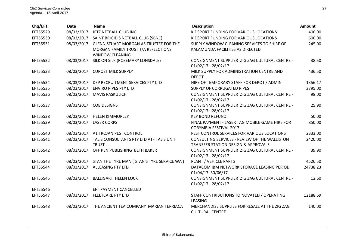| Chq/EFT  | <b>Date</b> | <b>Name</b>                                   | <b>Description</b>                             | <b>Amount</b> |
|----------|-------------|-----------------------------------------------|------------------------------------------------|---------------|
| EFT55529 | 08/03/2017  | JETZ NETBALL CLUB INC                         | KIDSPORT FUNDING FOR VARIOUS LOCATIONS         | 400.00        |
| EFT55530 | 08/03/2017  | SAINT BRIGID'S NETBALL CLUB (SBNC)            | KIDSPORT FUNDING FOR VARIOUS LOCATIONS         | 600.00        |
| EFT55531 | 08/03/2017  | <b>GLENN STUART MORGAN AS TRUSTEE FOR THE</b> | SUPPLY WINDOW CLEANING SERVICES TO SHIRE OF    | 245.00        |
|          |             | MORGAN FAMILY TRUST T/A REFLECTIONS           | KALAMUNDA FACILITIES AS DIRECTED               |               |
|          |             | <b>WINDOW CLEANING</b>                        |                                                |               |
| EFT55532 | 08/03/2017  | SILK ON SILK (ROSEMARY LONSDALE)              | CONSIGNMENT SUPPLIER ZIG ZAG CULTURAL CENTRE - | 38.50         |
|          |             |                                               | $01/02/17 - 28/02/17$                          |               |
| EFT55533 | 08/03/2017  | <b>CUROST MILK SUPPLY</b>                     | MILK SUPPLY FOR ADMINISTRATION CENTRE AND      | 436.50        |
|          |             |                                               | <b>DEPOT</b>                                   |               |
| EFT55534 | 08/03/2017  | DFP RECRUITMENT SERVICES PTY LTD              | HIRE OF TEMPORARY STAFF FOR DEPOT / ADMIN      | 1356.17       |
| EFT55535 | 08/03/2017  | <b>ENVIRO PIPES PTY LTD</b>                   | SUPPLY OF CORRUGATED PIPES                     | 3795.00       |
| EFT55536 | 08/03/2017  | <b>MAVIS PASKULICH</b>                        | CONSIGNMENT SUPPLIER ZIG ZAG CULTURAL CENTRE - | 98.00         |
|          |             |                                               | $01/02/17 - 28/02/17$                          |               |
| EFT55537 | 08/03/2017  | <b>COB DESIGNS</b>                            | CONSIGNMENT SUPPLIER ZIG ZAG CULTURAL CENTRE - | 25.90         |
|          |             |                                               | $01/02/17 - 28/02/17$                          |               |
| EFT55538 | 08/03/2017  | <b>HELEN KIMMORLEY</b>                        | <b>KEY BOND REFUND</b>                         | 50.00         |
| EFT55539 | 08/03/2017  | <b>LASER CORPS</b>                            | FINAL PAYMENT - LASER TAG MOBILE GAME HIRE FOR | 850.00        |
|          |             |                                               | <b>CORYMBIA FESTIVAL 2017</b>                  |               |
| EFT55540 | 08/03/2017  | A1 TROJAN PEST CONTROL                        | PEST CONTROL SERVICES FOR VARIOUS LOCATIONS    | 2333.00       |
| EFT55541 | 08/03/2017  | TALIS CONSULTANTS PTY LTD ATF TALIS UNIT      | CONSULTING SERVICES - REVIEW OF THE WALLISTON  | 2420.00       |
|          |             | <b>TRUST</b>                                  | <b>TRANSFER STATION DESIGN &amp; APPROVALS</b> |               |
| EFT55542 | 08/03/2017  | OFF PEN PUBLISHING BETH BAKER                 | CONSIGNMENT SUPPLIER ZIG ZAG CULTURAL CENTRE - | 39.90         |
|          |             |                                               | $01/02/17 - 28/02/17$                          |               |
| EFT55543 | 08/03/2017  | STAN THE TYRE MAN ( STAN'S TYRE SERVICE WA )  | PLANT / VEHICLE PARTS                          | 4526.50       |
| EFT55544 | 08/03/2017  | <b>ALLEASING PTY LTD</b>                      | DATACOM IBM NETWORK STORAGE LEASING PERIOD     | 24738.23      |
|          |             |                                               | 01/04/17 30/06/17                              |               |
| EFT55545 | 08/03/2017  | <b>BALLIGART HELEN LOCK</b>                   | CONSIGNMENT SUPPLIER ZIG ZAG CULTURAL CENTRE - | 12.60         |
|          |             |                                               | $01/02/17 - 28/02/17$                          |               |
| EFT55546 |             | EFT PAYMENT CANCELLED                         |                                                |               |
| EFT55547 | 08/03/2017  | <b>FLEETCARE PTY LTD</b>                      | STAFF CONTRIBUTIONS TO NOVATED / OPERATING     | 12188.69      |
|          |             |                                               | LEASING                                        |               |
| EFT55548 | 08/03/2017  | THE ANCIENT TEA COMPANY MARIAN TERRIACA       | MERCHANDISE SUPPLIES FOR RESALE AT THE ZIG ZAG | 140.00        |
|          |             |                                               | <b>CULTURAL CENTRE</b>                         |               |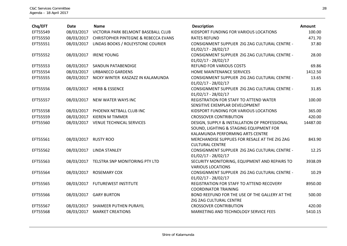| Chq/EFT  | <b>Date</b> | <b>Name</b>                                     | <b>Description</b>                                                                                                           | Amount   |
|----------|-------------|-------------------------------------------------|------------------------------------------------------------------------------------------------------------------------------|----------|
| EFT55549 | 08/03/2017  | VICTORIA PARK BELMONT BASEBALL CLUB             | KIDSPORT FUNDING FOR VARIOUS LOCATIONS                                                                                       | 100.00   |
| EFT55550 | 08/03/2017  | <b>CHRISTOPHER PINTEGNE &amp; REBECCA EVANS</b> | <b>RATES REFUND</b>                                                                                                          | 471.70   |
| EFT55551 | 08/03/2017  | LINDAS BOOKS / ROLEYSTONE COURIER               | CONSIGNMENT SUPPLIER ZIG ZAG CULTURAL CENTRE -<br>$01/02/17 - 28/02/17$                                                      | 37.80    |
| EFT55552 | 08/03/2017  | <b>IRENE YOUNG</b>                              | CONSIGNMENT SUPPLIER ZIG ZAG CULTURAL CENTRE -<br>$01/02/17 - 28/02/17$                                                      | 28.00    |
| EFT55553 | 08/03/2017  | SANDUN PATABENDIGE                              | <b>REFUND FOR VARIOUS COSTS</b>                                                                                              | 69.86    |
| EFT55554 | 08/03/2017  | <b>URBANECO GARDENS</b>                         | HOME MAINTENANCE SERVICES                                                                                                    | 1412.50  |
| EFT55555 | 08/03/2017  | NICKY WINTER KASZAZZ IN KALAMUNDA               | CONSIGNMENT SUPPLIER ZIG ZAG CULTURAL CENTRE -<br>$01/02/17 - 28/02/17$                                                      | 13.65    |
| EFT55556 | 08/03/2017  | <b>HERB &amp; ESSENCE</b>                       | CONSIGNMENT SUPPLIER ZIG ZAG CULTURAL CENTRE -<br>$01/02/17 - 28/02/17$                                                      | 31.85    |
| EFT55557 | 08/03/2017  | NEW WATER WAYS INC                              | REGISTRATION FOR STAFF TO ATTEND WATER<br>SENSITIVE EXEMPLAR DEVELOPMENT                                                     | 100.00   |
| EFT55558 | 08/03/2017  | PHOENIX NETBALL CLUB INC                        | KIDSPORT FUNDING FOR VARIOUS LOCATIONS                                                                                       | 365.00   |
| EFT55559 | 08/03/2017  | <b>KIEREN M TIMMER</b>                          | <b>CROSSOVER CONTRIBUTION</b>                                                                                                | 420.00   |
| EFT55560 | 08/03/2017  | <b>VENUE TECHNICAL SERVICES</b>                 | DESIGN, SUPPLY & INSTALLATION OF PROFESSIONAL<br>SOUND, LIGHTING & STAGING EQUIPMENT FOR<br>KALAMUNDA PERFORMING ARTS CENTRE | 14487.00 |
| EFT55561 | 08/03/2017  | <b>RUSTY ROO</b>                                | MERCHANDISE SUPPLIES FOR RESALE AT THE ZIG ZAG<br><b>CULTURAL CENTRE</b>                                                     | 843.90   |
| EFT55562 | 08/03/2017  | <b>LINDA STANLEY</b>                            | CONSIGNMENT SUPPLIER ZIG ZAG CULTURAL CENTRE -<br>$01/02/17 - 28/02/17$                                                      | 12.25    |
| EFT55563 | 08/03/2017  | TELSTRA SNP MONITORING PTY LTD                  | SECURITY MONITORING, EQUIPMENT AND REPAIRS TO<br><b>VARIOUS LOCATIONS</b>                                                    | 3938.09  |
| EFT55564 | 08/03/2017  | <b>ROSEMARY COX</b>                             | CONSIGNMENT SUPPLIER ZIG ZAG CULTURAL CENTRE -<br>$01/02/17 - 28/02/17$                                                      | 10.29    |
| EFT55565 | 08/03/2017  | <b>FUTUREWEST INSTITUTE</b>                     | REGISTRATION FOR STAFF TO ATTEND RECOVERY<br><b>COORDINATOR TRAINING</b>                                                     | 8950.00  |
| EFT55566 | 08/03/2017  | <b>GARY BURTON</b>                              | BOND REEFUND FOR THE USE OF THE GALLERY AT THE<br>ZIG ZAG CULTURAL CENTRE                                                    | 500.00   |
| EFT55567 | 08/03/2017  | SHAMEER PUTHEN PURAYIL                          | <b>CROSSOVER CONTRIBUTION</b>                                                                                                | 420.00   |
| EFT55568 | 08/03/2017  | <b>MARKET CREATIONS</b>                         | MARKETING AND TECHNOLOGY SERVICE FEES                                                                                        | 5410.15  |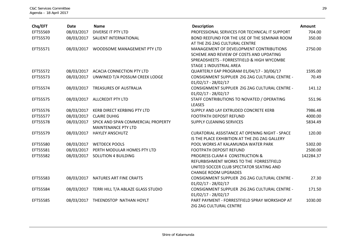| Chq/EFT  | <b>Date</b> | <b>Name</b>                                                      | <b>Description</b>                                                                                                                                                 | Amount    |
|----------|-------------|------------------------------------------------------------------|--------------------------------------------------------------------------------------------------------------------------------------------------------------------|-----------|
| EFT55569 | 08/03/2017  | <b>DIVERSE IT PTY LTD</b>                                        | PROFESSIONAL SERVICES FOR TECHNICAL IT SUPPORT                                                                                                                     | 704.00    |
| EFT55570 | 08/03/2017  | SALIENT INTERNATIONAL                                            | BOND REEFUND FOR THE USE OF THE SEMINAR ROOM<br>AT THE ZIG ZAG CULTURAL CENTRE                                                                                     | 350.00    |
| EFT55571 | 08/03/2017  | WOODSOME MANAGEMENT PTY LTD                                      | MANAGEMENT OF DEVELOPMENT CONTRIBUTIONS<br>SCHEME AND REVIEW OF COSTS AND UPDATING<br>SPREADSHEETS - FORRESTFIELD & HIGH WYCOMBE<br><b>STAGE 1 INDUSTRIAL AREA</b> | 2750.00   |
| EFT55572 | 08/03/2017  | <b>ACACIA CONNECTION PTY LTD</b>                                 | QUARTERLY EAP PROGRAM 01/04/17 - 30/06/17                                                                                                                          | 1595.00   |
| EFT55573 | 08/03/2017  | UNWINED T/A POSSUM CREEK LODGE                                   | CONSIGNMENT SUPPLIER ZIG ZAG CULTURAL CENTRE -<br>$01/02/17 - 28/02/17$                                                                                            | 70.49     |
| EFT55574 | 08/03/2017  | <b>TREASURES OF AUSTRALIA</b>                                    | CONSIGNMENT SUPPLIER ZIG ZAG CULTURAL CENTRE -<br>$01/02/17 - 28/02/17$                                                                                            | 141.12    |
| EFT55575 | 08/03/2017  | <b>ALLCREDIT PTY LTD</b>                                         | STAFF CONTRIBUTIONS TO NOVATED / OPERATING<br>LEASES                                                                                                               | 551.96    |
| EFT55576 | 08/03/2017  | <b>KERB DIRECT KERBING PTY LTD</b>                               | SUPPLY AND LAY EXTRUDED CONCRETE KERB                                                                                                                              | 7986.48   |
| EFT55577 | 08/03/2017  | <b>CLAIRE DUHIG</b>                                              | FOOTPATH DEPOSIT REFUND                                                                                                                                            | 4000.00   |
| EFT55578 | 08/03/2017  | SPICK AND SPAN COMMERCIAL PROPERTY<br><b>MAINTENANCE PTY LTD</b> | <b>SUPPLY CLEANING SERVICES</b>                                                                                                                                    | 5834.49   |
| EFT55579 | 08/03/2017  | <b>HAYLEY ANSCHUTZ</b>                                           | <b>CURATORIAL ASSISTANCE AT OPENING NIGHT - SPACE</b><br>IS THE PLACE EXHIBITION AT THE ZIG ZAG GALLERY                                                            | 120.00    |
| EFT55580 | 08/03/2017  | <b>WETDECK POOLS</b>                                             | POOL WORKS AT KALAMUNDA WATER PARK                                                                                                                                 | 5302.00   |
| EFT55581 | 08/03/2017  | PERTH MODULAR HOMES PTY LTD                                      | <b>FOOTPATH DEPOSIT REFUND</b>                                                                                                                                     | 2500.00   |
| EFT55582 | 08/03/2017  | <b>SOLUTION 4 BUILDING</b>                                       | PROGRESS CLAIM 4 CONSTRUCTION &<br>REFURBISHMENT WORKS TO THE FORRESTFIELD<br>UNITED SOCCER CLUB SPECTATOR SEATING AND<br><b>CHANGE ROOM UPGRADES</b>              | 142284.37 |
| EFT55583 | 08/03/2017  | NATURES ART FINE CRAFTS                                          | CONSIGNMENT SUPPLIER ZIG ZAG CULTURAL CENTRE -<br>$01/02/17 - 28/02/17$                                                                                            | 27.30     |
| EFT55584 | 08/03/2017  | TERRI HILL T/A ABLAZE GLASS STUDIO                               | CONSIGNMENT SUPPLIER ZIG ZAG CULTURAL CENTRE -<br>$01/02/17 - 28/02/17$                                                                                            | 171.50    |
| EFT55585 | 08/03/2017  | THEENDSTOP NATHAN HOYLT                                          | PART PAYMENT - FORRESTFIELD SPRAY WORKSHOP AT<br>ZIG ZAG CULTURAL CENTRE                                                                                           | 1030.00   |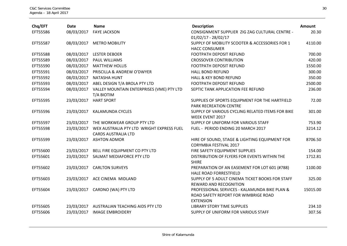| Chq/EFT  | <b>Date</b> | <b>Name</b>                                                             | <b>Description</b>                                                                                        | Amount   |
|----------|-------------|-------------------------------------------------------------------------|-----------------------------------------------------------------------------------------------------------|----------|
| EFT55586 | 08/03/2017  | <b>FAYE JACKSON</b>                                                     | CONSIGNMENT SUPPLIER ZIG ZAG CULTURAL CENTRE -<br>$01/02/17 - 28/02/17$                                   | 20.30    |
| EFT55587 | 08/03/2017  | <b>METRO MOBILITY</b>                                                   | SUPPLY OF MOBILITY SCOOTER & ACCESSORIES FOR 1<br><b>HACC CONSUMER</b>                                    | 4110.00  |
| EFT55588 | 08/03/2017  | <b>LESTER DEBOER</b>                                                    | FOOTPATH DEPOSIT REFUND                                                                                   | 700.00   |
| EFT55589 | 08/03/2017  | <b>PAUL WILLIAMS</b>                                                    | <b>CROSSOVER CONTRIBUTION</b>                                                                             | 420.00   |
| EFT55590 | 08/03/2017  | <b>MATTHEW HOLLIS</b>                                                   | <b>FOOTPATH DEPOSIT REFUND</b>                                                                            | 1550.00  |
| EFT55591 | 08/03/2017  | PRISCILLA & ANDREW O'DWYER                                              | <b>HALL BOND REFUND</b>                                                                                   | 300.00   |
| EFT55592 | 08/03/2017  | <b>NATASHA HUNT</b>                                                     | <b>HALL &amp; KEY BOND REFUND</b>                                                                         | 350.00   |
| EFT55593 | 08/03/2017  | ABEL DESIGN T/A BROLA PTY LTD                                           | FOOTPATH DEPOSIT REFUND                                                                                   | 2500.00  |
| EFT55594 | 08/03/2017  | VALLEY MOUNTAIN ENTERPRISES (VME) PTY LTD<br>T/A BIOTIM                 | SEPTIC TANK APPLICATION FEE REFUND                                                                        | 236.00   |
| EFT55595 | 23/03/2017  | <b>HART SPORT</b>                                                       | SUPPLIES OF SPORTS EQUIPMENT FOR THE HARTFIELD<br>PARK RECREATION CENTRE                                  | 72.00    |
| EFT55596 | 23/03/2017  | <b>KALAMUNDA CYCLES</b>                                                 | SUPPLY OF VARIOUS CYCLING RELATED ITEMS FOR BIKE<br><b>WEEK EVENT 2017</b>                                | 301.00   |
| EFT55597 | 23/03/2017  | THE WORKWEAR GROUP PTY LTD                                              | SUPPLY OF UNIFORM FOR VARIOUS STAFF                                                                       | 753.90   |
| EFT55598 | 23/03/2017  | WEX AUSTRALIA PTY LTD WRIGHT EXPRESS FUEL<br><b>CARDS AUSTRALIA LTD</b> | FUEL - PERIOD ENDING 20 MARCH 2017                                                                        | 3214.12  |
| EFT55599 | 23/03/2017  | <b>ASHTON ADMOR</b>                                                     | HIRE OF SOUND, STAGE & LIGHTING EQUIPMENT FOR<br><b>CORYMBIA FESTIVAL 2017</b>                            | 8706.50  |
| EFT55600 | 23/03/2017  | BELL FIRE EQUIPMENT CO PTY LTD                                          | FIRE SAFETY EQUIPMENT SUPPLIES                                                                            | 154.00   |
| EFT55601 | 23/03/2017  | SALMAT MEDIAFORCE PTY LTD                                               | DISTRIBUTION OF FLYERS FOR EVENTS WITHIN THE<br><b>SHIRE</b>                                              | 1712.81  |
| EFT55602 | 23/03/2017  | <b>CARLTON SURVEYS</b>                                                  | PREPARATION OF AN EASEMENT FOR LOT 601 (#788)<br>HALE ROAD FORRESTFIELD                                   | 1100.00  |
| EFT55603 | 23/03/2017  | ACE CINEMA MIDLAND                                                      | SUPPLY OF 5 ADULT CINEMA TICKET BOOKS FOR STAFF<br><b>REWARD AND RECOGNITION</b>                          | 325.00   |
| EFT55604 |             | 23/03/2017 CARDNO (WA) PTY LTD                                          | PROFESSIONAL SERVICES - KALAMUNDA BIKE PLAN &<br>ROAD SAFETY REPORT FOR WIMBRIGE ROAD<br><b>EXTENSION</b> | 15015.00 |
| EFT55605 | 23/03/2017  | AUSTRALIAN TEACHING AIDS PTY LTD                                        | <b>LIBRARY STORY TIME SUPPLIES</b>                                                                        | 234.10   |
| EFT55606 | 23/03/2017  | <b>IMAGE EMBROIDERY</b>                                                 | SUPPLY OF UNIFORM FOR VARIOUS STAFF                                                                       | 307.56   |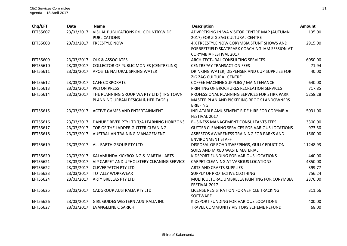| Chq/EFT  | <b>Date</b> | <b>Name</b>                                    | <b>Description</b>                             | Amount   |
|----------|-------------|------------------------------------------------|------------------------------------------------|----------|
| EFT55607 | 23/03/2017  | VISUAL PUBLICATIONS P/L COUNTRYWIDE            | ADVERTISING IN WA VISITOR CENTRE MAP (AUTUMN   | 135.00   |
|          |             | <b>PUBLICATIONS</b>                            | 2017) FOR ZIG ZAG CULTURAL CENTRE              |          |
| EFT55608 | 23/03/2017  | <b>FREESTYLE NOW</b>                           | 4 X FREESTYLE NOW CORYMBIA STUNT SHOWS AND     | 2915.00  |
|          |             |                                                | FORRESTFIELD SKATEPARK COACHING JAM SESSION AT |          |
|          |             |                                                | CORYMBIA FESTIVAL 2017                         |          |
| EFT55609 | 23/03/2017  | <b>OLK &amp; ASSOCIATES</b>                    | ARCHITECTURAL CONSULTING SERVICES              | 6050.00  |
| EFT55610 | 23/03/2017  | <b>COLLECTOR OF PUBLIC MONIES (CENTRELINK)</b> | <b>CENTREPAY TRANSACTION FEES</b>              | 71.94    |
| EFT55611 | 23/03/2017  | APOSTLE NATURAL SPRING WATER                   | DRINKING WATER, DISPENSER AND CUP SUPPLIES FOR | 40.00    |
|          |             |                                                | ZIG ZAG CULTURAL CENTRE                        |          |
| EFT55612 | 23/03/2017  | <b>CAFE CORPORATE</b>                          | COFFEE MACHINE SUPPLIES / MAINTENANCE          | 640.00   |
| EFT55613 | 23/03/2017  | <b>PICTON PRESS</b>                            | PRINTING OF BROCHURES RECREATION SERVICES      | 717.85   |
| EFT55614 | 23/03/2017  | THE PLANNING GROUP WA PTY LTD (TPG TOWN        | PROFESSIONAL PLANNING SERVICES FOR STIRK PARK  | 5258.28  |
|          |             | PLANNING URBAN DESIGN & HERITAGE)              | MASTER PLAN AND PICKERING BROOK LANDOWNERS     |          |
|          |             |                                                | <b>BRIEFING</b>                                |          |
| EFT55615 | 23/03/2017  | ACTIVE GAMES AND ENTERTAINMENT                 | INFLATABLE AMUSEMENT RIDE HIRE FOR CORYMBIA    | 5031.00  |
|          |             |                                                | FESTIVAL 2017                                  |          |
| EFT55616 | 23/03/2017  | DANUBE RIVER PTY LTD T/A LEARNING HORIZONS     | <b>BUSINESS MANAGEMENT CONSULTANTS FEES</b>    | 3300.00  |
| EFT55617 | 23/03/2017  | TOP OF THE LADDER GUTTER CLEANING              | GUTTER CLEANING SERVICES FOR VARIOUS LOCATIONS | 973.50   |
| EFT55618 | 23/03/2017  | AUSTRALIAN TRAINING MANAGEMENT                 | ASBESTOS AWARENESS TRAINING FOR PARKS AND      | 1560.00  |
|          |             |                                                | <b>ENVIRONMENT STAFF</b>                       |          |
| EFT55619 | 23/03/2017  | ALL EARTH GROUP PTY LTD                        | DISPOSAL OF ROAD SWEEPINGS, GULLY EDUCTION     | 11248.93 |
|          |             |                                                | SOILS AND MIXED WASTE MATERIAL                 |          |
| EFT55620 | 23/03/2017  | KALAMUNDA KICKBOXING & MARTIAL ARTS            | KIDSPORT FUNDING FOR VARIOUS LOCATIONS         | 440.00   |
| EFT55621 | 23/03/2017  | VIP CARPET AND UPHOLSTERY CLEANING SERVICE     | CARPET CLEANING AT VARIOUS LOCATIONS           | 4850.00  |
| EFT55622 | 23/03/2017  | <b>CLEVERPATCH PTY LTD</b>                     | ARTS AND CRAFTS SUPPLIES                       | 399.77   |
| EFT55623 | 23/03/2017  | <b>TOTALLY WORKWEAR</b>                        | SUPPLY OF PROTECTIVE CLOTHING                  | 756.24   |
| EFT55624 | 23/03/2017  | <b>ARTY BRELLAS PTY LTD</b>                    | MULTICULTURAL UMBRELLA PAINTING FOR CORYMBIA   | 2376.00  |
|          |             |                                                | FESTIVAL 2017                                  |          |
| EFT55625 | 23/03/2017  | CADGROUP AUSTRALIA PTY LTD                     | LICENSE REGISTRATION FOR VEHICLE TRACKING      | 311.66   |
|          |             |                                                | SOFTWARE                                       |          |
| EFT55626 | 23/03/2017  | GIRL GUIDES WESTERN AUSTRALIA INC              | KIDSPORT FUNDING FOR VARIOUS LOCATIONS         | 400.00   |
| EFT55627 | 23/03/2017  | <b>EVANGELINE C SARICH</b>                     | TRAVEL COMMUNITY VISITORS SCHEME REFUND        | 68.00    |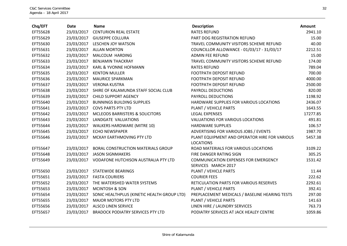| Chq/EFT  | <b>Date</b> | <b>Name</b>                                            | <b>Description</b>                                                 | <b>Amount</b> |
|----------|-------------|--------------------------------------------------------|--------------------------------------------------------------------|---------------|
| EFT55628 | 23/03/2017  | <b>CENTURION REAL ESTATE</b>                           | <b>RATES REFUND</b>                                                | 2941.10       |
| EFT55629 |             | 23/03/2017 GIUSEPPE COLLURA                            | PART DOG REGISTRATION REFUND                                       | 15.00         |
| EFT55630 |             | 23/03/2017 LESCHEN JOY WATSON                          | TRAVEL COMMUNITY VISITORS SCHEME REFUND                            | 40.00         |
| EFT55631 |             | 23/03/2017 ALLAN MORTON                                | COUNCILLOR ALLOWANCE - 01/03/17 - 31/03/17                         | 2212.51       |
| EFT55632 |             | 23/03/2017 MALCOLM HARDING                             | <b>ADMIN FEE REFUND</b>                                            | 15.00         |
| EFT55633 | 23/03/2017  | BENJAMIN THACKRAY                                      | TRAVEL COMMUNITY VISITORS SCHEME REFUND                            | 174.00        |
| EFT55634 | 23/03/2017  | KARL & YVONNE HOFMANN                                  | <b>RATES REFUND</b>                                                | 789.04        |
| EFT55635 |             | 23/03/2017 KENTON MULLER                               | <b>FOOTPATH DEPOSIT REFUND</b>                                     | 700.00        |
| EFT55636 |             | 23/03/2017 MAURICE SPARKMAN                            | <b>FOOTPATH DEPOSIT REFUND</b>                                     | 4000.00       |
| EFT55637 |             | 23/03/2017 VERONA KUSTRA                               | <b>FOOTPATH DEPOSIT REFUND</b>                                     | 2500.00       |
| EFT55638 |             | 23/03/2017 SHIRE OF KALAMUNDA STAFF SOCIAL CLUB        | PAYROLL DEDUCTIONS                                                 | 820.00        |
| EFT55639 |             | 23/03/2017 CHILD SUPPORT AGENCY                        | PAYROLL DEDUCTIONS                                                 | 1198.92       |
| EFT55640 |             | 23/03/2017 BUNNINGS BUILDING SUPPLIES                  | HARDWARE SUPPLIES FOR VARIOUS LOCATIONS                            | 2436.07       |
| EFT55641 |             | 23/03/2017 COVS PARTS PTY LTD                          | PLANT / VEHICLE PARTS                                              | 1643.55       |
| EFT55642 |             | 23/03/2017 MCLEODS BARRISTERS & SOLICITORS             | <b>LEGAL EXPENSES</b>                                              | 17277.85      |
| EFT55643 |             | 23/03/2017 LANDGATE VALUATIONS                         | VALUATIONS FOR VARIOUS LOCATIONS                                   | 491.81        |
| EFT55644 |             | 23/03/2017 WALKERS HARDWARE (MITRE 10)                 | <b>HARDWARE SUPPLIES</b>                                           | 106.57        |
| EFT55645 |             | 23/03/2017 ECHO NEWSPAPER                              | ADVERTISING FOR VARIOUS JOBS / EVENTS                              | 1987.70       |
| EFT55646 | 23/03/2017  | MCKAY EARTHMOVING PTY LTD                              | PLANT EQUIPMENT AND OPERATOR HIRE FOR VARIOUS<br><b>LOCATIONS</b>  | 5457.38       |
| EFT55647 |             | 23/03/2017 BORAL CONSTRUCTION MATERIALS GROUP          | ROAD MATERIALS FOR VARIOUS LOCATIONS                               | 3109.22       |
| EFT55648 | 23/03/2017  | <b>JASON SIGNMAKERS</b>                                | FIRE DANGER RATING SIGN                                            | 305.25        |
| EFT55649 |             | 23/03/2017 VODAFONE HUTCHISON AUSTRALIA PTY LTD        | <b>COMMUNICATION EXPENSES FOR EMERGENCY</b><br>SERVICES MARCH 2017 | 1531.42       |
| EFT55650 |             | 23/03/2017 STATEWIDE BEARINGS                          | PLANT / VEHICLE PARTS                                              | 11.44         |
| EFT55651 |             | 23/03/2017 FASTA COURIERS                              | <b>COURIER FEES</b>                                                | 222.62        |
| EFT55652 | 23/03/2017  | THE WATERSHED WATER SYSTEMS                            | RETICULATION PARTS FOR VARIOUS RESERVES                            | 2292.61       |
| EFT55653 |             | 23/03/2017 MCINTOSH & SON                              | PLANT / VEHICLE PARTS                                              | 392.41        |
| EFT55654 |             | 23/03/2017 SONIC HEALTHPLUS (KINETIC HEALTH GROUP LTD) | PREPLACEMENT MEDICALS / BASELINE HEARING TESTS                     | 297.00        |
| EFT55655 | 23/03/2017  | <b>MAJOR MOTORS PTY LTD</b>                            | PLANT / VEHICLE PARTS                                              | 141.63        |
| EFT55656 |             | 23/03/2017 ALSCO LINEN SERVICE                         | LINEN HIRE / LAUNDRY SERVICES                                      | 763.73        |
| EFT55657 | 23/03/2017  | <b>BRADOCK PODIATRY SERVICES PTY LTD</b>               | PODIATRY SERVICES AT JACK HEALEY CENTRE                            | 1059.86       |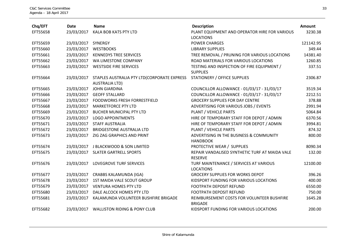| Chq/EFT  | <b>Date</b>        | <b>Name</b>                                                          | <b>Description</b>                                                | Amount    |
|----------|--------------------|----------------------------------------------------------------------|-------------------------------------------------------------------|-----------|
| EFT55658 | 23/03/2017         | KALA BOB KATS PTY LTD                                                | PLANT EQUIPMENT AND OPERATOR HIRE FOR VARIOUS<br><b>LOCATIONS</b> | 3230.38   |
| EFT55659 | 23/03/2017 SYNERGY |                                                                      | <b>POWER CHARGES</b>                                              | 121142.95 |
| EFT55660 | 23/03/2017         | <b>WESTBOOKS</b>                                                     | <b>LIBRARY SUPPLIES</b>                                           | 349.44    |
| EFT55661 | 23/03/2017         | <b>KENNEDYS TREE SERVICES</b>                                        | TREE REMOVAL / PRUNING FOR VARIOUS LOCATIONS                      | 14381.40  |
| EFT55662 |                    | 23/03/2017 WA LIMESTONE COMPANY                                      | ROAD MATERIALS FOR VARIOUS LOCATIONS                              | 1260.85   |
| EFT55663 |                    | 23/03/2017 WESTSIDE FIRE SERVICES                                    | TESTING AND INSPECTION OF FIRE EQUIPMENT /<br><b>SUPPLIES</b>     | 337.51    |
| EFT55664 | 23/03/2017         | STAPLES AUSTRALIA PTY LTD(CORPORATE EXPRESS<br><b>AUSTRALIA LTD)</b> | <b>STATIONERY / OFFICE SUPPLIES</b>                               | 2306.87   |
| EFT55665 | 23/03/2017         | <b>JOHN GIARDINA</b>                                                 | COUNCILLOR ALLOWANCE - 01/03/17 - 31/03/17                        | 3519.34   |
| EFT55666 | 23/03/2017         | <b>GEOFF STALLARD</b>                                                | COUNCILLOR ALLOWANCE - 01/03/17 - 31/03/17                        | 2212.51   |
| EFT55667 | 23/03/2017         | <b>FOODWORKS FRESH FORRESTFIELD</b>                                  | <b>GROCERY SUPPLIES FOR DAY CENTRE</b>                            | 378.88    |
| EFT55668 | 23/03/2017         | <b>MARKETFORCE PTY LTD</b>                                           | ADVERTISING FOR VARIOUS JOBS / EVENTS                             | 2991.94   |
| EFT55669 | 23/03/2017         | <b>BUCHER MUNICIPAL PTY LTD</b>                                      | PLANT / VEHICLE PARTS                                             | 5064.84   |
| EFT55670 | 23/03/2017         | <b>LOGO APPOINTMENTS</b>                                             | HIRE OF TEMPORARY STAFF FOR DEPOT / ADMIN                         | 6370.56   |
| EFT55671 | 23/03/2017         | <b>STAFF AUSTRALIA</b>                                               | HIRE OF TEMPORARY STAFF FOR DEPOT / ADMIN                         | 3994.81   |
| EFT55672 | 23/03/2017         | <b>BRIDGESTONE AUSTRALIA LTD</b>                                     | PLANT / VEHICLE PARTS                                             | 874.32    |
| EFT55673 | 23/03/2017         | ZIG ZAG GRAPHICS AND PRINT                                           | ADVERTISING IN THE BUSINESS & COMMUNITY<br><b>HANDBOOK</b>        | 800.00    |
| EFT55674 | 23/03/2017         | J BLACKWOOD & SON LIMITED                                            | PROTECTIVE WEAR / SUPPLIES                                        | 8090.34   |
| EFT55675 |                    | 23/03/2017 SLATER GARTRELL SPORTS                                    | REPAIR VANDALISED SYNTHETIC TURF AT MAIDA VALE<br><b>RESERVE</b>  | 132.00    |
| EFT55676 | 23/03/2017         | LOVEGROVE TURF SERVICES                                              | TURF MAINTENANCE / SERVICES AT VARIOUS<br><b>LOCATIONS</b>        | 12100.00  |
| EFT55677 |                    | 23/03/2017 CRABBS KALAMUNDA (IGA)                                    | <b>GROCERY SUPPLIES FOR WORKS DEPOT</b>                           | 396.26    |
| EFT55678 | 23/03/2017         | 1ST MAIDA VALE SCOUT GROUP                                           | KIDSPORT FUNDING FOR VARIOUS LOCATIONS                            | 400.00    |
| EFT55679 | 23/03/2017         | <b>VENTURA HOMES PTY LTD</b>                                         | <b>FOOTPATH DEPOSIT REFUND</b>                                    | 6550.00   |
| EFT55680 | 23/03/2017         | DALE ALCOCK HOMES PTY LTD                                            | <b>FOOTPATH DEPOSIT REFUND</b>                                    | 750.00    |
| EFT55681 | 23/03/2017         | KALAMUNDA VOLUNTEER BUSHFIRE BRIGADE                                 | REIMBURSEMENT COSTS FOR VOLUNTEER BUSHFIRE<br><b>BRIGADE</b>      | 1645.28   |
| EFT55682 |                    | 23/03/2017 WALLISTON RIDING & PONY CLUB                              | KIDSPORT FUNDING FOR VARIOUS LOCATIONS                            | 200.00    |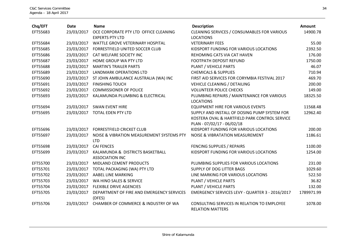| Chq/EFT  | <b>Date</b> | <b>Name</b>                                                     | <b>Description</b>                                                     | Amount     |
|----------|-------------|-----------------------------------------------------------------|------------------------------------------------------------------------|------------|
| EFT55683 | 23/03/2017  | OCE CORPORATE PTY LTD OFFICE CLEANING<br><b>EXPERTS PTY LTD</b> | <b>CLEANING SERVICES / CONSUMABLES FOR VARIOUS</b><br><b>LOCATIONS</b> | 14900.78   |
| EFT55684 | 23/03/2017  | WATTLE GROVE VETERINARY HOSPITAL                                | <b>VETERINARY FEES</b>                                                 | 55.00      |
| EFT55685 | 23/03/2017  | FORRESTFIELD UNITED SOCCER CLUB                                 | KIDSPORT FUNDING FOR VARIOUS LOCATIONS                                 | 2392.50    |
| EFT55686 | 23/03/2017  | CAT WELFARE SOCIETY INC                                         | REHOMING CATS VIA CAT HAVEN                                            | 176.00     |
| EFT55687 | 23/03/2017  | HOME GROUP WA PTY LTD                                           | <b>FOOTPATH DEPOSIT REFUND</b>                                         | 1750.00    |
| EFT55688 | 23/03/2017  | <b>MARTIN'S TRAILER PARTS</b>                                   | PLANT / VEHICLE PARTS                                                  | 46.07      |
| EFT55689 | 23/03/2017  | <b>LANDMARK OPERATIONS LTD</b>                                  | <b>CHEMICALS &amp; SUPPLIES</b>                                        | 710.94     |
| EFT55690 | 23/03/2017  | ST JOHN AMBULANCE AUSTRALIA (WA) INC                            | FIRST AID SERVICES FOR CORYMBIA FESTIVAL 2017                          | 469.70     |
| EFT55691 | 23/03/2017  | <b>FINISHING TOUCH</b>                                          | <b>VEHICLE CLEANING / DETAILING</b>                                    | 200.00     |
| EFT55692 | 23/03/2017  | <b>COMMISSIONER OF POLICE</b>                                   | <b>VOLUNTEER POLICE CHECKS</b>                                         | 149.00     |
| EFT55693 | 23/03/2017  | KALAMUNDA PLUMBING & ELECTRICAL                                 | PLUMBING REPAIRS / MAINTENANCE FOR VARIOUS<br><b>LOCATIONS</b>         | 18325.50   |
| EFT55694 | 23/03/2017  | <b>SWAN EVENT HIRE</b>                                          | <b>EQUIPMENT HIRE FOR VARIOUS EVENTS</b>                               | 11568.48   |
| EFT55695 | 23/03/2017  | TOTAL EDEN PTY LTD                                              | SUPPLY AND INSTALL OF DOSING PUMP SYSTEM FOR                           | 12962.40   |
|          |             |                                                                 | KOSTERA OVAL & HARTFIELD PARK CONTROL SERVICE                          |            |
|          |             |                                                                 | PLAN - 07/02/17 - 06/02/18                                             |            |
| EFT55696 | 23/03/2017  | <b>FORRESTFIELD CRICKET CLUB</b>                                | KIDSPORT FUNDING FOR VARIOUS LOCATIONS                                 | 200.00     |
| EFT55697 | 23/03/2017  | NOISE & VIBRATION MEASUREMENT SYSTEMS PTY<br><b>LTD</b>         | <b>NOISE &amp; VIBRATATION MEASUREMENT</b>                             | 1186.61    |
| EFT55698 | 23/03/2017  | <b>CAI FENCES</b>                                               | FENCING SUPPLIES / REPAIRS                                             | 1100.00    |
| EFT55699 | 23/03/2017  | KALAMUNDA & DISTRICTS BASKETBALL<br><b>ASSOCIATION INC</b>      | KIDSPORT FUNDING FOR VARIOUS LOCATIONS                                 | 1254.00    |
| EFT55700 | 23/03/2017  | MIDLAND CEMENT PRODUCTS                                         | PLUMBING SUPPLIES FOR VARIOUS LOCATIONS                                | 231.00     |
| EFT55701 | 23/03/2017  | TOTAL PACKAGING (WA) PTY LTD                                    | SUPPLY OF DOG LITTER BAGS                                              | 1029.60    |
| EFT55702 | 23/03/2017  | <b>AABEL LINE MARKING</b>                                       | LINE MARKING FOR VARIOUS LOCATIONS                                     | 522.50     |
| EFT55703 | 23/03/2017  | WA HINO SALES & SERVICE                                         | PLANT / VEHICLE PARTS                                                  | 36.82      |
| EFT55704 | 23/03/2017  | <b>FLEXIBLE DRIVE AGENCIES</b>                                  | PLANT / VEHICLE PARTS                                                  | 132.00     |
| EFT55705 | 23/03/2017  | DEPARTMENT OF FIRE AND EMERGENCY SERVICES<br>(DFES)             | EMERGENCY SERVICES LEVY - QUARTER 3 - 2016/2017                        | 1789971.99 |
| EFT55706 | 23/03/2017  | CHAMBER OF COMMERCE & INDUSTRY OF WA                            | CONSULTING SERVICES IN RELATION TO EMPLOYEE<br><b>RELATION MATTERS</b> | 1078.00    |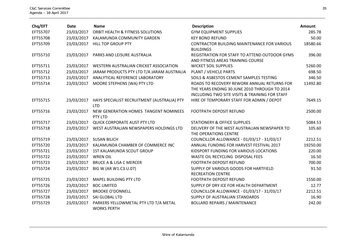| Chq/EFT  | <b>Date</b> | <b>Name</b>                                      | <b>Description</b>                                        | <b>Amount</b> |
|----------|-------------|--------------------------------------------------|-----------------------------------------------------------|---------------|
| EFT55707 | 23/03/2017  | ORBIT HEALTH & FITNESS SOLUTIONS                 | <b>GYM EQUIPMENT SUPPLIES</b>                             | 285.78        |
| EFT55708 | 23/03/2017  | KALAMUNDA COMMUNITY GARDEN                       | <b>KEY BOND REFUND</b>                                    | 50.00         |
| EFT55709 | 23/03/2017  | <b>HILL TOP GROUP PTY</b>                        | <b>CONTRACTOR BUILDING MAINTENANCE FOR VARIOUS</b>        | 18580.66      |
|          |             |                                                  | <b>BUILDINGS</b>                                          |               |
| EFT55710 | 23/03/2017  | PARKS AND LEISURE AUSTRALIA                      | REGISTRATION FOR STAFF TO ATTEND OUTDOOR GYMS             | 396.00        |
|          |             |                                                  | AND FITNESS AREAS TRAINING COURSE                         |               |
| EFT55711 | 23/03/2017  | WESTERN AUSTRALIAN CRICKET ASSOCIATION           | <b>WICKET SOIL SUPPLIES</b>                               | 5260.00       |
| EFT55712 | 23/03/2017  | JARAM PRODUCTS PTY LTD T/A JARAM AUSTRALIA       | PLANT / VEHICLE PARTS                                     | 698.50        |
| EFT55713 | 23/03/2017  | ANALYTICAL REFERENCE LABORATORY                  | SOILS & ASBESTOS CEMENT SAMPLES TESTING                   | 346.50        |
| EFT55714 | 23/03/2017  | MOORE STEPHENS (WA) PTY LTD                      | ROADS TO RECOVERY REWORK ANNUAL RETURNS FOR               | 11492.80      |
|          |             |                                                  | THE YEARS ENDING 30 JUNE 2010 THROUGH TO 2014             |               |
|          |             |                                                  | <b>INCLUDING TWO SITE VISITS &amp; TRAINING FOR STAFF</b> |               |
| EFT55715 | 23/03/2017  | HAYS SPECIALIST RECRUITMENT (AUSTRALIA) PTY      | HIRE OF TEMPORARY STAFF FOR ADMIN / DEPOT                 | 7649.15       |
|          |             | <b>LTD</b>                                       |                                                           |               |
| EFT55716 | 23/03/2017  | NEW GENERATION HOMES TANGENT NOMINEES<br>PTY LTD | <b>FOOTPATH DEPOSIT REFUND</b>                            | 2500.00       |
| EFT55717 | 23/03/2017  | QUICK CORPORATE AUST PTY LTD                     | <b>STATIONERY &amp; OFFICE SUPPLIES</b>                   | 5084.53       |
| EFT55718 | 23/03/2017  | WEST AUSTRALIAN NEWSPAPERS HOLDINGS LTD          | DELIVERY OF THE WEST AUSTRALIAN NEWSPAPER TO              | 105.60        |
|          |             |                                                  | THE OPERATIONS CENTRE                                     |               |
| EFT55719 | 23/03/2017  | <b>SUSAN BILICH</b>                              | COUNCILLOR ALLOWANCE - 01/03/17 - 31/03/17                | 2212.51       |
| EFT55720 | 23/03/2017  | KALAMUNDA CHAMBER OF COMMERCE INC                | ANNUAL FUNDING FOR HARVEST FESTIVAL 2017                  | 19250.00      |
| EFT55721 | 23/03/2017  | 1ST KALAMUNDA SCOUT GROUP                        | KIDSPORT FUNDING FOR VARIOUS LOCATIONS                    | 220.00        |
| EFT55722 | 23/03/2017  | <b>WREN OIL</b>                                  | WASTE OIL RECYCLING DISPOSAL FEES                         | 16.50         |
| EFT55723 | 23/03/2017  | <b>BRUCE A &amp; LISA C MERCER</b>               | <b>FOOTPATH DEPOSIT REFUND</b>                            | 700.00        |
| EFT55724 | 23/03/2017  | BIG W (AR W1.C3.U.07)                            | SUPPLY OF VARIOUS GOODS FOR HARTFIELD                     | 91.50         |
|          |             |                                                  | <b>RECREATION CENTRE</b>                                  |               |
| EFT55725 | 23/03/2017  | <b>MAPEL BUILDING PTY LTD</b>                    | FOOTPATH DEPOSIT REFUND                                   | 1550.00       |
| EFT55726 | 23/03/2017  | <b>BOC LIMITED</b>                               | SUPPLY OF DRY ICE FOR HEALTH DEPARTMENT                   | 12.77         |
| EFT55727 | 23/03/2017  | <b>BROOKE O'DONNELL</b>                          | COUNCILLOR ALLOWANCE - 01/03/17 - 31/03/17                | 2212.51       |
| EFT55728 | 23/03/2017  | SAI GLOBAL LTD                                   | SUPPLY OF AUSTRALIAN STANDARDS                            | 16.90         |
| EFT55729 | 23/03/2017  | PARKERS YELLOWMETAL PTY LTD T/A METAL            | <b>BOLLARD REPAIRS / MAINTENANCE</b>                      | 242.00        |
|          |             | <b>WORKS PERTH</b>                               |                                                           |               |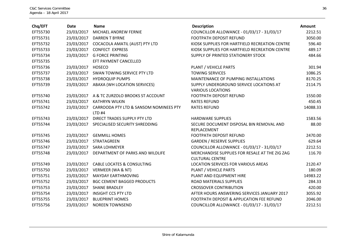| Chq/EFT  | <b>Date</b>       | <b>Name</b>                                 | <b>Description</b>                                                       | <b>Amount</b> |
|----------|-------------------|---------------------------------------------|--------------------------------------------------------------------------|---------------|
| EFT55730 | 23/03/2017        | MICHAEL ANDREW FERNIE                       | COUNCILLOR ALLOWANCE - 01/03/17 - 31/03/17                               | 2212.51       |
| EFT55731 | 23/03/2017        | <b>DARREN T BYRNE</b>                       | <b>FOOTPATH DEPOSIT REFUND</b>                                           | 3050.00       |
| EFT55732 | 23/03/2017        | COCACOLA AMATIL (AUST) PTY LTD              | KIOSK SUPPLIES FOR HARTFIELD RECREATION CENTRE                           | 596.40        |
| EFT55733 | 23/03/2017        | <b>CONFECT EXPRESS</b>                      | KIOSK SUPPLIES FOR HARTFIELD RECREATION CENTRE                           | 489.17        |
| EFT55734 | 23/03/2017        | <b>G FORCE PRINTING</b>                     | SUPPLY OF PRINTED STATIONERY STOCK                                       | 484.66        |
| EFT55735 |                   | EFT PAYMENT CANCELLED                       |                                                                          |               |
| EFT55736 | 23/03/2017 HOSECO |                                             | PLANT / VEHICLE PARTS                                                    | 301.94        |
| EFT55737 | 23/03/2017        | SWAN TOWING SERVICE PTY LTD                 | <b>TOWING SERVICES</b>                                                   | 1086.25       |
| EFT55738 | 23/03/2017        | <b>HYDROQUIP PUMPS</b>                      | MAINTENANCE OF PUMPING INSTALLATIONS                                     | 8170.25       |
| EFT55739 | 23/03/2017        | ABAXA (WH LOCATION SERVICES)                | SUPPLY UNDERGROUND SERVICE LOCATIONS AT<br><b>VARIOUS LOCATIONS</b>      | 2114.75       |
| EFT55740 |                   | 23/03/2017 A & TC ZURZOLO BROOKS ST ACCOUNT | FOOTPATH DEPOSIT REFUND                                                  | 1550.00       |
| EFT55741 | 23/03/2017        | <b>KATHRYN WILKIN</b>                       | <b>RATES REFUND</b>                                                      | 450.45        |
| EFT55742 | 23/03/2017        | CARROODA PTY LTD & SANSOM NOMINEES PTY      | <b>RATES REFUND</b>                                                      | 14088.33      |
|          |                   | $LTD$ #4                                    |                                                                          |               |
| EFT55743 | 23/03/2017        | DIRECT TRADES SUPPLY PTY LTD                | <b>HARDWARE SUPPLIES</b>                                                 | 1583.56       |
| EFT55744 | 23/03/2017        | SPECIALISED SECURITY SHREDDING              | SECURE DOCUMENT DISPOSAL BIN REMOVAL AND<br>REPLACEMENT                  | 88.00         |
| EFT55745 |                   | 23/03/2017 GEMMILL HOMES                    | FOOTPATH DEPOSIT REFUND                                                  | 2470.00       |
| EFT55746 | 23/03/2017        | STRATAGREEN                                 | <b>GARDEN / RESERVE SUPPLIES</b>                                         | 629.64        |
| EFT55747 | 23/03/2017        | <b>SARA LOHMEYER</b>                        | COUNCILLOR ALLOWANCE - 01/03/17 - 31/03/17                               | 2212.51       |
| EFT55748 | 23/03/2017        | DEPARTMENT OF PARKS AND WILDLIFE            | MERCHANDISE SUPPLIES FOR RESALE AT THE ZIG ZAG<br><b>CULTURAL CENTRE</b> | 116.70        |
| EFT55749 |                   | 23/03/2017 CABLE LOCATES & CONSULTING       | LOCATION SERVICES FOR VARIOUS AREAS                                      | 2120.47       |
| EFT55750 |                   | 23/03/2017 VERMEER (WA & NT)                | PLANT / VEHICLE PARTS                                                    | 180.09        |
| EFT55751 | 23/03/2017        | <b>MAYDAY EARTHMOVING</b>                   | PLANT AND EQUIPMENT HIRE                                                 | 14983.22      |
| EFT55752 | 23/03/2017        | <b>BGC CEMENT BAGGED PRODUCTS</b>           | ROAD MATERIALS SUPPLIES                                                  | 284.33        |
| EFT55753 | 23/03/2017        | <b>SHANE BRADLEY</b>                        | <b>CROSSOVER CONTRIBUTION</b>                                            | 420.00        |
| EFT55754 | 23/03/2017        | <b>INSIGHT CCS PTY LTD</b>                  | AFTER HOURS ANSWERING SERVICES JANUARY 2017                              | 3055.92       |
| EFT55755 | 23/03/2017        | <b>BLUEPRINT HOMES</b>                      | FOOTPATH DEPOSIT & APPLICATION FEE REFUND                                | 2046.00       |
| EFT55756 | 23/03/2017        | <b>NOREEN TOWNSEND</b>                      | COUNCILLOR ALLOWANCE - 01/03/17 - 31/03/17                               | 2212.51       |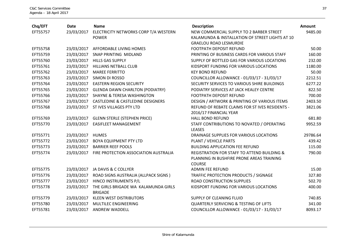| Chq/EFT  | <b>Date</b> | <b>Name</b>                                            | <b>Description</b>                                | Amount   |
|----------|-------------|--------------------------------------------------------|---------------------------------------------------|----------|
| EFT55757 | 23/03/2017  | ELECTRICITY NETWORKS CORP T/A WESTERN                  | NEW COMMERCIAL SUPPLY TO 2 BARBER STREET          | 9485.00  |
|          |             | <b>POWER</b>                                           | KALAMUNDA & INSTALLATION OF STREET LIGHTS AT 10   |          |
|          |             |                                                        | <b>GRAELOU ROAD LESMURDIE</b>                     |          |
| EFT55758 | 23/03/2017  | AFFORDABLE LIVING HOMES                                | <b>FOOTPATH DEPOSIT REFUND</b>                    | 50.00    |
| EFT55759 | 23/03/2017  | SNAP PRINTING MIDLAND                                  | PRINTING OF BUSINESS CARDS FOR VARIOUS STAFF      | 160.00   |
| EFT55760 | 23/03/2017  | <b>HILLS GAS SUPPLY</b>                                | SUPPLY OF BOTTLED GAS FOR VARIOUS LOCATIONS       | 232.00   |
| EFT55761 | 23/03/2017  | <b>HILLIANS NETBALL CLUB</b>                           | KIDSPORT FUNDING FOR VARIOUS LOCATIONS            | 1180.00  |
| EFT55762 | 23/03/2017  | <b>MAREE FERRITTO</b>                                  | <b>KEY BOND REFUND</b>                            | 50.00    |
| EFT55763 | 23/03/2017  | SIMON DI ROSSO                                         | COUNCILLOR ALLOWANCE - 01/03/17 - 31/03/17        | 2212.51  |
| EFT55764 | 23/03/2017  | <b>EASTERN REGION SECURITY</b>                         | SECURITY SERVICES TO VARIOUS SHIRE BUILDINGS      | 6277.22  |
| EFT55765 | 23/03/2017  | <b>GLENDA DAWN CHARLTON (PODIATRY)</b>                 | PODIATRY SERVICES AT JACK HEALEY CENTRE           | 822.50   |
| EFT55766 | 23/03/2017  | <b>SHAYNE &amp; TERESA WASHINGTON</b>                  | FOOTPATH DEPOSIT REFUND                           | 700.00   |
| EFT55767 | 23/03/2017  | <b>CASTLEDINE &amp; CASTLEDINE DESIGNERS</b>           | DESIGN / ARTWORK & PRINTING OF VARIOUS ITEMS      | 2403.50  |
| EFT55768 | 23/03/2017  | ST IVES VILLAGES PTY LTD                               | REFUND OF REBATE CLAIMS FOR ST IVES RESIDENTS -   | 3821.06  |
|          |             |                                                        | 2016/17 FINANCIAL YEAR                            |          |
| EFT55769 | 23/03/2017  | <b>GLENN STERLE (STEPHEN PRICE)</b>                    | <b>HALL BOND REFUND</b>                           | 681.80   |
| EFT55770 | 23/03/2017  | <b>EASIFLEET MANAGEMENT</b>                            | STAFF CONTRIBUTIONS TO NOVATED / OPERATING        | 9952.59  |
|          |             |                                                        | <b>LEASES</b>                                     |          |
| EFT55771 | 23/03/2017  | <b>HUMES</b>                                           | DRAINAGE SUPPLIES FOR VARIOUS LOCATIONS           | 29786.64 |
| EFT55772 | 23/03/2017  | <b>BOYA EQUIPMENT PTY LTD</b>                          | PLANT / VEHICLE PARTS                             | 439.42   |
| EFT55773 | 23/03/2017  | <b>BARRIER REEF POOLS</b>                              | <b>BUILDING APPLICATION FEE REFUND</b>            | 115.00   |
| EFT55774 | 23/03/2017  | FIRE PROTECTION ASSOCIATION AUSTRALIA                  | REGISTRATION FOR STAFF TO ATTEND BUILDING &       | 790.00   |
|          |             |                                                        | PLANNING IN BUSHFIRE PRONE AREAS TRAINING         |          |
|          |             |                                                        | <b>COURSE</b>                                     |          |
| EFT55775 | 23/03/2017  | JA DAVIS & C COLLYER                                   | <b>ADMIN FEE REFUND</b>                           | 15.00    |
| EFT55776 | 23/03/2017  | ROAD SIGNS AUSTRALIA (ALLPACK SIGNS)                   | TRAFFIC PROTECTION PRODUCTS / SIGNAGE             | 327.80   |
| EFT55777 | 23/03/2017  | HINCO INSTRUMENTS P/L                                  | <b>ROAD CONSTRUCTION SUPPLIES</b>                 | 502.70   |
| EFT55778 | 23/03/2017  | THE GIRLS BRIGADE WA KALAMUNDA GIRLS<br><b>BRIGADE</b> | KIDSPORT FUNDING FOR VARIOUS LOCATIONS            | 400.00   |
| EFT55779 | 23/03/2017  | <b>KLEEN WEST DISTRIBUTORS</b>                         | SUPPLY OF CLEANING FLUID                          | 740.85   |
| EFT55780 | 23/03/2017  | MULTILEC ENGINEERING                                   | <b>QUARTERLY SERVICING &amp; TESTING OF LIFTS</b> | 341.00   |
| EFT55781 | 23/03/2017  | ANDREW WADDELL                                         | COUNCILLOR ALLOWANCE - 01/03/17 - 31/03/17        | 8093.17  |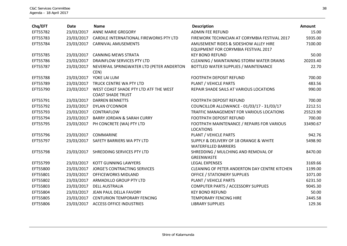| Chq/EFT  | <b>Date</b> | <b>Name</b>                                       | <b>Description</b>                                                    | Amount   |
|----------|-------------|---------------------------------------------------|-----------------------------------------------------------------------|----------|
| EFT55782 | 23/03/2017  | ANNE MARIE GREGORY                                | <b>ADMIN FEE REFUND</b>                                               | 15.00    |
| EFT55783 | 23/03/2017  | CARDILE INTERNATIONAL FIREWORKS PTY LTD           | FIREWORK TECHNICIAN AT CORYMBIA FESTIVAL 2017                         | 5935.00  |
| EFT55784 | 23/03/2017  | CARNIVAL AMUSEMENTS                               | AMUSEMENT RIDES & SIDESHOW ALLEY HIRE                                 | 7100.00  |
|          |             |                                                   | EQUIPMENT FOR CORYMBIA FESTIVAL 2017                                  |          |
| EFT55785 | 23/03/2017  | <b>CANNING MEWS STRATA</b>                        | <b>KEY BOND REFUND</b>                                                | 50.00    |
| EFT55786 | 23/03/2017  | DRAINFLOW SERVICES PTY LTD                        | CLEANING / MAINTAINING STORM WATER DRAINS                             | 20203.40 |
| EFT55787 | 23/03/2017  | NEVERFAIL SPRINGWATER LTD (PETER ANDERTON<br>CEN) | BOTTLED WATER SUPPLIES / MAINTENANCE                                  | 22.70    |
| EFT55788 | 23/03/2017  | YOKE LAI LUM                                      | <b>FOOTPATH DEPOSIT REFUND</b>                                        | 700.00   |
| EFT55789 | 23/03/2017  | TRUCK CENTRE WA PTY LTD                           | PLANT / VEHICLE PARTS                                                 | 483.56   |
| EFT55790 | 23/03/2017  | WEST COAST SHADE PTY LTD ATF THE WEST             | REPAIR SHADE SAILS AT VARIOUS LOCATIONS                               | 990.00   |
|          |             | <b>COAST SHADE TRUST</b>                          |                                                                       |          |
| EFT55791 | 23/03/2017  | <b>DARREN BENNETTS</b>                            | <b>FOOTPATH DEPOSIT REFUND</b>                                        | 700.00   |
| EFT55792 | 23/03/2017  | <b>DYLAN O'CONNOR</b>                             | COUNCILLOR ALLOWANCE - 01/03/17 - 31/03/17                            | 2212.51  |
| EFT55793 | 23/03/2017  | CONTRAFLOW                                        | TRAFFIC MANAGEMENT FOR VARIOUS LOCATIONS                              | 25523.90 |
| EFT55794 | 23/03/2017  | <b>BARRY JORDAN &amp; SARAH CURRY</b>             | <b>FOOTPATH DEPOSIT REFUND</b>                                        | 700.00   |
| EFT55795 | 23/03/2017  | PH CONCRETE (WA) PTY LTD                          | FOOTPATH MAINTENANCE / REPAIRS FOR VARIOUS<br><b>LOCATIONS</b>        | 33490.67 |
| EFT55796 | 23/03/2017  | <b>COMMARINE</b>                                  | PLANT / VEHICLE PARTS                                                 | 942.76   |
| EFT55797 | 23/03/2017  | SAFETY BARRIERS WA PTY LTD                        | SUPPLY & DELIVERY OF 18 ORANGE & WHITE<br><b>WATERFILLED BARRIERS</b> | 5498.90  |
| EFT55798 | 23/03/2017  | SHREDDING SERVICES PTY LTD                        | SHREDDING / MULCHING AND REMOVAL OF<br><b>GREENWASTE</b>              | 8470.00  |
| EFT55799 | 23/03/2017  | <b>KOTT GUNNING LAWYERS</b>                       | <b>LEGAL EXPENSES</b>                                                 | 3169.66  |
| EFT55800 | 23/03/2017  | <b>JORGE'S CONTRACTING SERVICES</b>               | <b>CLEANING OF PETER ANDERTON DAY CENTRE KITCHEN</b>                  | 1199.00  |
| EFT55801 | 23/03/2017  | OFFICEWORKS MIDLAND                               | <b>OFFICE / STATIONERY SUPPLIES</b>                                   | 1071.00  |
| EFT55802 | 23/03/2017  | ARMADILLO GROUP PTY LTD                           | PLANT / VEHICLE PARTS                                                 | 6231.50  |
| EFT55803 | 23/03/2017  | <b>DELL AUSTRALIA</b>                             | COMPUTER PARTS / ACCESSORY SUPPLIES                                   | 9045.30  |
| EFT55804 | 23/03/2017  | JEAN PAUL DELLA FAVORY                            | <b>KEY BOND REFUND</b>                                                | 50.00    |
| EFT55805 | 23/03/2017  | <b>CENTURION TEMPORARY FENCING</b>                | <b>TEMPORARY FENCING HIRE</b>                                         | 2445.58  |
| EFT55806 | 23/03/2017  | <b>ACCESS OFFICE INDUSTRIES</b>                   | <b>LIBRARY SUPPLIES</b>                                               | 129.36   |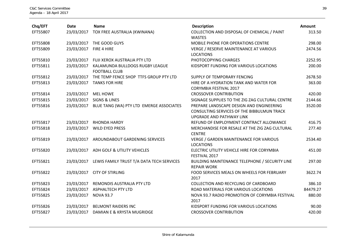| Chq/EFT  | <b>Date</b> | <b>Name</b>                                             | <b>Description</b>                                                                                                 | Amount   |
|----------|-------------|---------------------------------------------------------|--------------------------------------------------------------------------------------------------------------------|----------|
| EFT55807 | 23/03/2017  | TOX FREE AUSTRALIA (KWINANA)                            | COLLECTION AND DISPOSAL OF CHEMICAL / PAINT<br><b>WASTES</b>                                                       | 313.50   |
| EFT55808 | 23/03/2017  | THE GOOD GUYS                                           | <b>MOBILE PHONE FOR OPERATIONS CENTRE</b>                                                                          | 298.00   |
| EFT55809 | 23/03/2017  | FIRE 4 HIRE                                             | VERGE / RESERVE MAINTENANCE AT VARIOUS<br><b>LOCATIONS</b>                                                         | 2474.56  |
| EFT55810 | 23/03/2017  | FUJI XEROX AUSTRALIA PTY LTD                            | PHOTOCOPYING CHARGES                                                                                               | 2252.95  |
| EFT55811 | 23/03/2017  | KALAMUNDA BULLDOGS RUGBY LEAGUE<br><b>FOOTBALL CLUB</b> | KIDSPORT FUNDING FOR VARIOUS LOCATIONS                                                                             | 200.00   |
| EFT55812 | 23/03/2017  | THE TEMP FENCE SHOP TTFS GROUP PTY LTD                  | SUPPLY OF TEMPORARY FENCING                                                                                        | 2678.50  |
| EFT55813 | 23/03/2017  | <b>TANKS FOR HIRE</b>                                   | HIRE OF A HYDRATION TANK AND WATER FOR<br><b>CORYMBIA FESTIVAL 2017</b>                                            | 363.00   |
| EFT55814 | 23/03/2017  | <b>MEL HOWE</b>                                         | <b>CROSSOVER CONTRIBUTION</b>                                                                                      | 420.00   |
| EFT55815 | 23/03/2017  | <b>SIGNS &amp; LINES</b>                                | SIGNAGE SUPPLIES TO THE ZIG ZAG CULTURAL CENTRE                                                                    | 2144.66  |
| EFT55816 | 23/03/2017  | BLUE TANG (WA) PTY LTD EMERGE ASSOCIATES                | PREPARE LANDSCAPE DESIGN AND ENGINEERING<br>CONSULTING SERVICES OF THE BIBBULMUN TRACK<br>UPGRADE AND PATHWAY LINK | 3520.00  |
| EFT55817 | 23/03/2017  | <b>RHONDA HARDY</b>                                     | REFUND OF EMPLOYMENT CONTRACT ALLOWANCE                                                                            | 416.75   |
| EFT55818 | 23/03/2017  | <b>WILD EYED PRESS</b>                                  | MERCHANDISE FOR RESALE AT THE ZIG ZAG CULTURAL<br><b>CENTRE</b>                                                    | 277.40   |
| EFT55819 | 23/03/2017  | AROUNDABOUT GARDENING SERVICES                          | <b>VERGE / GARDEN MAINTENANCE FOR VARIOUS</b><br><b>LOCATIONS</b>                                                  | 2534.40  |
| EFT55820 | 23/03/2017  | ADH GOLF & UTILITY VEHICLES                             | ELECTRIC UTILITY VEHICLE HIRE FOR CORYMBIA<br>FESTIVAL 2017                                                        | 451.00   |
| EFT55821 | 23/03/2017  | LEWIS FAMILY TRUST T/A DATA TECH SERVICES               | BUILDING MAINTENANCE TELEPHONE / SECURITY LINE<br><b>REPAIR WORK</b>                                               | 297.00   |
| EFT55822 | 23/03/2017  | <b>CITY OF STIRLING</b>                                 | FOOD SERVICES MEALS ON WHEELS FOR FEBRUARY<br>2017                                                                 | 3622.74  |
| EFT55823 | 23/03/2017  | REMONDIS AUSTRALIA PTY LTD                              | COLLECTION AND RECYCLING OF CARDBOARD                                                                              | 386.10   |
| EFT55824 | 23/03/2017  | <b>ASPHALTECH PTY LTD</b>                               | ROAD MATERIALS FOR VARIOUS LOCATIONS                                                                               | 84479.27 |
| EFT55825 | 23/03/2017  | <b>NOVA 93.7</b>                                        | NOVA 93.7 RADIO PROMOTION OF CORYMBIA FESTIVAL<br>2017                                                             | 880.00   |
| EFT55826 | 23/03/2017  | <b>BELMONT RAIDERS INC</b>                              | KIDSPORT FUNDING FOR VARIOUS LOCATIONS                                                                             | 90.00    |
| EFT55827 | 23/03/2017  | DAMIAN E & KRYSTA MUGRIDGE                              | <b>CROSSOVER CONTRIBUTION</b>                                                                                      | 420.00   |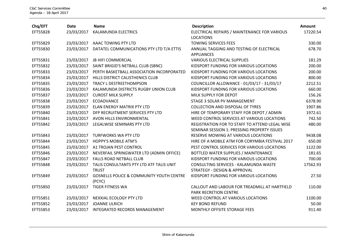| Chq/EFT  | <b>Date</b> | <b>Name</b>                                                   | <b>Description</b>                                                               | <b>Amount</b> |
|----------|-------------|---------------------------------------------------------------|----------------------------------------------------------------------------------|---------------|
| EFT55828 | 23/03/2017  | KALAMUNDA ELECTRICS                                           | ELECTRICAL REPAIRS / MAINTENANCE FOR VARIOUS<br><b>LOCATIONS</b>                 | 17220.54      |
| EFT55829 | 23/03/2017  | AAAC TOWING PTY LTD                                           | <b>TOWING SERVICES FEES</b>                                                      | 330.00        |
| EFT55830 | 23/03/2017  | DATATEL COMMUNICATIONS PTY LTD T/A ETTIS                      | ANNUAL TAGGING AND TESTING OF ELECTRICAL<br><b>APPLIANCES</b>                    | 678.70        |
| EFT55831 | 23/03/2017  | <b>JB HIFI COMMERCIAL</b>                                     | <b>VARIOUS ELECTRICAL SUPPLIES</b>                                               | 181.29        |
| EFT55832 | 23/03/2017  | SAINT BRIGID'S NETBALL CLUB (SBNC)                            | KIDSPORT FUNDING FOR VARIOUS LOCATIONS                                           | 200.00        |
| EFT55833 | 23/03/2017  | PERTH BASKETBALL ASSOCIATION INCORPORATED                     | KIDSPORT FUNDING FOR VARIOUS LOCATIONS                                           | 200.00        |
| EFT55834 | 23/03/2017  | HILLS DISTRICT CALISTHENICS CLUB                              | KIDSPORT FUNDING FOR VARIOUS LOCATIONS                                           | 800.00        |
| EFT55835 | 23/03/2017  | TRACY L DESTREETHOMPSON                                       | COUNCILLOR ALLOWANCE - 01/03/17 - 31/03/17                                       | 2212.51       |
| EFT55836 | 23/03/2017  | KALAMUNDA DISTRICTS RUGBY UNION CLUB                          | KIDSPORT FUNDING FOR VARIOUS LOCATIONS                                           | 660.00        |
| EFT55837 | 23/03/2017  | <b>CUROST MILK SUPPLY</b>                                     | MILK SUPPLY FOR DEPOT                                                            | 156.26        |
| EFT55838 | 23/03/2017  | <b>ECOADVANCE</b>                                             | STAGE 3 SOLAR PV MANAGEMENT                                                      | 6378.90       |
| EFT55839 | 23/03/2017  | <b>ELAN ENERGY MATRIX PTY LTD</b>                             | <b>COLLECTION AND DISPOSAL OF TYRES</b>                                          | 1907.86       |
| EFT55840 | 23/03/2017  | DFP RECRUITMENT SERVICES PTY LTD                              | HIRE OF TEMPORARY STAFF FOR DEPOT / ADMIN                                        | 1972.61       |
| EFT55841 | 23/03/2017  | AVON HILLS ENVIRONMENTAL                                      | WEED CONTROL SERVICES AT VARIOUS LOCATIONS                                       | 742.50        |
| EFT55842 | 23/03/2017  | LEGALWISE SEMINARS PTY LTD                                    | REGISTRATION FOR TO STAFF TO ATTEND LEGAL WISE                                   | 480.00        |
|          |             |                                                               | SEMINAR SESSION 1: PRESSING PROPERTY ISSUES                                      |               |
| EFT55843 | 23/03/2017  | <b>TURFWORKS WA PTY LTD</b>                                   | RESERVE MOWING AT VARIOUS LOCATIONS                                              | 9438.08       |
| EFT55844 | 23/03/2017  | <b>HOPPY'S MOBILE ATM'S</b>                                   | HIRE OF A MOBILE ATM FOR CORYMBIA FESTIVAL 2017                                  | 650.00        |
| EFT55845 | 23/03/2017  | A1 TROJAN PEST CONTROL                                        | PEST CONTROL SERVICES FOR VARIOUS LOCATIONS                                      | 1122.00       |
| EFT55846 | 23/03/2017  | NEVERFAIL SPRINGWATER LTD (ADMIN OFFICE)                      | BOTTLED WATER SUPPLIES / MAINTENANCE                                             | 181.65        |
| EFT55847 | 23/03/2017  | <b>FALLS ROAD NETBALL CLUB</b>                                | KIDSPORT FUNDING FOR VARIOUS LOCATIONS                                           | 700.00        |
| EFT55848 | 23/03/2017  | TALIS CONSULTANTS PTY LTD ATF TALIS UNIT<br><b>TRUST</b>      | CONSULTING SERVICES - KALAMUNDA WASTE<br><b>STRATEGY - DESIGN &amp; APPROVAL</b> | 17562.93      |
| EFT55849 | 23/03/2017  | <b>GOSNELLS POLICE &amp; COMMUNITY YOUTH CENTRE</b><br>(PCYC) | KIDSPORT FUNDING FOR VARIOUS LOCATIONS                                           | 27.50         |
| EFT55850 | 23/03/2017  | <b>TIGER FITNESS WA</b>                                       | CALLOUT AND LABOUR FOR TREADMILL AT HARTFIELD<br>PARK RECRETION CENTRE           | 110.00        |
| EFT55851 |             | 23/03/2017 NEXXIAL ECOLOGY PTY LTD                            | WEED CONTROL AT VARIOUS LOCATIONS                                                | 1100.00       |
| EFT55852 | 23/03/2017  | <b>JOANNE ULRICH</b>                                          | <b>KEY BOND REFUND</b>                                                           | 50.00         |
| EFT55853 | 23/03/2017  | INTEGRATED RECORDS MANAGEMENT                                 | MONTHLY OFFSITE STORAGE FEES                                                     | 911.40        |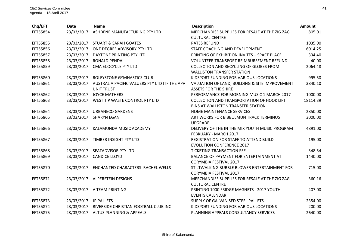| Chq/EFT  | <b>Date</b>           | <b>Name</b>                                   | <b>Description</b>                                | Amount   |
|----------|-----------------------|-----------------------------------------------|---------------------------------------------------|----------|
| EFT55854 | 23/03/2017            | ASHDENE MANUFACTURING PTY LTD                 | MERCHANDISE SUPPLIES FOR RESALE AT THE ZIG ZAG    | 805.01   |
|          |                       |                                               | <b>CULTURAL CENTRE</b>                            |          |
| EFT55855 | 23/03/2017            | <b>STUART &amp; SARAH GOATES</b>              | <b>RATES REFUND</b>                               | 1035.00  |
| EFT55856 | 23/03/2017            | ONE DEGREE ADVISORY PTY LTD                   | STAFF COACHING AND DEVELOPMENT                    | 6014.25  |
| EFT55857 | 23/03/2017            | DAYTONE PRINTING PTY LTD                      | PRINTING OF EXHIBITION INVITES - SPACE PLACE      | 334.40   |
| EFT55858 | 23/03/2017            | <b>RONALD PENDAL</b>                          | <b>VOLUNTEER TRANSPORT REIMBURSEMENT REFUND</b>   | 40.00    |
| EFT55859 | 23/03/2017            | CMA ECOCYCLE PTY LTD                          | <b>COLLECTION AND RECYCLING OF GLOBES FROM</b>    | 2064.48  |
|          |                       |                                               | <b>WALLISTON TRANSFER STATION</b>                 |          |
| EFT55860 | 23/03/2017            | ROLEYSTONE GYMNASTICS CLUB                    | KIDSPORT FUNDING FOR VARIOUS LOCATIONS            | 995.50   |
| EFT55861 | 23/03/2017            | AUSTRALIA PACIFIC VALUERS PTY LTD ITF THE APV | VALUATION OF LAND, BUILDING & SITE IMPROVEMENT    | 3840.10  |
|          |                       | <b>UNIT TRUST</b>                             | <b>ASSETS FOR THE SHIRE</b>                       |          |
| EFT55862 | 23/03/2017            | <b>JOYCE MATHERS</b>                          | PERFORMANCE FOR MORNING MUSIC 1 MARCH 2017        | 1000.00  |
| EFT55863 | 23/03/2017            | WEST TIP WASTE CONTROL PTY LTD                | <b>COLLECTION AND TRANSPORTATION OF HOOK LIFT</b> | 18114.39 |
|          |                       |                                               | BINS AT WALLISTON TRANSFER STATION                |          |
| EFT55864 | 23/03/2017            | <b>URBANECO GARDENS</b>                       | HOME MAINTENANCE SERVICES                         | 2850.00  |
| EFT55865 | 23/03/2017            | <b>SHARYN EGAN</b>                            | ART WORKS FOR BIBBULMUN TRACK TERMINUS            | 3000.00  |
|          |                       |                                               | <b>UPGRADE</b>                                    |          |
| EFT55866 | 23/03/2017            | KALAMUNDA MUSIC ACADEMY                       | DELIVERY OF THE IN THE MIX YOUTH MUSIC PROGRAM    | 4891.00  |
|          |                       |                                               | FEBRUARY - MARCH 2017                             |          |
| EFT55867 | 23/03/2017            | TIMBER INSIGHT PTY LTD                        | REGISTRATION FOR STAFF TO ATTEND BUILD            | 195.00   |
|          |                       |                                               | <b>EVOLUTION CONFERENCE 2017</b>                  |          |
| EFT55868 |                       | 23/03/2017 SEATADVISOR PTY LTD                | <b>TICKETING TRANSACTION FEE</b>                  | 348.54   |
| EFT55869 | 23/03/2017            | <b>CANDICE LLOYD</b>                          | BALANCE OF PAYMENT FOR ENTERTAINMENT AT           | 1440.00  |
|          |                       |                                               | <b>CORYMBIA FESTIVAL 2017</b>                     |          |
| EFT55870 | 23/03/2017            | ENCHANTED CHARACTERS RACHEL WELLS             | STILTWALKING BUBBLE BLOWER ENTERTAINMENT FOR      | 715.00   |
|          |                       |                                               | <b>CORYMBIA FESTIVAL 2017</b>                     |          |
| EFT55871 | 23/03/2017            | <b>ALPERSTEIN DESIGNS</b>                     | MERCHANDISE SUPPLIES FOR RESALE AT THE ZIG ZAG    | 360.16   |
|          |                       |                                               | <b>CULTURAL CENTRE</b>                            |          |
| EFT55872 | 23/03/2017            | A TEAM PRINTING                               | PRINTING 1000 FRIDGE MAGNETS - 2017 YOUTH         | 407.00   |
|          |                       |                                               | <b>EVENTS CALENDAR</b>                            |          |
| EFT55873 | 23/03/2017 JP PALLETS |                                               | SUPPLY OF GALVANISED STEEL PALLETS                | 2354.00  |
| EFT55874 | 23/03/2017            | RIVERSIDE CHRISTIAN FOOTBALL CLUB INC         | KIDSPORT FUNDING FOR VARIOUS LOCATIONS            | 200.00   |
| EFT55875 | 23/03/2017            | <b>ALTUS PLANNING &amp; APPEALS</b>           | PLANNING APPEALS CONSULTANCY SERVICES             | 2640.00  |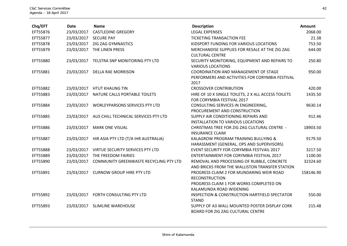| Chq/EFT  | <b>Date</b> | <b>Name</b>                                     | <b>Description</b>                                                                     | Amount    |
|----------|-------------|-------------------------------------------------|----------------------------------------------------------------------------------------|-----------|
| EFT55876 | 23/03/2017  | <b>CASTLEDINE GREGORY</b>                       | <b>LEGAL EXPENSES</b>                                                                  | 2068.00   |
| EFT55877 |             | 23/03/2017 SECURE PAY                           | TICKETING TRANSACTION FEE                                                              | 21.38     |
| EFT55878 | 23/03/2017  | ZIG ZAG GYMNASTICS                              | KIDSPORT FUNDING FOR VARIOUS LOCATIONS                                                 | 753.50    |
| EFT55879 | 23/03/2017  | THE LINEN PRESS                                 | MERCHANDISE SUPPLIES FOR RESALE AT THE ZIG ZAG                                         | 644.00    |
|          |             |                                                 | <b>CULTURAL CENTRE</b>                                                                 |           |
| EFT55880 | 23/03/2017  | TELSTRA SNP MONITORING PTY LTD                  | SECURITY MONITORING, EQUIPMENT AND REPAIRS TO                                          | 250.80    |
|          |             |                                                 | <b>VARIOUS LOCATIONS</b>                                                               |           |
| EFT55881 | 23/03/2017  | <b>DELLA RAE MORRISON</b>                       | COORDINATION AND MANAGEMENT OF STAGE                                                   | 950.00    |
|          |             |                                                 | PERFORMERS AND ACTIVITIES FOR CORYMBIA FESTIVAL                                        |           |
|          |             |                                                 | 2017                                                                                   |           |
| EFT55882 |             | 23/03/2017 HTUT KHAUNG TIN                      | <b>CROSSOVER CONTRIBUTION</b>                                                          | 420.00    |
| EFT55883 | 23/03/2017  | NATURE CALLS PORTABLE TOILETS                   | HIRE OF 10 X SINGLE TOILETS, 2 X ALL ACCESS TOILETS                                    | 1435.50   |
|          |             |                                                 | FOR CORYMBIA FESTIVAL 2017                                                             |           |
| EFT55884 | 23/03/2017  | <b>WORLEYPARSONS SERVICES PTY LTD</b>           | CONSULTING SERVICES IN ENGINEERING,                                                    | 9630.14   |
|          |             |                                                 | PROCUREMENT AND CONSTRUCTION                                                           |           |
| EFT55885 |             | 23/03/2017 AUS CHILL TECHNICAL SERVICES PTY LTD | SUPPLY AIR CONDITIONING REPAIRS AND                                                    | 912.46    |
|          |             |                                                 | <b>INSTALLATION TO VARIOUS LOCATIONS</b>                                               |           |
| EFT55886 | 23/03/2017  | <b>MARK ONE VISUAL</b>                          | CHRISTMAS TREE FOR ZIG ZAG CULTURAL CENTRE -                                           | 18903.50  |
|          |             |                                                 | <b>INSURANCE CLAIM</b>                                                                 |           |
| EFT55887 | 23/03/2017  | HIR ASIA PTY LTD (T/A IHR AUSTRALIA)            | KALAGROW PROGRAM TRAINING BULLYING &                                                   | 9179.50   |
|          |             |                                                 | HARASSMENT (GENERAL, OPS AND SUPERVISORS)<br>EVENT SECURITY FOR CORYMBIA FESTVAIL 2017 | 3217.50   |
| EFT55888 |             | 23/03/2017 VIRTUE SECURITY SERVICES PTY LTD     |                                                                                        |           |
| EFT55889 | 23/03/2017  | THE FREEDOM FAIRIES                             | ENTERTAINMENT FOR CORYMBIA FESTIVAL 2017                                               | 1100.00   |
| EFT55890 | 23/03/2017  | COMMUNITY GREENWASTE RECYCLING PTY LTD          | REMOVAL AND PROCESSING OF RUBBLE, CONCRETE                                             | 32324.60  |
|          |             |                                                 | AND BRICKS FROM THE WALLISTON TRANSFER STATION                                         |           |
| EFT55891 | 23/03/2017  | <b>CURNOW GROUP HIRE PTY LTD</b>                | PROGRESS CLAIM 2 FOR MUNDARING WEIR ROAD<br><b>RECONSTRUCTION</b>                      | 158146.90 |
|          |             |                                                 | PROGRESS CLAIM 1 FOR WORKS COMPLETED ON                                                |           |
|          |             |                                                 | KALAMUNDA ROAD WIDENING                                                                |           |
| EFT55892 |             | 23/03/2017 FORTH CONSULTING PTY LTD             | <b>INSPECTION &amp; CONSTRUCTION HARTFIELD SPECTATOR</b>                               | 550.00    |
|          |             |                                                 | <b>STAND</b>                                                                           |           |
| EFT55893 | 23/03/2017  | <b>SLIMLINE WAREHOUSE</b>                       | SUPPLY OF A3 WALL MOUNTED POSTER DISPLAY CORK                                          | 215.48    |
|          |             |                                                 | <b>BOARD FOR ZIG ZAG CULTURAL CENTRE</b>                                               |           |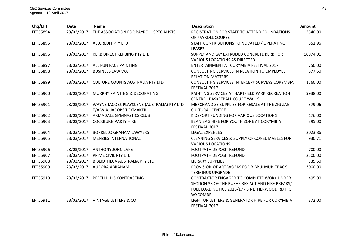| Chq/EFT  | <b>Date</b> | <b>Name</b>                                | <b>Description</b>                                              | Amount   |
|----------|-------------|--------------------------------------------|-----------------------------------------------------------------|----------|
| EFT55894 | 23/03/2017  | THE ASSOCIATION FOR PAYROLL SPECIALISTS    | REGISTRATION FOR STAFF TO ATTEND FOUNDATIONS                    | 2540.00  |
| EFT55895 | 23/03/2017  | <b>ALLCREDIT PTY LTD</b>                   | OF PAYROLL COURSE<br>STAFF CONTRIBUTIONS TO NOVATED / OPERATING | 551.96   |
|          |             |                                            | <b>LEASES</b>                                                   |          |
| EFT55896 | 23/03/2017  | <b>KERB DIRECT KERBING PTY LTD</b>         | SUPPLY AND LAY EXTRUDED CONCRETE KERB FOR                       | 10874.01 |
|          |             |                                            | <b>VARIOUS LOCATIONS AS DIRECTED</b>                            |          |
| EFT55897 |             | 23/03/2017 ALL FUN FACE PAINTING           | ENTERTAINMENT AT CORYMBIA FESTIVAL 2017                         | 750.00   |
| EFT55898 | 23/03/2017  | <b>BUSINESS LAW WA</b>                     | CONSULTING SERVICES IN RELATION TO EMPLOYEE                     | 577.50   |
|          |             |                                            | <b>RELATION MATTERS</b>                                         |          |
| EFT55899 | 23/03/2017  | <b>CULTURE COUNTS AUSTRALIA PTY LTD</b>    | CONSULTING SERVICES INTERCEPY SURVEYS CORYMBIA                  | 1760.00  |
|          |             |                                            | FESTIVAL 2017                                                   |          |
| EFT55900 | 23/03/2017  | MURPHY PAINTING & DECORATING               | PAINTING SERVICES AT HARTFIELD PARK RECREATION                  | 9938.00  |
|          |             |                                            | <b>CENTRE - BASKETBALL COURT WALLS</b>                          |          |
| EFT55901 | 23/03/2017  | WAYNE JACOBS PLAYSCENE (AUSTRALIA) PTY LTD | MERCHANDISE SUPPLIES FOR RESALE AT THE ZIG ZAG                  | 379.06   |
|          |             | T/A W.A. JACOBS TOYMAKER                   | <b>CULTURAL CENTRE</b>                                          |          |
| EFT55902 | 23/03/2017  | ARMADALE GYMNASTICS CLUB                   | KIDSPORT FUNDING FOR VARIOUS LOCATIONS                          | 176.00   |
| EFT55903 | 23/03/2017  | <b>COCKBURN PARTY HIRE</b>                 | BEAN BAG HIRE FOR YOUTH ZONE AT CORYMBIA                        | 395.00   |
|          |             |                                            | FESTIVAL 2017                                                   |          |
| EFT55904 | 23/03/2017  | <b>BORRELLO GRAHAM LAWYERS</b>             | <b>LEGAL EXPENSES</b>                                           | 2023.86  |
| EFT55905 | 23/03/2017  | <b>MENZIES INTERNATIONAL</b>               | <b>CLEANING SERVICES &amp; SUPPLY OF CONSUMABLES FOR</b>        | 930.71   |
|          |             |                                            | <b>VARIOUS LOCATIONS</b>                                        |          |
| EFT55906 |             | 23/03/2017 ANTHONY JOHN LAKE               | <b>FOOTPATH DEPOSIT REFUND</b>                                  | 700.00   |
| EFT55907 | 23/03/2017  | PRIME CIVIL PTY LTD                        | <b>FOOTPATH DEPOSIT REFUND</b>                                  | 2500.00  |
| EFT55908 | 23/03/2017  | BIBLIOTHECA AUSTRALIA PTY LTD              | <b>LIBRARY SUPPLIES</b>                                         | 335.50   |
| EFT55909 | 23/03/2017  | <b>AURORA ABRAHAM</b>                      | PROVISION OF ART WORKS FOR BIBBULMUN TRACK                      | 3000.00  |
|          |             |                                            | <b>TERMINUS UPGRADE</b>                                         |          |
| EFT55910 | 23/03/2017  | PERTH HILLS CONTRACTING                    | CONTRACTOR ENGAGED TO COMPLETE WORK UNDER                       | 495.00   |
|          |             |                                            | SECTION 33 OF THE BUSHFIRES ACT AND FIRE BREAKS/                |          |
|          |             |                                            | FUEL LOAD NOTICE 2016/17 - 5 NETHERWOOD RD HIGH                 |          |
|          |             |                                            | <b>WYCOMBE</b>                                                  |          |
| EFT55911 | 23/03/2017  | <b>VINTAGE LETTERS &amp; CO</b>            | LIGHT UP LETTERS & GENERATOR HIRE FOR CORYMBIA                  | 372.00   |
|          |             |                                            | FESTIVAL 2017                                                   |          |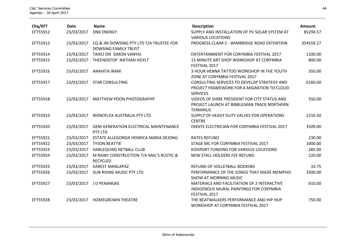| Chq/EFT  | <b>Date</b> | <b>Name</b>                                                            | <b>Description</b>                                                                                             | Amount    |
|----------|-------------|------------------------------------------------------------------------|----------------------------------------------------------------------------------------------------------------|-----------|
| EFT55912 | 23/03/2017  | <b>DNX ENERGY</b>                                                      | SUPPLY AND INSTALLATION OF PV SOLAR SYSTEM AT<br><b>VARIOUS LOCATIONS</b>                                      | 85294.57  |
| EFT55913 | 23/03/2017  | CQ & JM DOWSING PTY LTD T/A TRUSTEE FOR<br><b>DOWSING FAMILY TRUST</b> | PROGRESS CLAIM 2 - WIMBRIDGE ROAD EXTENTION                                                                    | 354559.27 |
| EFT55914 | 23/03/2017  | TAIKO ON SIMON VANYAI                                                  | ENTERTAINMENT FOR CORYMBIA FESTIVAL 2017                                                                       | 1100.00   |
| EFT55915 | 23/03/2017  | THEENDSTOP NATHAN HOYLT                                                | 15 MINUTE ART SHOP WORKSHOP AT CORYMBIA<br>FESTIVAL 2017                                                       | 800.00    |
| EFT55916 | 23/03/2017  | <b>ANAHITA IRANI</b>                                                   | 3 HOUR HENNA TATTOO WORKSHOP IN THE YOUTH<br>ZONE AT CORYMBIA FESTIVAL 2017                                    | 350.00    |
| EFT55917 | 23/03/2017  | <b>STAR CONSULTING</b>                                                 | CONSULTING SERVICES TO DEVELOP STRATEGY AND<br>PROJECT FRAMEWORK FOR A MIGRATION TO CLOUD<br><b>SERVICES</b>   | 6160.00   |
| EFT55918 | 23/03/2017  | <b>MATTHEW POON PHOTOGRAPHY</b>                                        | VIDEOS OF SHIRE PRESIDENT FOR CITY STATUS AND<br>PROJECT LAUNCH AT BIBBULMAN TRACK NORTHERN<br><b>TERMINUS</b> | 550.00    |
| EFT55919 | 23/03/2017  | RHINOFLEX AUSTRALIA PTY LTD                                            | SUPPLY OF HEAVY DUTY VALVES FOR OPERATIONS<br><b>CENTRE</b>                                                    | 2216.50   |
| EFT55920 | 23/03/2017  | <b>GEM GENERATION ELECTRICAL MAINTENANCE</b><br>PTY LTD                | ONSITE ELECTRICIAN FOR CORYMBIA FESTIVAL 2017                                                                  | 3509.00   |
| EFT55921 | 23/03/2017  | ESTATE ALLEGONDA HENRICA MARIA DEJONG                                  | <b>RATES REFUND</b>                                                                                            | 230.00    |
| EFT55922 | 23/03/2017  | <b>TYSON BEATTIE</b>                                                   | STAGE MC FOR CORYMBIA FESTIVAL 2017                                                                            | 1000.00   |
| EFT55923 | 23/03/2017  | HARLEQUINS NETBALL CLUB                                                | KIDSPORT FUNDING FOR VARIOUS LOCATIONS                                                                         | 285.00    |
| EFT55924 | 23/03/2017  | M RIGBY CONSTRUCTION T/A MAL'S RUSTIC &<br><b>RECYCLED</b>             | NEW STALL HOLDERS FEE REFUND                                                                                   | 220.00    |
| EFT55925 | 23/03/2017  | <b>KAREST MANLAPAZ</b>                                                 | REFUND OF VOLLEYBALL BOOKING                                                                                   | 33.75     |
| EFT55926 | 23/03/2017  | SUN RISING MUSIC PTY LTD                                               | PERFORMANCE OF THE SONGS THAT MADE MEMPHIS<br><b>SHOW AT MORNING MUSIC</b>                                     | 3500.00   |
| EFT55927 | 23/03/2017  | J D PENANGKE                                                           | MATERIALS AND FACILITATION OF 2 INTERACTIVE<br>INDIGENOUS MURAL PAINTINGS FOR CORYMBIA<br>FESTIVAL 2017        | 610.00    |
| EFT55928 | 23/03/2017  | <b>HOMEGROWN THEATRE</b>                                               | THE BEATWALKERS PERFORMANCE AND HIP HOP<br>WORKSHOP AT CORYMBIA FESTIVAL 2017                                  | 750.00    |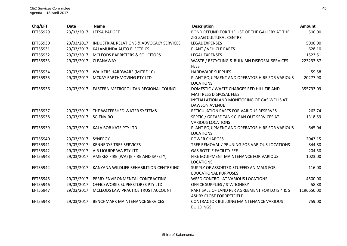| Chq/EFT  | Date       | <b>Name</b>                                | <b>Description</b>                                                         | Amount     |
|----------|------------|--------------------------------------------|----------------------------------------------------------------------------|------------|
| EFT55929 | 23/03/2017 | <b>LEESA PADGET</b>                        | BOND REFUND FOR THE USE OF THE GALLERY AT THE                              | 500.00     |
|          |            |                                            | ZIG ZAG CULTURAL CENTRE                                                    |            |
| EFT55930 | 23/03/2017 | INDUSTRIAL RELATIONS & ADVOCACY SERVICES   | <b>LEGAL EXPENSES</b>                                                      | 5000.00    |
| EFT55931 | 29/03/2017 | KALAMUNDA AUTO ELECTRICS                   | PLANT / VEHICLE PARTS                                                      | 628.10     |
| EFT55932 | 29/03/2017 | <b>MCLEODS BARRISTERS &amp; SOLICITORS</b> | <b>LEGAL EXPENSES</b>                                                      | 1523.51    |
| EFT55933 | 29/03/2017 | CLEANAWAY                                  | WASTE / RECYCLING & BULK BIN DISPOSAL SERVICES<br><b>FEES</b>              | 223233.87  |
| EFT55934 | 29/03/2017 | <b>WALKERS HARDWARE (MITRE 10)</b>         | <b>HARDWARE SUPPLIES</b>                                                   | 59.58      |
| EFT55935 | 29/03/2017 | MCKAY EARTHMOVING PTY LTD                  | PLANT EQUIPMENT AND OPERATOR HIRE FOR VARIOUS<br><b>LOCATIONS</b>          | 20277.90   |
| EFT55936 | 29/03/2017 | EASTERN METROPOLITAN REGIONAL COUNCIL      | DOMESTIC / WASTE CHARGES RED HILL TIP AND<br>MATTRESS DISPOSAL FEES        | 355793.09  |
|          |            |                                            | INSTALLATION AND MONITORING OF GAS WELLS AT<br><b>DAWSON AVENUE</b>        |            |
| EFT55937 | 29/03/2017 | THE WATERSHED WATER SYSTEMS                | RETICULATION PARTS FOR VARIOUS RESERVES                                    | 262.74     |
| EFT55938 | 29/03/2017 | <b>SG ENVIRO</b>                           | SEPTIC / GREASE TANK CLEAN OUT SERVICES AT<br><b>VARIOUS LOCATIONS</b>     | 1318.59    |
| EFT55939 | 29/03/2017 | KALA BOB KATS PTY LTD                      | PLANT EQUIPMENT AND OPERATOR HIRE FOR VARIOUS<br><b>LOCATIONS</b>          | 645.04     |
| EFT55940 | 29/03/2017 | SYNERGY                                    | <b>POWER CHARGES</b>                                                       | 2043.15    |
| EFT55941 | 29/03/2017 | <b>KENNEDYS TREE SERVICES</b>              | TREE REMOVAL / PRUNING FOR VARIOUS LOCATIONS                               | 844.80     |
| EFT55942 | 29/03/2017 | AIR LIQUIDE WA PTY LTD                     | <b>GAS BOTTLE FACILITY FEE</b>                                             | 204.50     |
| EFT55943 | 29/03/2017 | AMEREX FIRE (WA) (E FIRE AND SAFETY)       | FIRE EQUIPMENT MAINTENANCE FOR VARIOUS<br><b>LOCATIONS</b>                 | 1023.00    |
| EFT55944 | 29/03/2017 | KANYANA WILDLIFE REHABILITION CENTRE INC   | SUPPLY OF ASSORTED STUFFED ANIMALS FOR<br><b>EDUCATIONAL PURPOSES</b>      | 116.00     |
| EFT55945 | 29/03/2017 | PERRY ENVIRONMENTAL CONTRACTING            | WEED CONTROL AT VARIOUS LOCATIONS                                          | 4500.00    |
| EFT55946 | 29/03/2017 | OFFICEWORKS SUPERSTORES PTY LTD            | <b>OFFICE SUPPLIES / STATIONERY</b>                                        | 58.88      |
| EFT55947 | 29/03/2017 | MCLEODS LAW PRACTICE TRUST ACCOUNT         | PART SALE OF LAND PER AGREEMENT FOR LOTS 4 & 5<br>ASHBY CLOSE FORRESTFIELD | 1196650.00 |
| EFT55948 | 29/03/2017 | <b>BENCHMARK MAINTENANCE SERVICES</b>      | <b>CONTRACTOR BUILDING MAINTENANCE VARIOUS</b><br><b>BUILDINGS</b>         | 759.00     |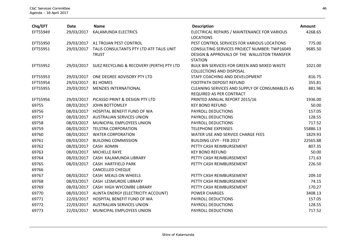| Chq/EFT  | <b>Date</b> | <b>Name</b>                                              | <b>Description</b>                                                                                             | Amount   |
|----------|-------------|----------------------------------------------------------|----------------------------------------------------------------------------------------------------------------|----------|
| EFT55949 | 29/03/2017  | KALAMUNDA ELECTRICS                                      | ELECTRICAL REPAIRS / MAINTENANCE FOR VARIOUS<br><b>LOCATIONS</b>                                               | 4268.65  |
| EFT55950 |             | 29/03/2017 A1 TROJAN PEST CONTROL                        | PEST CONTROL SERVICES FOR VARIOUS LOCATIONS                                                                    | 775.00   |
| EFT55951 | 29/03/2017  | TALIS CONSULTANTS PTY LTD ATF TALIS UNIT<br><b>TRUST</b> | CONSULTING SERVICES PROJECT NUMBER: TWP16049<br>DESIGN & APPROVALS OF THE WALLISTON TRANSFER<br><b>STATION</b> | 9685.50  |
| EFT55952 |             | 29/03/2017 SUEZ RECYCLING & RECOVERY (PERTH) PTY LTD     | <b>BULK BIN SERVICES FOR GREEN AND MIXED WASTE</b><br><b>COLLECTIONS AND DISPOSAL</b>                          | 1021.00  |
| EFT55953 |             | 29/03/2017 ONE DEGREE ADVISORY PTY LTD                   | STAFF COACHING AND DEVELOPMENT                                                                                 | 816.75   |
| EFT55954 | 29/03/2017  | <b>B1 HOMES</b>                                          | <b>FOOTPATH DEPOSIT REFUND</b>                                                                                 | 355.81   |
| EFT55955 | 29/03/2017  | <b>MENZIES INTERNATIONAL</b>                             | CLEANING SERVICES AND SUPPLY OF CONSUMABLES AS<br>REQUIRED AS PER CONTRACT                                     | 881.96   |
| EFT55956 |             | 29/03/2017 PICASSO PRINT & DESIGN PTY LTD                | PRINTED ANNUAL REPORT 2015/16                                                                                  | 1936.00  |
| 69755    | 08/03/2017  | JOHN BOTTOMLEY                                           | <b>KEY BOND REFUND</b>                                                                                         | 50.00    |
| 69756    |             | 08/03/2017 HOSPITAL BENEFIT FUND OF WA                   | PAYROLL DEDUCTIONS                                                                                             | 157.05   |
| 69757    |             | 08/03/2017 AUSTRALIAN SERVICES UNION                     | PAYROLL DEDUCTIONS                                                                                             | 128.55   |
| 69758    | 08/03/2017  | MUNICIPAL EMPLOYEES UNION                                | PAYROLL DEDUCTIONS                                                                                             | 717.52   |
| 69759    |             | 08/03/2017 TELSTRA CORPORATION                           | <b>TELEPHONE EXPENSES</b>                                                                                      | 55886.13 |
| 69760    |             | 08/03/2017 WATER CORPORATION                             | WATER USE AND SERVICE CHARGE FEES                                                                              | 1829.93  |
| 69761    | 08/03/2017  | <b>BUILDING COMMISSION</b>                               | <b>BUILDING LEVY - FEB 2017</b>                                                                                | 22565.88 |
| 69762    |             | 08/03/2017 CASH ADMIN                                    | PETTY CASH REIMBURSEMENT                                                                                       | 807.35   |
| 69763    | 08/03/2017  | <b>MICHELLE RAYE</b>                                     | <b>KEY BOND REFUND</b>                                                                                         | 50.00    |
| 69764    |             | 08/03/2017 CASH KALAMUNDA LIBRARY                        | PETTY CASH REIMBURSEMENT                                                                                       | 171.63   |
| 69765    | 08/03/2017  | <b>CASH HARTFIELD PARK</b>                               | PETTY CASH REIMBURSEMENT                                                                                       | 226.50   |
| 69766    |             | <b>CANCELLED CHEQUE</b>                                  |                                                                                                                |          |
| 69767    |             | 08/03/2017 CASH MEALS ON WHEELS                          | PETTY CASH REIMBURSEMENT                                                                                       | 209.10   |
| 69768    |             | 08/03/2017 CASH LESMURDIE LIBRARY                        | PETTY CASH REIMBURSEMENT                                                                                       | 74.15    |
| 69769    |             | 08/03/2017 CASH HIGH WYCOMBE LIBRARY                     | PETTY CASH REIMBURSEMENT                                                                                       | 170.27   |
| 69770    |             | 08/03/2017 ALINTA ENERGY (ELECTRICITY ACCOUNT)           | <b>POWER CHARGES</b>                                                                                           | 3408.13  |
| 69771    |             | 22/03/2017 HOSPITAL BENEFIT FUND OF WA                   | PAYROLL DEDUCTIONS                                                                                             | 157.05   |
| 69772    |             | 22/03/2017 AUSTRALIAN SERVICES UNION                     | PAYROLL DEDUCTIONS                                                                                             | 128.55   |
| 69773    | 22/03/2017  | MUNICIPAL EMPLOYEES UNION                                | PAYROLL DEDUCTIONS                                                                                             | 717.52   |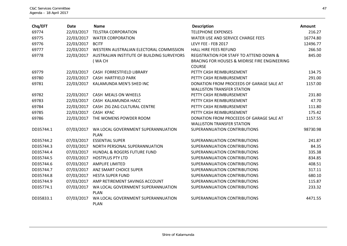| Chq/EFT   | <b>Date</b> | <b>Name</b>                                       | <b>Description</b>                                                            | Amount   |
|-----------|-------------|---------------------------------------------------|-------------------------------------------------------------------------------|----------|
| 69774     | 22/03/2017  | <b>TELSTRA CORPORATION</b>                        | <b>TELEPHONE EXPENSES</b>                                                     | 216.27   |
| 69775     | 22/03/2017  | <b>WATER CORPORATION</b>                          | WATER USE AND SERVICE CHARGE FEES                                             | 16774.80 |
| 69776     | 22/03/2017  | <b>BCITF</b>                                      | LEVY FEE - FEB 2017                                                           | 12496.77 |
| 69777     | 22/03/2017  | WESTERN AUSTRALIAN ELECTORAL COMMISSION           | <b>HALL HIRE FEES REFUND</b>                                                  | 266.50   |
| 69778     | 22/03/2017  | AUSTRALIAN INSTITUTE OF BUILDING SURVEYORS        | <b>REGISTRATION FOR STAFF TO ATTEND DOWN &amp;</b>                            | 845.00   |
|           |             | (WACH                                             | BRACING FOR HOUSES & MIDRISE FIRE ENGINEERING                                 |          |
|           |             |                                                   | <b>COURSE</b>                                                                 |          |
| 69779     | 22/03/2017  | CASH FORRESTFIELD LIBRARY                         | PETTY CASH REIMBURSEMENT                                                      | 134.75   |
| 69780     |             | 22/03/2017 CASH HARTFIELD PARK                    | PETTY CASH REIMBURSEMENT                                                      | 291.00   |
| 69781     | 22/03/2017  | KALAMUNDA MEN'S SHED INC                          | DONATION FROM PROCEEDS OF GARAGE SALE AT<br><b>WALLISTON TRANSFER STATION</b> | 1157.00  |
| 69782     |             | 22/03/2017 CASH MEALS ON WHEELS                   | PETTY CASH REIMBURSEMENT                                                      | 231.80   |
| 69783     |             | 22/03/2017 CASH KALAMUNDA HACC                    | PETTY CASH REIMBURSEMENT                                                      | 47.70    |
| 69784     | 22/03/2017  | CASH ZIG ZAG CULTURAL CENTRE                      | PETTY CASH REIMBURSEMENT                                                      | 111.80   |
| 69785     | 22/03/2017  | CASH KPAC                                         | PETTY CASH REIMBURSEMENT                                                      | 175.42   |
| 69786     | 22/03/2017  | THE WOMENS POWDER ROOM                            | DONATION FROM PROCEEDS OF GARAGE SALE AT                                      | 1157.55  |
|           |             |                                                   | <b>WALLISTON TRANSFER STATION</b>                                             |          |
| DD35744.1 | 07/03/2017  | WA LOCAL GOVERNMENT SUPERANNUATION                | SUPERANNUATION CONTRIBUTIONS                                                  | 98730.98 |
|           |             | <b>PLAN</b>                                       |                                                                               |          |
| DD35744.2 | 07/03/2017  | <b>ESSENTIAL SUPER</b>                            | SUPERANNUATION CONTRIBUTIONS                                                  | 241.87   |
| DD35744.3 | 07/03/2017  | NORTH PERSONAL SUPERANNUATION                     | SUPERANNUATION CONTRIBUTIONS                                                  | 84.35    |
| DD35744.4 | 07/03/2017  | <b>HUNDAL &amp; ROGERS FUTURE FUND</b>            | SUPERANNUATION CONTRIBUTIONS                                                  | 335.38   |
| DD35744.5 | 07/03/2017  | <b>HOSTPLUS PTY LTD</b>                           | SUPERANNUATION CONTRIBUTIONS                                                  | 834.85   |
| DD35744.6 | 07/03/2017  | <b>AMPLIFE LIMITED</b>                            | SUPERANNUATION CONTRIBUTIONS                                                  | 408.51   |
| DD35744.7 | 07/03/2017  | <b>ANZ SMART CHOICE SUPER</b>                     | SUPERANNUATION CONTRIBUTIONS                                                  | 317.11   |
| DD35744.8 | 07/03/2017  | <b>HESTA SUPER FUND</b>                           | SUPERANNUATION CONTRIBUTIONS                                                  | 680.10   |
| DD35744.9 | 07/03/2017  | AMP RETIREMENT SAVINGS ACCOUNT                    | SUPERANNUATION CONTRIBUTIONS                                                  | 115.87   |
| DD35774.1 | 07/03/2017  | WA LOCAL GOVERNMENT SUPERANNUATION                | SUPERANNUATION CONTRIBUTIONS                                                  | 233.32   |
|           |             | <b>PLAN</b>                                       |                                                                               |          |
| DD35833.1 | 07/03/2017  | WA LOCAL GOVERNMENT SUPERANNUATION<br><b>PLAN</b> | SUPERANNUATION CONTRIBUTIONS                                                  | 4471.55  |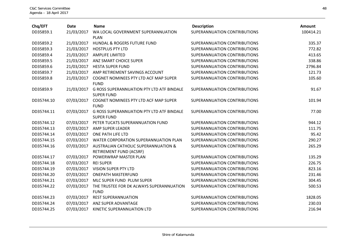| Chq/EFT    | <b>Date</b> | <b>Name</b>                                                                | <b>Description</b>           | Amount    |
|------------|-------------|----------------------------------------------------------------------------|------------------------------|-----------|
| DD35859.1  | 21/03/2017  | WA LOCAL GOVERNMENT SUPERANNUATION                                         | SUPERANNUATION CONTRIBUTIONS | 100414.21 |
|            |             | <b>PLAN</b>                                                                |                              |           |
| DD35859.2  | 21/03/2017  | HUNDAL & ROGERS FUTURE FUND                                                | SUPERANNUATION CONTRIBUTIONS | 335.37    |
| DD35859.3  | 21/03/2017  | <b>HOSTPLUS PTY LTD</b>                                                    | SUPERANNUATION CONTRIBUTIONS | 772.82    |
| DD35859.4  | 21/03/2017  | <b>AMPLIFE LIMITED</b>                                                     | SUPERANNUATION CONTRIBUTIONS | 413.65    |
| DD35859.5  | 21/03/2017  | ANZ SMART CHOICE SUPER                                                     | SUPERANNUATION CONTRIBUTIONS | 338.86    |
| DD35859.6  | 21/03/2017  | <b>HESTA SUPER FUND</b>                                                    | SUPERANNUATION CONTRIBUTIONS | 2796.84   |
| DD35859.7  | 21/03/2017  | AMP RETIREMENT SAVINGS ACCOUNT                                             | SUPERANNUATION CONTRIBUTIONS | 121.73    |
| DD35859.8  | 21/03/2017  | COGNET NOMINEES PTY LTD ACF MAP SUPER<br><b>FUND</b>                       | SUPERANNUATION CONTRIBUTIONS | 105.60    |
| DD35859.9  | 21/03/2017  | <b>G ROSS SUPERANNUATION PTY LTD ATF BINDALE</b><br><b>SUPER FUND</b>      | SUPERANNUATION CONTRIBUTIONS | 91.67     |
| DD35744.10 | 07/03/2017  | COGNET NOMINEES PTY LTD ACF MAP SUPER<br><b>FUND</b>                       | SUPERANNUATION CONTRIBUTIONS | 101.94    |
| DD35744.11 | 07/03/2017  | <b>G ROSS SUPERANNUATION PTY LTD ATF BINDALE</b><br><b>SUPER FUND</b>      | SUPERANNUATION CONTRIBUTIONS | 77.00     |
| DD35744.12 | 07/03/2017  | PETER TUCATS SUPERANNUATION FUND                                           | SUPERANNUATION CONTRIBUTIONS | 944.12    |
| DD35744.13 | 07/03/2017  | AMP SUPER LEADER                                                           | SUPERANNUATION CONTRIBUTIONS | 111.75    |
| DD35744.14 | 07/03/2017  | ONE PATH LIFE LTD                                                          | SUPERANNUATION CONTRIBUTIONS | 95.42     |
| DD35744.15 | 07/03/2017  | WATER CORPORATION SUPERANNUATION PLAN                                      | SUPERANNUATION CONTRIBUTIONS | 290.27    |
| DD35744.16 | 07/03/2017  | <b>AUSTRALIAN CATHOLIC SUPERANNUATION &amp;</b><br>RETIREMENT FUND (ACSRF) | SUPERANNUATION CONTRIBUTIONS | 265.29    |
| DD35744.17 | 07/03/2017  | POWERWRAP MASTER PLAN                                                      | SUPERANNUATION CONTRIBUTIONS | 135.29    |
| DD35744.18 | 07/03/2017  | <b>REI SUPER</b>                                                           | SUPERANNUATION CONTRIBUTIONS | 226.75    |
| DD35744.19 | 07/03/2017  | VISION SUPER PTY LTD                                                       | SUPERANNUATION CONTRIBUTIONS | 823.16    |
| DD35744.20 | 07/03/2017  | <b>ONEPATH MASTERFUND</b>                                                  | SUPERANNUATION CONTRIBUTIONS | 231.46    |
| DD35744.21 | 07/03/2017  | MLC SUPER FUND PLUM SUPER                                                  | SUPERANNUATION CONTRIBUTIONS | 304.45    |
| DD35744.22 | 07/03/2017  | THE TRUSTEE FOR DK ALWAYS SUPERANNUATION<br><b>FUND</b>                    | SUPERANNUATION CONTRIBUTIONS | 500.53    |
| DD35744.23 | 07/03/2017  | <b>REST SUPERANNUATION</b>                                                 | SUPERANNUATION CONTRIBUTIONS | 1828.05   |
| DD35744.24 | 07/03/2017  | ANZ SUPER ADVANTAGE                                                        | SUPERANNUATION CONTRIBUTIONS | 230.03    |
| DD35744.25 | 07/03/2017  | KINETIC SUPERANNUATION LTD                                                 | SUPERANNUATION CONTRIBUTIONS | 216.94    |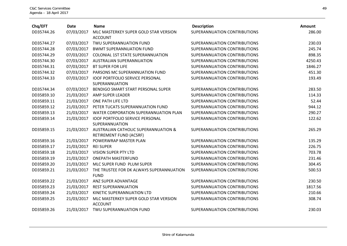| Chq/EFT    | <b>Date</b> | <b>Name</b>                                                                | <b>Description</b>           | Amount  |
|------------|-------------|----------------------------------------------------------------------------|------------------------------|---------|
| DD35744.26 | 07/03/2017  | MLC MASTERKEY SUPER GOLD STAR VERSION<br><b>ACCOUNT</b>                    | SUPERANNUATION CONTRIBUTIONS | 286.00  |
| DD35744.27 | 07/03/2017  | TWU SUPERANNUATION FUND                                                    | SUPERANNUATION CONTRIBUTIONS | 230.03  |
| DD35744.28 | 07/03/2017  | <b>BWMT SUPERANNUATION FUND</b>                                            | SUPERANNUATION CONTRIBUTIONS | 245.74  |
| DD35744.29 | 07/03/2017  | <b>COLONIAL 1ST STATE SUPERANNUATION</b>                                   | SUPERANNUATION CONTRIBUTIONS | 898.35  |
| DD35744.30 | 07/03/2017  | <b>AUSTRALIAN SUPERANNUATION</b>                                           | SUPERANNUATION CONTRIBUTIONS | 4250.43 |
| DD35744.31 | 07/03/2017  | <b>BT SUPER FOR LIFE</b>                                                   | SUPERANNUATION CONTRIBUTIONS | 1846.27 |
| DD35744.32 | 07/03/2017  | PARSONS MC SUPERANNUATION FUND                                             | SUPERANNUATION CONTRIBUTIONS | 451.30  |
| DD35744.33 | 07/03/2017  | <b>IOOF PORTFOLIO SERVICE PERSONAL</b><br>SUPERANNUATION                   | SUPERANNUATION CONTRIBUTIONS | 193.49  |
| DD35744.34 | 07/03/2017  | BENDIGO SMART START PERSONAL SUPER                                         | SUPERANNUATION CONTRIBUTIONS | 283.50  |
| DD35859.10 | 21/03/2017  | AMP SUPER LEADER                                                           | SUPERANNUATION CONTRIBUTIONS | 114.33  |
| DD35859.11 | 21/03/2017  | ONE PATH LIFE LTD                                                          | SUPERANNUATION CONTRIBUTIONS | 52.44   |
| DD35859.12 | 21/03/2017  | PETER TUCATS SUPERANNUATION FUND                                           | SUPERANNUATION CONTRIBUTIONS | 944.12  |
| DD35859.13 | 21/03/2017  | WATER CORPORATION SUPERANNUATION PLAN                                      | SUPERANNUATION CONTRIBUTIONS | 290.27  |
| DD35859.14 | 21/03/2017  | <b>IOOF PORTFOLIO SERVICE PERSONAL</b><br>SUPERANNUATION                   | SUPERANNUATION CONTRIBUTIONS | 122.62  |
| DD35859.15 | 21/03/2017  | <b>AUSTRALIAN CATHOLIC SUPERANNUATION &amp;</b><br>RETIREMENT FUND (ACSRF) | SUPERANNUATION CONTRIBUTIONS | 265.29  |
| DD35859.16 | 21/03/2017  | POWERWRAP MASTER PLAN                                                      | SUPERANNUATION CONTRIBUTIONS | 135.29  |
| DD35859.17 | 21/03/2017  | <b>REI SUPER</b>                                                           | SUPERANNUATION CONTRIBUTIONS | 226.75  |
| DD35859.18 | 21/03/2017  | VISION SUPER PTY LTD                                                       | SUPERANNUATION CONTRIBUTIONS | 703.78  |
| DD35859.19 | 21/03/2017  | <b>ONEPATH MASTERFUND</b>                                                  | SUPERANNUATION CONTRIBUTIONS | 231.46  |
| DD35859.20 | 21/03/2017  | MLC SUPER FUND PLUM SUPER                                                  | SUPERANNUATION CONTRIBUTIONS | 304.45  |
| DD35859.21 | 21/03/2017  | THE TRUSTEE FOR DK ALWAYS SUPERANNUATION<br><b>FUND</b>                    | SUPERANNUATION CONTRIBUTIONS | 500.53  |
| DD35859.22 | 21/03/2017  | ANZ SUPER ADVANTAGE                                                        | SUPERANNUATION CONTRIBUTIONS | 230.50  |
| DD35859.23 | 21/03/2017  | <b>REST SUPERANNUATION</b>                                                 | SUPERANNUATION CONTRIBUTIONS | 1817.56 |
| DD35859.24 | 21/03/2017  | KINETIC SUPERANNUATION LTD                                                 | SUPERANNUATION CONTRIBUTIONS | 210.66  |
| DD35859.25 | 21/03/2017  | MLC MASTERKEY SUPER GOLD STAR VERSION<br><b>ACCOUNT</b>                    | SUPERANNUATION CONTRIBUTIONS | 308.74  |
| DD35859.26 | 21/03/2017  | TWU SUPERANNUATION FUND                                                    | SUPERANNUATION CONTRIBUTIONS | 230.03  |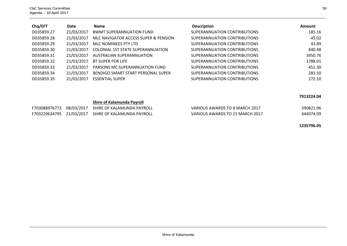| Chq/EFT    | Date       | <b>Name</b>                              | <b>Description</b>           | Amount  |
|------------|------------|------------------------------------------|------------------------------|---------|
| DD35859.27 | 21/03/2017 | <b>BWMT SUPERANNUATION FUND</b>          | SUPERANNUATION CONTRIBUTIONS | 185.16  |
| DD35859.28 | 21/03/2017 | MLC NAVIGATOR ACCESS SUPER & PENSION     | SUPERANNUATION CONTRIBUTIONS | 45.02   |
| DD35859.29 | 21/03/2017 | MLC NOMINEES PTY LTD                     | SUPERANNUATION CONTRIBUTIONS | 43.89   |
| DD35859.30 | 21/03/2017 | <b>COLONIAL 1ST STATE SUPERANNUATION</b> | SUPERANNUATION CONTRIBUTIONS | 840.48  |
| DD35859.31 | 21/03/2017 | AUSTRALIAN SUPERANNUATION                | SUPERANNUATION CONTRIBUTIONS | 3950.76 |
| DD35859.32 | 21/03/2017 | BT SUPER FOR LIFE                        | SUPERANNUATION CONTRIBUTIONS | 1788.01 |
| DD35859.33 | 21/03/2017 | PARSONS MC SUPERANNUATION FUND           | SUPERANNUATION CONTRIBUTIONS | 451.30  |
| DD35859.34 | 21/03/2017 | BENDIGO SMART START PERSONAL SUPER       | SUPERANNUATION CONTRIBUTIONS | 283.50  |
| DD35859.35 | 21/03/2017 | <b>ESSENTIAL SUPER</b>                   | SUPERANNUATION CONTRIBUTIONS | 272.10  |

#### **7913224.04**

#### **Shire of Kalamunda Payroll**

|  | F703088976773 08/03/2017 SHIRE OF KALAMUNDA PAYROLL | VARIOUS AWARDS TO 8 MARCH 2017  | 590821.96 |
|--|-----------------------------------------------------|---------------------------------|-----------|
|  | F703229634795 21/03/2017 SHIRE OF KALAMUNDA PAYROLL | VARIOUS AWARDS TO 21 MARCH 2017 | 644974.09 |

**1235796.05**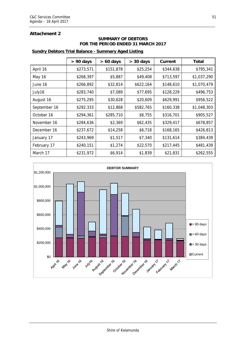## **Attachment 2**

### **SUMMARY OF DEBTORS FOR THE PERIOD ENDED 31 MARCH 2017**

### **Sundry Debtors Trial Balance - Summary Aged Listing**

|              | $> 90$ days | $> 60$ days | $> 30$ days | Current   | Total       |
|--------------|-------------|-------------|-------------|-----------|-------------|
| April 16     | \$273,571   | \$151,878   | \$25,254    | \$344,638 | \$795,341   |
| May 16       | \$268,397   | \$5,887     | \$49,408    | \$713,597 | \$1,037,290 |
| June 16      | \$266,892   | \$32,814    | \$622,164   | \$148,610 | \$1,070,479 |
| July16       | \$283,740   | \$7,089     | \$77,695    | \$128,229 | \$496,753   |
| August 16    | \$275,295   | \$30,628    | \$20,609    | \$629,991 | \$956,522   |
| September 16 | \$292,333   | \$12,868    | \$582,765   | \$160,338 | \$1,048,303 |
| October 16   | \$294,361   | \$285,710   | \$8,755     | \$316,701 | \$905,527   |
| November 16  | \$284,636   | \$2,369     | \$62,435    | \$329,417 | \$678,857   |
| December 16  | \$237,672   | \$14,258    | \$6,718     | \$168,165 | \$426,813   |
| January 17   | \$243,969   | \$1,517     | \$7,340     | \$131,614 | \$384,439   |
| February 17  | \$240,151   | \$1,274     | \$22,570    | \$217,445 | \$481,439   |
| March 17     | \$231,972   | \$6,914     | \$1,839     | \$21,831  | \$262,555   |

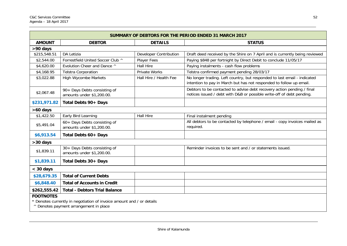| <b>SUMMARY OF DEBTORS FOR THE PERIOD ENDED 31 MARCH 2017</b>                                                                        |                                                           |                        |                                                                                                                                                 |  |  |
|-------------------------------------------------------------------------------------------------------------------------------------|-----------------------------------------------------------|------------------------|-------------------------------------------------------------------------------------------------------------------------------------------------|--|--|
| <b>AMOUNT</b>                                                                                                                       | <b>DEBTOR</b>                                             | <b>DETAILS</b>         | <b>STATUS</b>                                                                                                                                   |  |  |
| >90 days                                                                                                                            |                                                           |                        |                                                                                                                                                 |  |  |
| \$215,548.51                                                                                                                        | DA Letizia                                                | Developer Contribution | Draft deed received by the Shire on 7 April and is currently being reviewed                                                                     |  |  |
| \$2,544.00                                                                                                                          | Forrestfield United Soccer Club ^                         | Player Fees            | Paying \$848 per fortnight by Direct Debit to conclude 11/05/17                                                                                 |  |  |
| \$4,620.00                                                                                                                          | Evolution Cheer and Dance ^                               | <b>Hall Hire</b>       | Paying instalments - cash flow problems                                                                                                         |  |  |
| \$4,168.95                                                                                                                          | <b>Telstra Corporation</b>                                | <b>Private Works</b>   | Telstra confirmed payment pending 28/03/17                                                                                                      |  |  |
| \$3,022.88                                                                                                                          | <b>High Wycombe Markets</b>                               | Hall Hire / Health Fee | No longer trading. Left country, but responded to last email - indicated<br>intention to pay in March but has not responded to follow up email. |  |  |
| \$2,067.48                                                                                                                          | 90+ Days Debts consisting of<br>amounts under \$1,200.00. |                        | Debtors to be contacted to advise debt recovery action pending / final<br>notices issued / debt with D&B or possible write-off of debt pending. |  |  |
| \$231,971.82                                                                                                                        | Total Debts 90+ Days                                      |                        |                                                                                                                                                 |  |  |
| >60 days                                                                                                                            |                                                           |                        |                                                                                                                                                 |  |  |
| \$1,422.50                                                                                                                          | Early Bird Learning                                       | <b>Hall Hire</b>       | Final instalment pending                                                                                                                        |  |  |
| \$5,491.04                                                                                                                          | 60+ Days Debts consisting of<br>amounts under \$1,200.00. |                        | All debtors to be contacted by telephone / email - copy invoices mailed as<br>required.                                                         |  |  |
| \$6,913.54                                                                                                                          | Total Debts 60+ Days                                      |                        |                                                                                                                                                 |  |  |
| >30 days                                                                                                                            |                                                           |                        |                                                                                                                                                 |  |  |
| \$1,839.11                                                                                                                          | 30+ Days Debts consisting of<br>amounts under \$1,200.00. |                        | Reminder invoices to be sent and / or statements issued.                                                                                        |  |  |
| \$1,839.11                                                                                                                          | Total Debts 30+ Days                                      |                        |                                                                                                                                                 |  |  |
| $<$ 30 days                                                                                                                         |                                                           |                        |                                                                                                                                                 |  |  |
| \$28,679.35                                                                                                                         | <b>Total of Current Debts</b>                             |                        |                                                                                                                                                 |  |  |
| \$6,848.40                                                                                                                          | <b>Total of Accounts in Credit</b>                        |                        |                                                                                                                                                 |  |  |
| \$262,555.42                                                                                                                        | <b>Total - Debtors Trial Balance</b>                      |                        |                                                                                                                                                 |  |  |
| <b>FOOTNOTES</b><br>* Denotes currently in negotiation of invoice amount and / or details<br>^ Denotes payment arrangement in place |                                                           |                        |                                                                                                                                                 |  |  |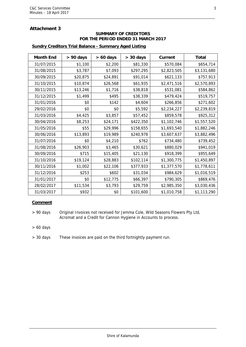## **Attachment 3**

#### **SUMMARY OF CREDITORS FOR THE PERIOD ENDED 31 MARCH 2017**

# Month End | > 90 days | > 60 days | > 30 days | Current | Total  $31/07/2015$   $$1,100$   $$2,200$   $$81,330$   $$570,084$   $$654,714$  $31/08/2015$   $$3,787$   $$7,093$   $$297,295$   $$2,823,505$   $$3,131,680$  $30/09/2015$   $$20,875$   $$24,891$   $$91,014$   $$621,133$   $$757,913$  $31/10/2015$   $$10,874$   $$26,568$   $$61,935$   $$2,471,516$   $$2,570,893$ 30/11/2015 \$13,246 \$1,716 \$38,818 \$531,081 \$584,862  $31/12/2015$   $$1,499$   $$495$   $$38,339$   $$479,424$   $$519,757$  $31/01/2016$   $$0$   $$142$   $$4,604$   $$266,856$   $$271,602$  $29/02/2016$  \$0 \$0 \$5,592 \$2,234,227 \$2,239,819  $31/03/2016$   $$4,425$   $$3,857$   $$57,452$   $$859,578$   $$925,312$ 30/04/2016 \$8,253 \$24,171 \$422,350 \$1,102,746 \$1,557,520  $31/05/2016$   $$55$   $$29,996$   $$158,655$   $$1,693,540$   $$1,882,246$  $30/06/2016$   $$13,893$   $$19,989$   $$240,978$   $$3,607,637$   $$3,882,496$  $31/07/2016$   $$0$   $$4,210$   $$762$   $$734,480$   $$739,452$  $31/08/2016$   $$26,903$   $$3,465$   $$30,621$   $$880,029$   $$941,019$  $30/09/2016$   $$715$   $$15,405$   $$21,130$   $$918,399$   $$955,649$  $31/10/2016$   $$19,124$   $$28,883$   $$102,114$   $$1,300,775$   $$1,450,897$ 30/11/2016 | \$1,002 | \$22,106 | \$377,933 | \$1,377,570 | \$1,778,611  $31/12/2016$   $$253$   $$602$   $$31,034$   $$984,629$   $$1,016,519$  $31/01/2017$   $$0$   $$12,775$   $$66,397$   $$790,305$   $$869,476$ 28/02/2017 | \$11,534 | \$3,793 | \$29,759 | \$2,985,350 | \$3,030,436  $31/03/2017$   $$932$   $$0|$   $$101,600$   $$1,010,758$   $$1,113,290$

### **Sundry Creditors Trial Balance - Summary Aged Listing**

#### **Comment**

> 90 days Original Invoices not received for Jemma Cole, Wild Seasons Flowers Pty Ltd, Acromat and a Credit for Cannon Hygiene in Accounts to process.

> 60 days

> 30 days These invoices are paid on the third fortnightly payment run.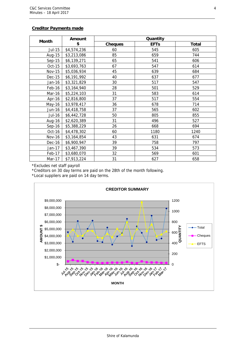### **Creditor Payments made**

|               | Amount      |                | Quantity    |       |  |  |
|---------------|-------------|----------------|-------------|-------|--|--|
| <b>Month</b>  | \$          | <b>Cheques</b> | <b>EFTs</b> | Total |  |  |
| Jul-15        | \$4,574,236 | 60             | 545         | 605   |  |  |
| Aug-15        | \$3,213,086 | 85             | 659         | 744   |  |  |
| $Sep-15$      | \$6,139,271 | 65             | 541         | 606   |  |  |
| $Oct-15$      | \$3,693,763 | 67             | 547         | 614   |  |  |
| <b>Nov-15</b> | \$5,036,934 | 45             | 639         | 684   |  |  |
| <b>Dec-15</b> | \$6,191,992 | 40             | 637         | 677   |  |  |
| Jan-16        | \$3,321,829 | 30             | 517         | 547   |  |  |
| Feb-16        | \$3,164,940 | 28             | 501         | 529   |  |  |
| Mar-16        | \$5,224,103 | 31             | 583         | 614   |  |  |
| Apr-16        | \$2,816,800 | 37             | 517         | 554   |  |  |
| May-16        | \$3,978,417 | 36             | 678         | 714   |  |  |
| <b>Jun-16</b> | \$4,418,758 | 37             | 565         | 602   |  |  |
| Jul-16        | \$6,442,728 | 50             | 805         | 855   |  |  |
| Aug-16        | \$2,620,389 | 31             | 496         | 527   |  |  |
| $Sep-16$      | \$5,388,229 | 26             | 668         | 694   |  |  |
| Oct-16        | \$4,478,302 | 60             | 1180        | 1240  |  |  |
| <b>Nov-16</b> | \$3,164,854 | 43             | 631         | 674   |  |  |
| Dec-16        | \$6,900,947 | 39             | 758         | 797   |  |  |
| Jan-17        | \$3,467,390 | 39             | 534         | 573   |  |  |
| Feb-17        | \$3,680,070 | 32             | 569         | 601   |  |  |
| Mar-17        | \$7,913,224 | 31             | 627         | 658   |  |  |

\*Excludes net staff payroll

\*Creditors on 30 day terms are paid on the 28th of the month following.

\*Local suppliers are paid on 14 day terms.

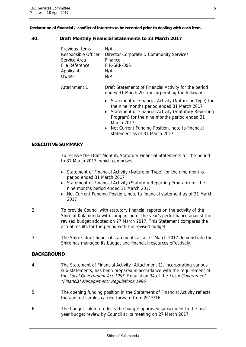**Declaration of financial / conflict of interests to be recorded prior to dealing with each item.** 

## **30. Draft Monthly Financial Statements to 31 March 2017**

| Previous Items<br>Responsible Officer<br>Service Area<br>File Reference<br>Applicant<br>Owner | N/A<br>Director Corporate & Community Services<br>Finance<br>FIR-SRR-006<br>N/A<br>N/A                                                                                                                                               |
|-----------------------------------------------------------------------------------------------|--------------------------------------------------------------------------------------------------------------------------------------------------------------------------------------------------------------------------------------|
| Attachment 1                                                                                  | Draft Statements of Financial Activity for the period<br>ended 31 March 2017 incorporating the following:                                                                                                                            |
|                                                                                               | Statement of Financial Activity (Nature or Type) for<br>$\bullet$<br>the nine months period ended 31 March 2017<br>Statement of Financial Activity (Statutory Reporting<br>$\bullet$<br>Program) for the nine months period ended 31 |

- Program) for the nine months period ended 31 March 2017
- Net Current Funding Position, note to financial statement as of 31 March 2017

## **EXECUTIVE SUMMARY**

- 1. To receive the Draft Monthly Statutory Financial Statements for the period to 31 March 2017, which comprises:
	- Statement of Financial Activity (Nature or Type) for the nine months period ended 31 March 2017
	- Statement of Financial Activity (Statutory Reporting Program) for the nine months period ended 31 March 2017
	- Net Current Funding Position, note to financial statement as of 31 March 2017
- 2. To provide Council with statutory financial reports on the activity of the Shire of Kalamunda with comparison of the year's performance against the revised budget adopted on 27 March 2017. This Statement compares the actual results for the period with the revised budget.
- 3. The Shire's draft financial statements as at 31 March 2017 demonstrate the Shire has managed its budget and financial resources effectively.

## **BACKGROUND**

- 4. The Statement of Financial Activity (Attachment 1), incorporating various sub-statements, has been prepared in accordance with the requirement of the Local Government Act 1995, Regulation 34 of the Local Government (Financial Management) Regulations 1996.
- 5. The opening funding position in the Statement of Financial Activity reflects the audited surplus carried forward from 2015/16.
- 6. The budget column reflects the budget approved subsequent to the midyear budget review by Council at its meeting on 27 March 2017.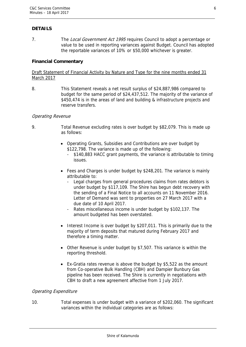## **DETAILS**

7. The Local Government Act 1995 requires Council to adopt a percentage or value to be used in reporting variances against Budget. Council has adopted the reportable variances of 10% or \$50,000 whichever is greater.

## **Financial Commentary**

Draft Statement of Financial Activity by Nature and Type for the nine months ended 31 March 2017

8. This Statement reveals a net result surplus of \$24,887,986 compared to budget for the same period of \$24,437,512. The majority of the variance of \$450,474 is in the areas of land and building & infrastructure projects and reserve transfers.

## Operating Revenue

- 9. Total Revenue excluding rates is over budget by \$82,079. This is made up as follows:
	- Operating Grants, Subsidies and Contributions are over budget by \$122,798. The variance is made up of the following:
		- \$140,883 HACC grant payments, the variance is attributable to timing issues.
	- Fees and Charges is under budget by \$248,201. The variance is mainly attributable to:
		- Legal charges from general procedures claims from rates debtors is under budget by \$117,109. The Shire has begun debt recovery with the sending of a Final Notice to all accounts on 11 November 2016. Letter of Demand was sent to properties on 27 March 2017 with a due date of 10 April 2017.
		- Rates miscellaneous income is under budget by \$102,137. The amount budgeted has been overstated.
	- Interest Income is over budget by \$207,011. This is primarily due to the majority of term deposits that matured during February 2017 and therefore a timing matter.
	- Other Revenue is under budget by \$7,507. This variance is within the reporting threshold.
	- Ex-Gratia rates revenue is above the budget by \$5,522 as the amount from Co-operative Bulk Handling (CBH) and Dampier Bunbury Gas pipeline has been received. The Shire is currently in negotiations with CBH to draft a new agreement affective from 1 July 2017.

## Operating Expenditure

10. Total expenses is under budget with a variance of \$202,060. The significant variances within the individual categories are as follows: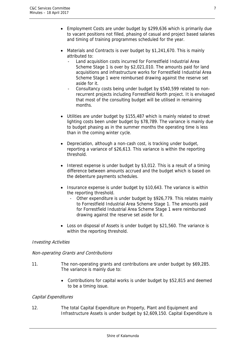- Employment Costs are under budget by \$299,636 which is primarily due to vacant positions not filled, phasing of casual and project based salaries and timing of training programmes scheduled for the year.
- Materials and Contracts is over budget by \$1,241,670. This is mainly attributed to:
	- Land acquisition costs incurred for Forrestfield Industrial Area Scheme Stage 1 is over by \$2,021,010. The amounts paid for land acquisitions and infrastructure works for Forrestfield Industrial Area Scheme Stage 1 were reimbursed drawing against the reserve set aside for it.
	- Consultancy costs being under budget by \$540,599 related to nonrecurrent projects including Forrestfield North project. It is envisaged that most of the consulting budget will be utilised in remaining months.
- Utilities are under budget by \$155,487 which is mainly related to street lighting costs been under budget by \$78,789. The variance is mainly due to budget phasing as in the summer months the operating time is less than in the coming winter cycle.
- Depreciation, although a non-cash cost, is tracking under budget, reporting a variance of \$26,613. This variance is within the reporting threshold.
- $\bullet$  Interest expense is under budget by \$3,012. This is a result of a timing difference between amounts accrued and the budget which is based on the debenture payments schedules.
- Insurance expense is under budget by \$10,643. The variance is within the reporting threshold.
	- Other expenditure is under budget by \$926,779. This relates mainly to Forrestfield Industrial Area Scheme Stage 1. The amounts paid for Forrestfield Industrial Area Scheme Stage 1 were reimbursed drawing against the reserve set aside for it.
- Loss on disposal of Assets is under budget by \$21,560. The variance is within the reporting threshold.

## Investing Activities

## Non-operating Grants and Contributions

- 11. The non-operating grants and contributions are under budget by \$69,285. The variance is mainly due to:
	- Contributions for capital works is under budget by \$52,815 and deemed to be a timing issue.

## Capital Expenditures

12. The total Capital Expenditure on Property, Plant and Equipment and Infrastructure Assets is under budget by \$2,609,150. Capital Expenditure is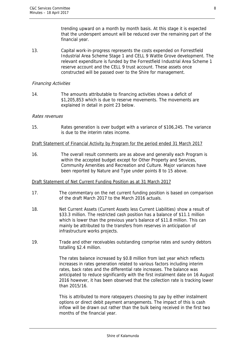trending upward on a month by month basis. At this stage it is expected that the underspent amount will be reduced over the remaining part of the financial year.

13. Capital work-in-progress represents the costs expended on Forrestfield Industrial Area Scheme Stage 1 and CELL 9 Wattle Grove development. The relevant expenditure is funded by the Forrestfield Industrial Area Scheme 1 reserve account and the CELL 9 trust account. These assets once constructed will be passed over to the Shire for management.

## Financing Activities

14. The amounts attributable to financing activities shows a deficit of \$1,205,853 which is due to reserve movements. The movements are explained in detail in point 23 below.

### Rates revenues

15. Rates generation is over budget with a variance of \$106,245. The variance is due to the interim rates income.

### Draft Statement of Financial Activity by Program for the period ended 31 March 2017

16. The overall result comments are as above and generally each Program is within the accepted budget except for Other Property and Services, Community Amenities and Recreation and Culture. Major variances have been reported by Nature and Type under points 8 to 15 above.

#### Draft Statement of Net Current Funding Position as at 31 March 2017

- 17. The commentary on the net current funding position is based on comparison of the draft March 2017 to the March 2016 actuals.
- 18. Net Current Assets (Current Assets less Current Liabilities) show a result of \$33.3 million. The restricted cash position has a balance of \$11.1 million which is lower than the previous year's balance of \$11.8 million. This can mainly be attributed to the transfers from reserves in anticipation of infrastructure works projects.
- 19. Trade and other receivables outstanding comprise rates and sundry debtors totalling \$2.4 million.

The rates balance increased by \$0.8 million from last year which reflects increases in rates generation related to various factors including interim rates, back rates and the differential rate increases. The balance was anticipated to reduce significantly with the first instalment date on 16 August 2016 however, it has been observed that the collection rate is tracking lower than 2015/16.

This is attributed to more ratepayers choosing to pay by either instalment options or direct debit payment arrangements. The impact of this is cash inflow will be drawn out rather than the bulk being received in the first two months of the financial year.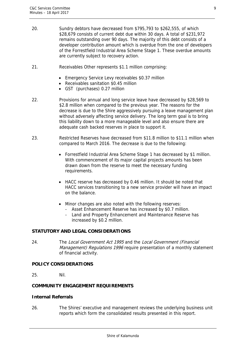- 20. Sundry debtors have decreased from \$795,793 to \$262,555, of which \$28,679 consists of current debt due within 30 days. A total of \$231,972 remains outstanding over 90 days. The majority of this debt consists of a developer contribution amount which is overdue from the one of developers of the Forrestfield Industrial Area Scheme Stage 1. These overdue amounts are currently subject to recovery action.
- 21. Receivables Other represents \$1.1 million comprising:
	- Emergency Service Levy receivables \$0.37 million
	- Receivables sanitation \$0.45 million
	- GST (purchases) 0.27 million
- 22. Provisions for annual and long service leave have decreased by \$28,569 to \$2.8 million when compared to the previous year. The reasons for the decrease is due to the Shire aggressively pursuing a leave management plan without adversely affecting service delivery. The long term goal is to bring this liability down to a more manageable level and also ensure there are adequate cash backed reserves in place to support it.
- 23. Restricted Reserves have decreased from \$11.8 million to \$11.1 million when compared to March 2016. The decrease is due to the following:
	- Forrestfield Industrial Area Scheme Stage 1 has decreased by \$1 million. With commencement of its major capital projects amounts has been drawn down from the reserve to meet the necessary funding requirements.
	- HACC reserve has decreased by 0.46 million. It should be noted that HACC services transitioning to a new service provider will have an impact on the balance.
	- Minor changes are also noted with the following reserves:
		- Asset Enhancement Reserve has increased by \$0.7 million.
		- Land and Property Enhancement and Maintenance Reserve has increased by \$0.2 million.

## **STATUTORY AND LEGAL CONSIDERATIONS**

24. The Local Government Act 1995 and the Local Government (Financial Management) Regulations 1996 require presentation of a monthly statement of financial activity.

## **POLICY CONSIDERATIONS**

25. Nil.

## **COMMUNITY ENGAGEMENT REQUIREMENTS**

## **Internal Referrals**

26. The Shires' executive and management reviews the underlying business unit reports which form the consolidated results presented in this report.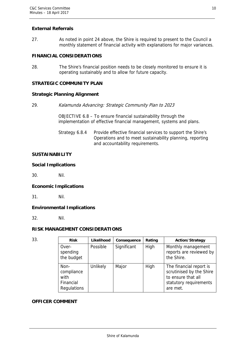## **External Referrals**

27. As noted in point 24 above, the Shire is required to present to the Council a monthly statement of financial activity with explanations for major variances.

## **FINANCIAL CONSIDERATIONS**

28. The Shire's financial position needs to be closely monitored to ensure it is operating sustainably and to allow for future capacity.

## **STRATEGIC COMMUNITY PLAN**

## **Strategic Planning Alignment**

29. Kalamunda Advancing: Strategic Community Plan to 2023

OBJECTIVE 6.8 – To ensure financial sustainability through the implementation of effective financial management, systems and plans.

Strategy 6.8.4 Provide effective financial services to support the Shire's Operations and to meet sustainability planning, reporting and accountability requirements.

## **SUSTAINABILITY**

## **Social Implications**

30. Nil.

## **Economic Implications**

31. Nil.

## **Environmental Implications**

32. Nil.

## **RISK MANAGEMENT CONSIDERATIONS**

| 33. | <b>Risk</b>                                            | Likelihood | Consequence | Rating | <b>Action/Strategy</b>                                                                                          |
|-----|--------------------------------------------------------|------------|-------------|--------|-----------------------------------------------------------------------------------------------------------------|
|     | Over-<br>spending<br>the budget                        | Possible   | Significant | High   | Monthly management<br>reports are reviewed by<br>the Shire.                                                     |
|     | Non-<br>compliance<br>with<br>Financial<br>Regulations | Unlikely   | Major       | High   | The financial report is<br>scrutinised by the Shire<br>to ensure that all<br>statutory requirements<br>are met. |

### **OFFICER COMMENT**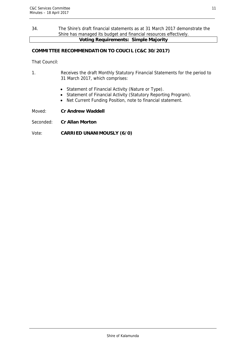### 34. The Shire's draft financial statements as at 31 March 2017 demonstrate the Shire has managed its budget and financial resources effectively. **Voting Requirements: Simple Majority**

## **COMMITTEE RECOMMENDATION TO COUCIL (C&C 30/2017)**

That Council:

- 1. Receives the draft Monthly Statutory Financial Statements for the period to 31 March 2017, which comprises:
	- Statement of Financial Activity (Nature or Type).
	- Statement of Financial Activity (Statutory Reporting Program).
	- Net Current Funding Position, note to financial statement.

Moved: **Cr Andrew Waddell** 

Seconded: **Cr Allan Morton** 

## Vote: **CARRIED UNANIMOUSLY (6/0)**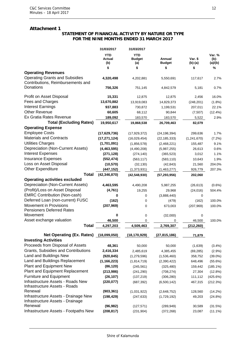### **Attachment 1**

#### **STATEMENT OF FINANCIAL ACTIVITY BY NATURE OR TYPE FOR THE NINE MONTHS ENDED 31 MARCH 2017**

|                                                                            | 31/03/2017                  | 31/03/2017                         |                         |                    |                           |
|----------------------------------------------------------------------------|-----------------------------|------------------------------------|-------------------------|--------------------|---------------------------|
|                                                                            | <b>YTD</b><br>Actual<br>(b) | <b>YTD</b><br><b>Budget</b><br>(a) | Annual<br><b>Budget</b> | Var. \$<br>(b)-(a) | Var. %<br>(b)-<br>(a)/(b) |
|                                                                            | \$                          | \$                                 | \$                      | \$                 | %                         |
| <b>Operating Revenues</b>                                                  |                             |                                    |                         |                    |                           |
| <b>Operating Grants and Subsidies</b><br>Contributions, Reimbursements and | 4,320,498                   | 4,202,881                          | 5,550,691               | 117,617            | 2.7%                      |
| Donations                                                                  | 756,326                     | 751,145                            | 4,842,579               | 5,181              | 0.7%                      |
| Profit on Asset Disposal                                                   | 15,331                      | 12,875                             | 12,875                  | 2,456              | 16.0%                     |
| Fees and Charges                                                           | 13,670,882                  | 13,919,083                         | 14,829,373              | (248, 201)         | $(1.8\%)$                 |
| <b>Interest Earnings</b>                                                   | 937,883                     | 730,872                            | 1,199,531               | 207,011            | 22.1%                     |
| <b>Other Revenue</b>                                                       | 60,605                      | 68,112                             | 90,844                  | (7, 507)           | (12.4%)                   |
| Ex Gratia Rates Revenue                                                    | 189,092                     | 183,570                            | 183,570                 | 5,522              | 2.9%                      |
| <b>Total (Excluding Rates)</b>                                             | 19,950,617                  | 19,868,538                         | 26,709,463              | 82,079             |                           |
| <b>Operating Expense</b>                                                   |                             |                                    |                         |                    |                           |
| <b>Employee Costs</b>                                                      | (17,629,736)                | (17, 929, 372)                     | (24, 198, 394)          | 299,636            | 1.7%                      |
| <b>Materials and Contracts</b>                                             | (17, 271, 124)              | (16,029,454)                       | (22, 185, 333)          | (1,241,670)        | (7.2%)                    |
| <b>Utilities Charges</b>                                                   | (1,701,091)                 | (1,856,578)                        | (2,468,221)             | 155,487            | 9.1%                      |
| Depreciation (Non-Current Assets)                                          | (4, 463, 595)               | (4,490,208)                        | (5,987,255)             | 26,613             | 0.6%                      |
| <b>Interest Expenses</b>                                                   | (271, 128)                  | (274, 140)                         | (365, 523)              | 3,012              | 1.1%                      |
| <b>Insurance Expenses</b>                                                  | (552, 474)                  | (563, 117)                         | (583, 110)              | 10,643             | 1.9%                      |
| Loss on Asset Disposal                                                     | (10, 570)                   | (32, 130)                          | (42, 843)               | 21,560             | 204.0%                    |
| <b>Other Expenditure</b>                                                   | (447, 152)                  | (1,373,931)                        | (1,463,277)             | 926,779            | 207.3%                    |
| <b>Total</b>                                                               | (42, 346, 870)              | (42, 548, 930)                     | (57, 293, 956)          | 202,060            |                           |
| <b>Operating activities excluded</b>                                       |                             |                                    |                         |                    |                           |
| Depreciation (Non-Current Assets)                                          | 4,463,595                   | 4,490,208                          | 5,987,255               | (26, 613)          | $(0.6\%)$                 |
| (Profit)/Loss on Asset Disposal                                            | (4,761)                     | 19,255                             | 29,968                  | (24, 016)          | 504.4%                    |
| <b>EMRC Contribution (Non-cash)</b>                                        | 0                           | 0                                  | (3,888,440)             | 0                  |                           |
| Deferred Loan (non-current) FUSC                                           | (162)                       | 0                                  | (479)                   | (162)              | 100.0%                    |
| Movement in Provisions<br><b>Pensioners Deferred Rates</b>                 | (207, 969)                  | 0                                  | 673,003                 | (207, 969)         | 100.0%                    |
| Movement                                                                   | 0                           | 0                                  | (32,000)                | 0                  |                           |
| Asset exchange valuation                                                   | 46,500                      | 0                                  | 0                       | 46,500             | 100.0%                    |
| <b>Total</b>                                                               | 4,297,203                   | 4,509,463                          | 2,769,307               | (212, 260)         |                           |
| Net Operating (Ex. Rates) (18,099,050)                                     |                             | (18, 170, 929)                     | (27, 815, 186)          | 71,879             |                           |
| <b>Investing Activities</b>                                                |                             |                                    |                         |                    |                           |
| Proceeds from Disposal of Assets                                           | 48,361                      | 50,000                             | 50,000                  | (1,639)            | $(3.4\%)$                 |
| Grants, Subsidies and Contributions                                        | 2,416,334                   | 2,485,619                          | 4,385,455               | (69, 285)          | (2.9%)                    |
| <b>Land and Buildings New</b>                                              | (920, 845)                  | (1,279,596)                        | (1,536,460)             | 358,752            | $(39.0\%)$                |
| Land and Buildings Replacement                                             | (1, 166, 223)               | (1,814,719)                        | (2,390,422)             | 648,496            | (55.6%)                   |
| Plant and Equipment New                                                    | (86, 120)                   | (245, 561)                         | (325, 480)              | 159,442            | $(185.1\%)$               |
| <b>Plant and Equipment Replacement</b>                                     | (213,986)                   | (241, 290)                         | (708, 274)              | 27,304             | (12.8%)                   |
| <b>Furniture and Equipment</b>                                             | (26, 107)                   | (137, 219)                         | (306, 280)              | 111,112            | (425.6%)                  |
| Infrastructure Assets - Roads New<br>Infrastructure Assets - Roads         | (220, 077)                  | (687, 392)                         | (6,500,142)             | 467,315            | (212.3%)                  |
| Renewal                                                                    | (903, 361)                  | (1,031,922)                        | (2,648,752)             | 128,560            | (14.2%)                   |
| Infrastructure Assets - Drainage New<br>Infrastructure Assets - Drainage   | (198, 429)                  | (247, 633)                         | (1,729,192)             | 49,203             | (24.8%)                   |
| Renewal                                                                    | (96, 982)                   | (127, 571)                         | (289, 949)              | 30,589             | (31.5%)                   |
| Infrastructure Assets - Footpaths New                                      | (208, 817)                  | (231, 904)                         | (372, 268)              | 23,087             | $(11.1\%)$                |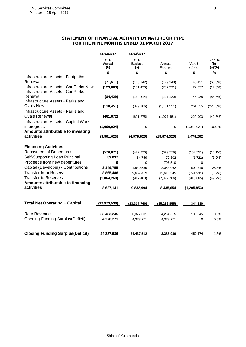#### **STATEMENT OF FINANCIAL ACTIVITY BY NATURE OR TYPE FOR THE NINE MONTHS ENDED 31 MARCH 2017**

|                                                                            | 31/03/2017                  | 31/03/2017                         |                         |                      |                              |
|----------------------------------------------------------------------------|-----------------------------|------------------------------------|-------------------------|----------------------|------------------------------|
|                                                                            | <b>YTD</b><br>Actual<br>(b) | <b>YTD</b><br><b>Budget</b><br>(a) | Annual<br><b>Budget</b> | Var. \$<br>$(b)-(a)$ | Var. %<br>$(b)$ -<br>(a)/(b) |
|                                                                            | \$                          | \$                                 | \$                      | \$                   | %                            |
| Infrastructure Assets - Footpaths                                          |                             |                                    |                         |                      |                              |
| Renewal                                                                    | (71, 511)                   | (116, 942)                         | (179, 148)              | 45,431               | (63.5%)                      |
| Infrastructure Assets - Car Parks New<br>Infrastructure Assets - Car Parks | (129,083)                   | (151, 420)                         | (787, 291)              | 22,337               | (17.3%)                      |
| Renewal                                                                    | (84, 429)                   | (130, 514)                         | (297, 120)              | 46,085               | (54.6%)                      |
| Infrastructure Assets - Parks and<br><b>Ovals New</b>                      | (118, 451)                  | (379, 986)                         | (1, 161, 551)           | 261,535              | (220.8%)                     |
| Infrastructure Assets - Parks and                                          |                             |                                    |                         |                      |                              |
| <b>Ovals Renewal</b>                                                       | (461, 872)                  | (691, 775)                         | (1,077,451)             | 229,903              | $(49.8\%)$                   |
| Infrastructure Assets - Capital Work-                                      |                             |                                    |                         |                      |                              |
| in progress                                                                | (1,060,024)                 | 0                                  | 0                       | (1,060,024)          | 100.0%                       |
| Amounts attributable to investing                                          |                             |                                    |                         |                      |                              |
| activities                                                                 | (3,501,623)                 | (4,979,825)                        | (15,874,325)            | 1,478,202            |                              |
|                                                                            |                             |                                    |                         |                      |                              |
| <b>Financing Activities</b>                                                |                             |                                    |                         |                      |                              |
| <b>Repayment of Debentures</b>                                             | (576, 871)                  | (472, 320)                         | (629, 779)              | (104, 551)           | $(18.1\%)$                   |
| Self-Supporting Loan Principal                                             | 53,037                      | 54,759                             | 72,302                  | (1,722)              | $(3.2\%)$                    |
| Proceeds from new debentures                                               | 0                           | $\Omega$                           | 706,510                 | $\mathbf 0$          |                              |
| Capital (Developer) - Contributions                                        | 2,149,755                   | 1,540,539                          | 2,054,062               | 609,216              | 28.3%                        |
| <b>Transfer from Reserves</b>                                              | 8,865,488                   | 9,657,419                          | 13,610,345              | (791, 931)           | $(8.9\%)$                    |
| <b>Transfer to Reserves</b>                                                | (1,864,268)                 | (947, 403)                         | (7, 377, 786)           | (916, 865)           | $(49.2\%)$                   |
| Amounts attributable to financing<br>activities                            | 8,627,141                   | 9,832,994                          | 8,435,654               | (1, 205, 853)        |                              |
|                                                                            |                             |                                    |                         |                      |                              |
| <b>Total Net Operating + Capital</b>                                       | (12, 973, 530)              | (13, 317, 760)                     | (35, 253, 855)          | 344,230              |                              |
| <b>Rate Revenue</b>                                                        | 33,483,245                  | 33,377,001                         | 34,264,515              | 106,245              | 0.3%                         |
| <b>Opening Funding Surplus (Deficit)</b>                                   | 4,378,271                   | 4,378,271                          | 4,378,271               | 0                    | 0.0%                         |
|                                                                            |                             |                                    |                         |                      |                              |
| <b>Closing Funding Surplus (Deficit)</b>                                   | 24,887,986                  | 24,437,512                         | 3,388,930               | 450,474              | 1.8%                         |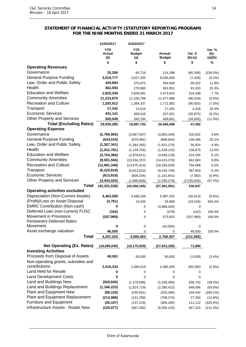#### **STATEMENT OF FINANCIAL ACTIVITY (STATUTORY REPORTING PROGRAM) FOR THE NINE MONTHS ENDED 31 MARCH 2017**

| <b>YTD</b><br><b>YTD</b><br>Var. %<br>Actual<br>Annual<br>Var. \$<br>(b)-<br><b>Budget</b><br><b>Budget</b><br>(b)<br>$(b)-(a)$<br>(a)/(b)<br>(a)<br>\$<br>\$<br>\$<br>%<br>\$<br><b>Operating Revenues</b><br>Governance<br>25,358<br>85,716<br>114,298<br>(60, 358)<br><b>General Purpose Funding</b><br>3,019,777<br>3,027,205<br>8,035,659<br>(7, 428)<br>Law, Order and Public Safety<br>420,894<br>370,872<br>494,568<br>50,022<br>Health<br>362,093<br>270,660<br>363,951<br>91,433<br><b>Education and Welfare</b><br>2,825,349<br>2,606,991<br>3,473,625<br>218,358<br><b>Community Amenities</b><br>11,233,870<br>11,330,788<br>11,477,988<br>(96, 918)<br><b>Recreation and Culture</b><br>1,293,912<br>1,384,337<br>1,772,382<br>(90, 425)<br>Transport<br>17,342<br>13,014<br>17,355<br>4,328<br>25.0%<br><b>Economic Services</b><br>431,141<br>458,016<br>537,921<br>(26, 875)<br>Other Property and Services<br>305,549<br>340,194<br>408,841<br>(34, 645)<br><b>Total (Excluding Rates)</b><br>19,935,285<br>19,887,793<br>26,696,588<br>47,492<br><b>Operating Expense</b><br>Governance<br>(2,766,955)<br>(2,867,587)<br>(3,850,348)<br>100,632<br><b>General Purpose Funding</b><br>(543, 015)<br>(679, 481)<br>(898, 664)<br>136,466<br>Law, Order and Public Safety<br>(1, 307, 341)<br>(1,364,265)<br>(1,822,274)<br>56,924<br>Health<br>(1,012,781)<br>(1, 149, 756)<br>(1,539,120)<br>136,975<br><b>Education and Welfare</b><br>(2,754,366)<br>(2,978,611)<br>(3,945,129)<br>224,245<br><b>Community Amenities</b><br>(9,591,594)<br>(10, 534, 257)<br>(14, 415, 379)<br>942,663<br><b>Recreation and Culture</b><br>(12, 881, 348)<br>(13, 675, 414)<br>(18, 256, 509)<br>794,066<br>Transport<br>(6, 225, 819)<br>(6,613,622)<br>(9, 105, 739)<br>387,803<br><b>Economic Services</b><br>(813, 816)<br>(806, 334)<br>(1, 152, 841)<br>(7, 482)<br><b>Other Property and Services</b><br>(4, 434, 503)<br>(2,535,645)<br>(1,898,858)<br>(2, 295, 078)<br><b>Total</b><br>(42, 331, 538)<br>(42, 568, 185)<br>(57, 281, 081)<br>236,647<br><b>Operating activities excluded</b><br>Depreciation (Non-Current Assets)<br>4,463,595<br>4,490,208<br>(26, 613)<br>5,987,255<br>(Profit)/Loss on Asset Disposal<br>(4, 761)<br>19,255<br>29,968<br>(24, 016)<br><b>EMRC Contribution (Non-cash)</b><br>0<br>(3,888,440)<br>0<br>0<br>Deferred Loan (non-current) FUSC<br>(162)<br>0<br>(479)<br>(162)<br>Movement in Provisions<br>(207, 969)<br>0<br>673,003<br>(207, 969)<br><b>Pensioners Deferred Rates</b><br>Movement<br>0<br>(32,000)<br>0<br>0<br>Asset exchange valuation<br>46,500<br>100.0%<br>0<br>0<br>46,500<br><b>Total</b><br>4,297,203<br>4,509,463<br>2,769,307<br>(212, 260)<br><b>Net Operating (Ex. Rates)</b><br>(18,099,049)<br>71,880<br>(18, 170, 929)<br>(27, 815, 186)<br><b>Investing Activities</b><br>Proceeds from Disposal of Assets<br>48,361<br>50,000<br>50,000<br>(1,639)<br>(3.4%)<br>Non-operating grants, subsidies and<br>contributions<br>2,416,334<br>2,485,619<br>$(2.9\%)$<br>4,385,455<br>(69, 285)<br>Land Held for Resale<br>0<br>0<br>0<br>0<br><b>Land Development Costs</b><br>0<br>0<br>0<br>0 | 31/03/2017 | 31/03/2017 |  |             |
|-------------------------------------------------------------------------------------------------------------------------------------------------------------------------------------------------------------------------------------------------------------------------------------------------------------------------------------------------------------------------------------------------------------------------------------------------------------------------------------------------------------------------------------------------------------------------------------------------------------------------------------------------------------------------------------------------------------------------------------------------------------------------------------------------------------------------------------------------------------------------------------------------------------------------------------------------------------------------------------------------------------------------------------------------------------------------------------------------------------------------------------------------------------------------------------------------------------------------------------------------------------------------------------------------------------------------------------------------------------------------------------------------------------------------------------------------------------------------------------------------------------------------------------------------------------------------------------------------------------------------------------------------------------------------------------------------------------------------------------------------------------------------------------------------------------------------------------------------------------------------------------------------------------------------------------------------------------------------------------------------------------------------------------------------------------------------------------------------------------------------------------------------------------------------------------------------------------------------------------------------------------------------------------------------------------------------------------------------------------------------------------------------------------------------------------------------------------------------------------------------------------------------------------------------------------------------------------------------------------------------------------------------------------------------------------------------------------------------------------------------------------------------------------------------------------------------------------------------------------------------------------------------------------------------------------------------------------------------------------------------------------------------------------------------------------------------------------------------------------------------------------------------------------------------|------------|------------|--|-------------|
|                                                                                                                                                                                                                                                                                                                                                                                                                                                                                                                                                                                                                                                                                                                                                                                                                                                                                                                                                                                                                                                                                                                                                                                                                                                                                                                                                                                                                                                                                                                                                                                                                                                                                                                                                                                                                                                                                                                                                                                                                                                                                                                                                                                                                                                                                                                                                                                                                                                                                                                                                                                                                                                                                                                                                                                                                                                                                                                                                                                                                                                                                                                                                                         |            |            |  |             |
|                                                                                                                                                                                                                                                                                                                                                                                                                                                                                                                                                                                                                                                                                                                                                                                                                                                                                                                                                                                                                                                                                                                                                                                                                                                                                                                                                                                                                                                                                                                                                                                                                                                                                                                                                                                                                                                                                                                                                                                                                                                                                                                                                                                                                                                                                                                                                                                                                                                                                                                                                                                                                                                                                                                                                                                                                                                                                                                                                                                                                                                                                                                                                                         |            |            |  |             |
|                                                                                                                                                                                                                                                                                                                                                                                                                                                                                                                                                                                                                                                                                                                                                                                                                                                                                                                                                                                                                                                                                                                                                                                                                                                                                                                                                                                                                                                                                                                                                                                                                                                                                                                                                                                                                                                                                                                                                                                                                                                                                                                                                                                                                                                                                                                                                                                                                                                                                                                                                                                                                                                                                                                                                                                                                                                                                                                                                                                                                                                                                                                                                                         |            |            |  |             |
|                                                                                                                                                                                                                                                                                                                                                                                                                                                                                                                                                                                                                                                                                                                                                                                                                                                                                                                                                                                                                                                                                                                                                                                                                                                                                                                                                                                                                                                                                                                                                                                                                                                                                                                                                                                                                                                                                                                                                                                                                                                                                                                                                                                                                                                                                                                                                                                                                                                                                                                                                                                                                                                                                                                                                                                                                                                                                                                                                                                                                                                                                                                                                                         |            |            |  | $(238.0\%)$ |
|                                                                                                                                                                                                                                                                                                                                                                                                                                                                                                                                                                                                                                                                                                                                                                                                                                                                                                                                                                                                                                                                                                                                                                                                                                                                                                                                                                                                                                                                                                                                                                                                                                                                                                                                                                                                                                                                                                                                                                                                                                                                                                                                                                                                                                                                                                                                                                                                                                                                                                                                                                                                                                                                                                                                                                                                                                                                                                                                                                                                                                                                                                                                                                         |            |            |  | (0.2%)      |
|                                                                                                                                                                                                                                                                                                                                                                                                                                                                                                                                                                                                                                                                                                                                                                                                                                                                                                                                                                                                                                                                                                                                                                                                                                                                                                                                                                                                                                                                                                                                                                                                                                                                                                                                                                                                                                                                                                                                                                                                                                                                                                                                                                                                                                                                                                                                                                                                                                                                                                                                                                                                                                                                                                                                                                                                                                                                                                                                                                                                                                                                                                                                                                         |            |            |  | 11.9%       |
|                                                                                                                                                                                                                                                                                                                                                                                                                                                                                                                                                                                                                                                                                                                                                                                                                                                                                                                                                                                                                                                                                                                                                                                                                                                                                                                                                                                                                                                                                                                                                                                                                                                                                                                                                                                                                                                                                                                                                                                                                                                                                                                                                                                                                                                                                                                                                                                                                                                                                                                                                                                                                                                                                                                                                                                                                                                                                                                                                                                                                                                                                                                                                                         |            |            |  | 25.3%       |
|                                                                                                                                                                                                                                                                                                                                                                                                                                                                                                                                                                                                                                                                                                                                                                                                                                                                                                                                                                                                                                                                                                                                                                                                                                                                                                                                                                                                                                                                                                                                                                                                                                                                                                                                                                                                                                                                                                                                                                                                                                                                                                                                                                                                                                                                                                                                                                                                                                                                                                                                                                                                                                                                                                                                                                                                                                                                                                                                                                                                                                                                                                                                                                         |            |            |  | 7.7%        |
|                                                                                                                                                                                                                                                                                                                                                                                                                                                                                                                                                                                                                                                                                                                                                                                                                                                                                                                                                                                                                                                                                                                                                                                                                                                                                                                                                                                                                                                                                                                                                                                                                                                                                                                                                                                                                                                                                                                                                                                                                                                                                                                                                                                                                                                                                                                                                                                                                                                                                                                                                                                                                                                                                                                                                                                                                                                                                                                                                                                                                                                                                                                                                                         |            |            |  | (0.9%       |
|                                                                                                                                                                                                                                                                                                                                                                                                                                                                                                                                                                                                                                                                                                                                                                                                                                                                                                                                                                                                                                                                                                                                                                                                                                                                                                                                                                                                                                                                                                                                                                                                                                                                                                                                                                                                                                                                                                                                                                                                                                                                                                                                                                                                                                                                                                                                                                                                                                                                                                                                                                                                                                                                                                                                                                                                                                                                                                                                                                                                                                                                                                                                                                         |            |            |  | $(7.0\%)$   |
|                                                                                                                                                                                                                                                                                                                                                                                                                                                                                                                                                                                                                                                                                                                                                                                                                                                                                                                                                                                                                                                                                                                                                                                                                                                                                                                                                                                                                                                                                                                                                                                                                                                                                                                                                                                                                                                                                                                                                                                                                                                                                                                                                                                                                                                                                                                                                                                                                                                                                                                                                                                                                                                                                                                                                                                                                                                                                                                                                                                                                                                                                                                                                                         |            |            |  |             |
|                                                                                                                                                                                                                                                                                                                                                                                                                                                                                                                                                                                                                                                                                                                                                                                                                                                                                                                                                                                                                                                                                                                                                                                                                                                                                                                                                                                                                                                                                                                                                                                                                                                                                                                                                                                                                                                                                                                                                                                                                                                                                                                                                                                                                                                                                                                                                                                                                                                                                                                                                                                                                                                                                                                                                                                                                                                                                                                                                                                                                                                                                                                                                                         |            |            |  | (6.2%)      |
|                                                                                                                                                                                                                                                                                                                                                                                                                                                                                                                                                                                                                                                                                                                                                                                                                                                                                                                                                                                                                                                                                                                                                                                                                                                                                                                                                                                                                                                                                                                                                                                                                                                                                                                                                                                                                                                                                                                                                                                                                                                                                                                                                                                                                                                                                                                                                                                                                                                                                                                                                                                                                                                                                                                                                                                                                                                                                                                                                                                                                                                                                                                                                                         |            |            |  | (11.3%)     |
|                                                                                                                                                                                                                                                                                                                                                                                                                                                                                                                                                                                                                                                                                                                                                                                                                                                                                                                                                                                                                                                                                                                                                                                                                                                                                                                                                                                                                                                                                                                                                                                                                                                                                                                                                                                                                                                                                                                                                                                                                                                                                                                                                                                                                                                                                                                                                                                                                                                                                                                                                                                                                                                                                                                                                                                                                                                                                                                                                                                                                                                                                                                                                                         |            |            |  |             |
|                                                                                                                                                                                                                                                                                                                                                                                                                                                                                                                                                                                                                                                                                                                                                                                                                                                                                                                                                                                                                                                                                                                                                                                                                                                                                                                                                                                                                                                                                                                                                                                                                                                                                                                                                                                                                                                                                                                                                                                                                                                                                                                                                                                                                                                                                                                                                                                                                                                                                                                                                                                                                                                                                                                                                                                                                                                                                                                                                                                                                                                                                                                                                                         |            |            |  |             |
|                                                                                                                                                                                                                                                                                                                                                                                                                                                                                                                                                                                                                                                                                                                                                                                                                                                                                                                                                                                                                                                                                                                                                                                                                                                                                                                                                                                                                                                                                                                                                                                                                                                                                                                                                                                                                                                                                                                                                                                                                                                                                                                                                                                                                                                                                                                                                                                                                                                                                                                                                                                                                                                                                                                                                                                                                                                                                                                                                                                                                                                                                                                                                                         |            |            |  | 3.6%        |
|                                                                                                                                                                                                                                                                                                                                                                                                                                                                                                                                                                                                                                                                                                                                                                                                                                                                                                                                                                                                                                                                                                                                                                                                                                                                                                                                                                                                                                                                                                                                                                                                                                                                                                                                                                                                                                                                                                                                                                                                                                                                                                                                                                                                                                                                                                                                                                                                                                                                                                                                                                                                                                                                                                                                                                                                                                                                                                                                                                                                                                                                                                                                                                         |            |            |  | 25.1%       |
|                                                                                                                                                                                                                                                                                                                                                                                                                                                                                                                                                                                                                                                                                                                                                                                                                                                                                                                                                                                                                                                                                                                                                                                                                                                                                                                                                                                                                                                                                                                                                                                                                                                                                                                                                                                                                                                                                                                                                                                                                                                                                                                                                                                                                                                                                                                                                                                                                                                                                                                                                                                                                                                                                                                                                                                                                                                                                                                                                                                                                                                                                                                                                                         |            |            |  | 4.4%        |
|                                                                                                                                                                                                                                                                                                                                                                                                                                                                                                                                                                                                                                                                                                                                                                                                                                                                                                                                                                                                                                                                                                                                                                                                                                                                                                                                                                                                                                                                                                                                                                                                                                                                                                                                                                                                                                                                                                                                                                                                                                                                                                                                                                                                                                                                                                                                                                                                                                                                                                                                                                                                                                                                                                                                                                                                                                                                                                                                                                                                                                                                                                                                                                         |            |            |  | 13.5%       |
|                                                                                                                                                                                                                                                                                                                                                                                                                                                                                                                                                                                                                                                                                                                                                                                                                                                                                                                                                                                                                                                                                                                                                                                                                                                                                                                                                                                                                                                                                                                                                                                                                                                                                                                                                                                                                                                                                                                                                                                                                                                                                                                                                                                                                                                                                                                                                                                                                                                                                                                                                                                                                                                                                                                                                                                                                                                                                                                                                                                                                                                                                                                                                                         |            |            |  | 8.1%        |
|                                                                                                                                                                                                                                                                                                                                                                                                                                                                                                                                                                                                                                                                                                                                                                                                                                                                                                                                                                                                                                                                                                                                                                                                                                                                                                                                                                                                                                                                                                                                                                                                                                                                                                                                                                                                                                                                                                                                                                                                                                                                                                                                                                                                                                                                                                                                                                                                                                                                                                                                                                                                                                                                                                                                                                                                                                                                                                                                                                                                                                                                                                                                                                         |            |            |  | 9.8%        |
|                                                                                                                                                                                                                                                                                                                                                                                                                                                                                                                                                                                                                                                                                                                                                                                                                                                                                                                                                                                                                                                                                                                                                                                                                                                                                                                                                                                                                                                                                                                                                                                                                                                                                                                                                                                                                                                                                                                                                                                                                                                                                                                                                                                                                                                                                                                                                                                                                                                                                                                                                                                                                                                                                                                                                                                                                                                                                                                                                                                                                                                                                                                                                                         |            |            |  | 6.2%        |
|                                                                                                                                                                                                                                                                                                                                                                                                                                                                                                                                                                                                                                                                                                                                                                                                                                                                                                                                                                                                                                                                                                                                                                                                                                                                                                                                                                                                                                                                                                                                                                                                                                                                                                                                                                                                                                                                                                                                                                                                                                                                                                                                                                                                                                                                                                                                                                                                                                                                                                                                                                                                                                                                                                                                                                                                                                                                                                                                                                                                                                                                                                                                                                         |            |            |  | 6.2%        |
|                                                                                                                                                                                                                                                                                                                                                                                                                                                                                                                                                                                                                                                                                                                                                                                                                                                                                                                                                                                                                                                                                                                                                                                                                                                                                                                                                                                                                                                                                                                                                                                                                                                                                                                                                                                                                                                                                                                                                                                                                                                                                                                                                                                                                                                                                                                                                                                                                                                                                                                                                                                                                                                                                                                                                                                                                                                                                                                                                                                                                                                                                                                                                                         |            |            |  | (0.9%       |
|                                                                                                                                                                                                                                                                                                                                                                                                                                                                                                                                                                                                                                                                                                                                                                                                                                                                                                                                                                                                                                                                                                                                                                                                                                                                                                                                                                                                                                                                                                                                                                                                                                                                                                                                                                                                                                                                                                                                                                                                                                                                                                                                                                                                                                                                                                                                                                                                                                                                                                                                                                                                                                                                                                                                                                                                                                                                                                                                                                                                                                                                                                                                                                         |            |            |  | (57.2%)     |
|                                                                                                                                                                                                                                                                                                                                                                                                                                                                                                                                                                                                                                                                                                                                                                                                                                                                                                                                                                                                                                                                                                                                                                                                                                                                                                                                                                                                                                                                                                                                                                                                                                                                                                                                                                                                                                                                                                                                                                                                                                                                                                                                                                                                                                                                                                                                                                                                                                                                                                                                                                                                                                                                                                                                                                                                                                                                                                                                                                                                                                                                                                                                                                         |            |            |  |             |
|                                                                                                                                                                                                                                                                                                                                                                                                                                                                                                                                                                                                                                                                                                                                                                                                                                                                                                                                                                                                                                                                                                                                                                                                                                                                                                                                                                                                                                                                                                                                                                                                                                                                                                                                                                                                                                                                                                                                                                                                                                                                                                                                                                                                                                                                                                                                                                                                                                                                                                                                                                                                                                                                                                                                                                                                                                                                                                                                                                                                                                                                                                                                                                         |            |            |  |             |
|                                                                                                                                                                                                                                                                                                                                                                                                                                                                                                                                                                                                                                                                                                                                                                                                                                                                                                                                                                                                                                                                                                                                                                                                                                                                                                                                                                                                                                                                                                                                                                                                                                                                                                                                                                                                                                                                                                                                                                                                                                                                                                                                                                                                                                                                                                                                                                                                                                                                                                                                                                                                                                                                                                                                                                                                                                                                                                                                                                                                                                                                                                                                                                         |            |            |  | $(0.6\%)$   |
|                                                                                                                                                                                                                                                                                                                                                                                                                                                                                                                                                                                                                                                                                                                                                                                                                                                                                                                                                                                                                                                                                                                                                                                                                                                                                                                                                                                                                                                                                                                                                                                                                                                                                                                                                                                                                                                                                                                                                                                                                                                                                                                                                                                                                                                                                                                                                                                                                                                                                                                                                                                                                                                                                                                                                                                                                                                                                                                                                                                                                                                                                                                                                                         |            |            |  | 504.4%      |
|                                                                                                                                                                                                                                                                                                                                                                                                                                                                                                                                                                                                                                                                                                                                                                                                                                                                                                                                                                                                                                                                                                                                                                                                                                                                                                                                                                                                                                                                                                                                                                                                                                                                                                                                                                                                                                                                                                                                                                                                                                                                                                                                                                                                                                                                                                                                                                                                                                                                                                                                                                                                                                                                                                                                                                                                                                                                                                                                                                                                                                                                                                                                                                         |            |            |  |             |
|                                                                                                                                                                                                                                                                                                                                                                                                                                                                                                                                                                                                                                                                                                                                                                                                                                                                                                                                                                                                                                                                                                                                                                                                                                                                                                                                                                                                                                                                                                                                                                                                                                                                                                                                                                                                                                                                                                                                                                                                                                                                                                                                                                                                                                                                                                                                                                                                                                                                                                                                                                                                                                                                                                                                                                                                                                                                                                                                                                                                                                                                                                                                                                         |            |            |  | 100.0%      |
|                                                                                                                                                                                                                                                                                                                                                                                                                                                                                                                                                                                                                                                                                                                                                                                                                                                                                                                                                                                                                                                                                                                                                                                                                                                                                                                                                                                                                                                                                                                                                                                                                                                                                                                                                                                                                                                                                                                                                                                                                                                                                                                                                                                                                                                                                                                                                                                                                                                                                                                                                                                                                                                                                                                                                                                                                                                                                                                                                                                                                                                                                                                                                                         |            |            |  | 100.0%      |
|                                                                                                                                                                                                                                                                                                                                                                                                                                                                                                                                                                                                                                                                                                                                                                                                                                                                                                                                                                                                                                                                                                                                                                                                                                                                                                                                                                                                                                                                                                                                                                                                                                                                                                                                                                                                                                                                                                                                                                                                                                                                                                                                                                                                                                                                                                                                                                                                                                                                                                                                                                                                                                                                                                                                                                                                                                                                                                                                                                                                                                                                                                                                                                         |            |            |  |             |
|                                                                                                                                                                                                                                                                                                                                                                                                                                                                                                                                                                                                                                                                                                                                                                                                                                                                                                                                                                                                                                                                                                                                                                                                                                                                                                                                                                                                                                                                                                                                                                                                                                                                                                                                                                                                                                                                                                                                                                                                                                                                                                                                                                                                                                                                                                                                                                                                                                                                                                                                                                                                                                                                                                                                                                                                                                                                                                                                                                                                                                                                                                                                                                         |            |            |  |             |
|                                                                                                                                                                                                                                                                                                                                                                                                                                                                                                                                                                                                                                                                                                                                                                                                                                                                                                                                                                                                                                                                                                                                                                                                                                                                                                                                                                                                                                                                                                                                                                                                                                                                                                                                                                                                                                                                                                                                                                                                                                                                                                                                                                                                                                                                                                                                                                                                                                                                                                                                                                                                                                                                                                                                                                                                                                                                                                                                                                                                                                                                                                                                                                         |            |            |  |             |
|                                                                                                                                                                                                                                                                                                                                                                                                                                                                                                                                                                                                                                                                                                                                                                                                                                                                                                                                                                                                                                                                                                                                                                                                                                                                                                                                                                                                                                                                                                                                                                                                                                                                                                                                                                                                                                                                                                                                                                                                                                                                                                                                                                                                                                                                                                                                                                                                                                                                                                                                                                                                                                                                                                                                                                                                                                                                                                                                                                                                                                                                                                                                                                         |            |            |  |             |
|                                                                                                                                                                                                                                                                                                                                                                                                                                                                                                                                                                                                                                                                                                                                                                                                                                                                                                                                                                                                                                                                                                                                                                                                                                                                                                                                                                                                                                                                                                                                                                                                                                                                                                                                                                                                                                                                                                                                                                                                                                                                                                                                                                                                                                                                                                                                                                                                                                                                                                                                                                                                                                                                                                                                                                                                                                                                                                                                                                                                                                                                                                                                                                         |            |            |  |             |
|                                                                                                                                                                                                                                                                                                                                                                                                                                                                                                                                                                                                                                                                                                                                                                                                                                                                                                                                                                                                                                                                                                                                                                                                                                                                                                                                                                                                                                                                                                                                                                                                                                                                                                                                                                                                                                                                                                                                                                                                                                                                                                                                                                                                                                                                                                                                                                                                                                                                                                                                                                                                                                                                                                                                                                                                                                                                                                                                                                                                                                                                                                                                                                         |            |            |  |             |
|                                                                                                                                                                                                                                                                                                                                                                                                                                                                                                                                                                                                                                                                                                                                                                                                                                                                                                                                                                                                                                                                                                                                                                                                                                                                                                                                                                                                                                                                                                                                                                                                                                                                                                                                                                                                                                                                                                                                                                                                                                                                                                                                                                                                                                                                                                                                                                                                                                                                                                                                                                                                                                                                                                                                                                                                                                                                                                                                                                                                                                                                                                                                                                         |            |            |  |             |
|                                                                                                                                                                                                                                                                                                                                                                                                                                                                                                                                                                                                                                                                                                                                                                                                                                                                                                                                                                                                                                                                                                                                                                                                                                                                                                                                                                                                                                                                                                                                                                                                                                                                                                                                                                                                                                                                                                                                                                                                                                                                                                                                                                                                                                                                                                                                                                                                                                                                                                                                                                                                                                                                                                                                                                                                                                                                                                                                                                                                                                                                                                                                                                         |            |            |  |             |
|                                                                                                                                                                                                                                                                                                                                                                                                                                                                                                                                                                                                                                                                                                                                                                                                                                                                                                                                                                                                                                                                                                                                                                                                                                                                                                                                                                                                                                                                                                                                                                                                                                                                                                                                                                                                                                                                                                                                                                                                                                                                                                                                                                                                                                                                                                                                                                                                                                                                                                                                                                                                                                                                                                                                                                                                                                                                                                                                                                                                                                                                                                                                                                         |            |            |  |             |
|                                                                                                                                                                                                                                                                                                                                                                                                                                                                                                                                                                                                                                                                                                                                                                                                                                                                                                                                                                                                                                                                                                                                                                                                                                                                                                                                                                                                                                                                                                                                                                                                                                                                                                                                                                                                                                                                                                                                                                                                                                                                                                                                                                                                                                                                                                                                                                                                                                                                                                                                                                                                                                                                                                                                                                                                                                                                                                                                                                                                                                                                                                                                                                         |            |            |  |             |
|                                                                                                                                                                                                                                                                                                                                                                                                                                                                                                                                                                                                                                                                                                                                                                                                                                                                                                                                                                                                                                                                                                                                                                                                                                                                                                                                                                                                                                                                                                                                                                                                                                                                                                                                                                                                                                                                                                                                                                                                                                                                                                                                                                                                                                                                                                                                                                                                                                                                                                                                                                                                                                                                                                                                                                                                                                                                                                                                                                                                                                                                                                                                                                         |            |            |  |             |
| Land and Buildings New<br>(920, 845)<br>(1, 279, 596)<br>(1,536,460)<br>358,752                                                                                                                                                                                                                                                                                                                                                                                                                                                                                                                                                                                                                                                                                                                                                                                                                                                                                                                                                                                                                                                                                                                                                                                                                                                                                                                                                                                                                                                                                                                                                                                                                                                                                                                                                                                                                                                                                                                                                                                                                                                                                                                                                                                                                                                                                                                                                                                                                                                                                                                                                                                                                                                                                                                                                                                                                                                                                                                                                                                                                                                                                         |            |            |  | $(39.0\%)$  |
| Land and Buildings Replacement<br>(1, 166, 223)<br>(1,814,719)<br>(2,390,422)<br>648,496                                                                                                                                                                                                                                                                                                                                                                                                                                                                                                                                                                                                                                                                                                                                                                                                                                                                                                                                                                                                                                                                                                                                                                                                                                                                                                                                                                                                                                                                                                                                                                                                                                                                                                                                                                                                                                                                                                                                                                                                                                                                                                                                                                                                                                                                                                                                                                                                                                                                                                                                                                                                                                                                                                                                                                                                                                                                                                                                                                                                                                                                                |            |            |  | (55.6%)     |
| Plant and Equipment New<br>(86, 120)<br>(245, 561)<br>(325, 480)<br>159,442                                                                                                                                                                                                                                                                                                                                                                                                                                                                                                                                                                                                                                                                                                                                                                                                                                                                                                                                                                                                                                                                                                                                                                                                                                                                                                                                                                                                                                                                                                                                                                                                                                                                                                                                                                                                                                                                                                                                                                                                                                                                                                                                                                                                                                                                                                                                                                                                                                                                                                                                                                                                                                                                                                                                                                                                                                                                                                                                                                                                                                                                                             |            |            |  | $(185.1\%)$ |
| Plant and Equipment Replacement<br>(213,986)<br>(241, 290)<br>(708, 274)<br>27,304                                                                                                                                                                                                                                                                                                                                                                                                                                                                                                                                                                                                                                                                                                                                                                                                                                                                                                                                                                                                                                                                                                                                                                                                                                                                                                                                                                                                                                                                                                                                                                                                                                                                                                                                                                                                                                                                                                                                                                                                                                                                                                                                                                                                                                                                                                                                                                                                                                                                                                                                                                                                                                                                                                                                                                                                                                                                                                                                                                                                                                                                                      |            |            |  | (12.8%)     |
| <b>Furniture and Equipment</b><br>(26, 107)<br>(137, 219)<br>(306, 280)<br>111,112                                                                                                                                                                                                                                                                                                                                                                                                                                                                                                                                                                                                                                                                                                                                                                                                                                                                                                                                                                                                                                                                                                                                                                                                                                                                                                                                                                                                                                                                                                                                                                                                                                                                                                                                                                                                                                                                                                                                                                                                                                                                                                                                                                                                                                                                                                                                                                                                                                                                                                                                                                                                                                                                                                                                                                                                                                                                                                                                                                                                                                                                                      |            |            |  | (425.6%)    |
| Infrastructure Assets - Roads New<br>(220, 077)<br>(687, 392)<br>(6,500,142)<br>467,315                                                                                                                                                                                                                                                                                                                                                                                                                                                                                                                                                                                                                                                                                                                                                                                                                                                                                                                                                                                                                                                                                                                                                                                                                                                                                                                                                                                                                                                                                                                                                                                                                                                                                                                                                                                                                                                                                                                                                                                                                                                                                                                                                                                                                                                                                                                                                                                                                                                                                                                                                                                                                                                                                                                                                                                                                                                                                                                                                                                                                                                                                 |            |            |  | (212.3%)    |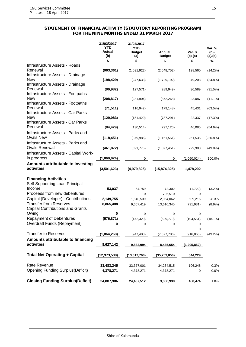#### **STATEMENT OF FINANCIAL ACTIVITY (STATUTORY REPORTING PROGRAM) FOR THE NINE MONTHS ENDED 31 MARCH 2017**

|                                                                              | 31/03/2017<br><b>YTD</b><br>Actual<br>(b) | 31/03/2017<br><b>YTD</b><br><b>Budget</b><br>(a) | Annual<br><b>Budget</b> | Var. \$<br>$(b)-(a)$ | Var. %<br>(b)-<br>(a)/(b) |
|------------------------------------------------------------------------------|-------------------------------------------|--------------------------------------------------|-------------------------|----------------------|---------------------------|
|                                                                              | \$                                        | \$                                               | \$                      | \$                   | %                         |
| Infrastructure Assets - Roads<br>Renewal<br>Infrastructure Assets - Drainage | (903, 361)                                | (1,031,922)                                      | (2,648,752)             | 128,560              | (14.2%)                   |
| <b>New</b><br>Infrastructure Assets - Drainage                               | (198, 429)                                | (247, 633)                                       | (1,729,192)             | 49,203               | (24.8%)                   |
| Renewal<br>Infrastructure Assets - Footpaths                                 | (96, 982)                                 | (127, 571)                                       | (289, 949)              | 30,589               | (31.5%)                   |
| <b>New</b><br>Infrastructure Assets - Footpaths                              | (208, 817)                                | (231, 904)                                       | (372, 268)              | 23,087               | $(11.1\%)$                |
| Renewal<br>Infrastructure Assets - Car Parks                                 | (71, 511)                                 | (116, 942)                                       | (179, 148)              | 45,431               | (63.5%)                   |
| <b>New</b><br>Infrastructure Assets - Car Parks                              | (129,083)                                 | (151, 420)                                       | (787, 291)              | 22,337               | (17.3%)                   |
| Renewal<br>Infrastructure Assets - Parks and                                 | (84, 429)                                 | (130, 514)                                       | (297, 120)              | 46,085               | (54.6%)                   |
| <b>Ovals New</b><br>Infrastructure Assets - Parks and                        | (118, 451)                                | (379, 986)                                       | (1, 161, 551)           | 261,535              | (220.8%)                  |
| <b>Ovals Renewal</b>                                                         | (461, 872)                                | (691, 775)                                       | (1,077,451)             | 229,903              | (49.8%)                   |
| Infrastructure Assets - Capital Work-<br>in progress                         | (1,060,024)                               | 0                                                | 0                       | (1,060,024)          | 100.0%                    |
| Amounts attributable to investing<br>activities                              | (3,501,623)                               | (4,979,825)                                      | (15, 874, 325)          | 1,478,202            |                           |
| <b>Financing Activities</b><br>Self-Supporting Loan Principal                |                                           |                                                  |                         |                      |                           |
| Income<br>Proceeds from new debentures                                       | 53,037                                    | 54,759<br>0                                      | 72,302                  | (1, 722)             | $(3.2\%)$                 |
| Capital (Developer) - Contributions                                          |                                           |                                                  | 706,510                 | 0                    |                           |
|                                                                              | 2,149,755                                 | 1,540,539                                        | 2,054,062               | 609,216              | 28.3%                     |
| <b>Transfer from Reserves</b><br><b>Capital Contributions and Grants</b>     | 8,865,488                                 | 9,657,419                                        | 13,610,345              | (791, 931)           | $(8.9\%)$                 |
| Owing                                                                        | 0                                         | 0                                                | 0                       | 0                    |                           |
| <b>Repayment of Debentures</b>                                               | (576, 871)                                | (472, 320)                                       | (629, 779)              | (104, 551)           | $(18.1\%)$                |
| <b>Overdraft Funds (Repayment)</b>                                           | 0                                         | 0                                                | 0                       | 0<br>0               |                           |
| <b>Transfer to Reserves</b>                                                  | (1,864,268)                               | (947, 403)                                       | (7, 377, 786)           | (916, 865)           | (49.2%)                   |
| Amounts attributable to financing<br>activities                              | 8,627,142                                 | 9,832,994                                        | 8,435,654               | (1,205,852)          |                           |
| <b>Total Net Operating + Capital</b>                                         | (12, 973, 530)                            | (13, 317, 760)                                   | (35, 253, 856)          | 344,229              |                           |
| Rate Revenue                                                                 | 33,483,245                                | 33,377,001                                       | 34,264,515              | 106,245              | 0.3%                      |
| <b>Opening Funding Surplus (Deficit)</b>                                     | 4,378,271                                 | 4,378,271                                        | 4,378,271               | 0                    | 0.0%                      |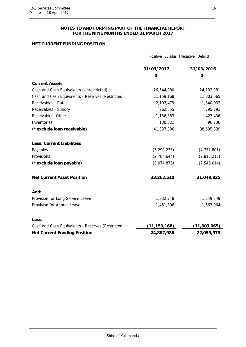#### **NOTES TO AND FORMING PART OF THE FINANCIAL REPORT FOR THE NINE MONTHS ENDED 31 MARCH 2017**

### **NET CURRENT FUNDING POSITION**

|                                                   | Positive=Surplus (Negative=Deficit) |              |  |
|---------------------------------------------------|-------------------------------------|--------------|--|
|                                                   | 31/03/2017                          | 31/03/2016   |  |
|                                                   | \$                                  | \$           |  |
| <b>Current Assets</b>                             |                                     |              |  |
| Cash and Cash Equivalents (Unrestricted)          | 26,544,980                          | 24, 132, 381 |  |
| Cash and Cash Equivalents - Reserves (Restricted) | 11,159,168                          | 11,803,065   |  |
| Receivables - Rates                               | 2,103,479                           | 1,340,933    |  |
| Receivables - Sundry                              | 262,555                             | 795,793      |  |
| Receivables - Other                               | 1,136,883                           | 427,436      |  |
| Inventories                                       | 130,321                             | 96,230       |  |
| (*exclude loan receivable)                        | 41,337,386                          | 38,595,839   |  |
| <b>Less: Current Liabilities</b>                  |                                     |              |  |
| Payables                                          | (5, 290, 233)                       | (4,732,801)  |  |
| Provisions                                        | (2,784,644)                         | (2,813,213)  |  |
| (*exclude loan payable)                           | (8,074,876)                         | (7,546,014)  |  |
| <b>Net Current Asset Position</b>                 | 33,262,510                          | 31,049,825   |  |
| Add:                                              |                                     |              |  |
| Provision for Long Service Leave                  | 1,332,748                           | 1,249,249    |  |
| Provision for Annual Leave                        | 1,451,896                           | 1,563,964    |  |
| Less:                                             |                                     |              |  |
| Cash and Cash Equivalents - Reserves (Restricted) | (11, 159, 168)                      | (11,803,065) |  |

Net Current Funding Position **24,887,986** 22,059,973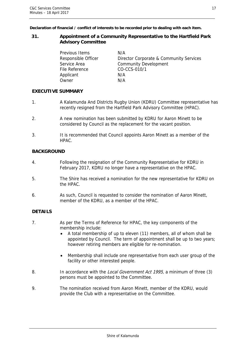**Declaration of financial / conflict of interests to be recorded prior to dealing with each item.** 

### **31. Appointment of a Community Representative to the Hartfield Park Advisory Committee**

Previous Items N/A File Reference CO-CCS-010/1 Applicant N/A Owner N/A

Responsible Officer Director Corporate & Community Services Service Area **Community Development** 

## **EXECUTIVE SUMMARY**

- 1. A Kalamunda And Districts Rugby Union (KDRU) Committee representative has recently resigned from the Hartfield Park Advisory Committee (HPAC).
- 2. A new nomination has been submitted by KDRU for Aaron Minett to be considered by Council as the replacement for the vacant position.
- 3. It is recommended that Council appoints Aaron Minett as a member of the HPAC.

## **BACKGROUND**

- 4. Following the resignation of the Community Representative for KDRU in February 2017, KDRU no longer have a representative on the HPAC.
- 5. The Shire has received a nomination for the new representative for KDRU on the HPAC.
- 6. As such, Council is requested to consider the nomination of Aaron Minett, member of the KDRU, as a member of the HPAC.

## **DETAILS**

- 7. As per the Terms of Reference for HPAC, the key components of the membership include:
	- A total membership of up to eleven (11) members, all of whom shall be appointed by Council. The term of appointment shall be up to two years; however retiring members are eligible for re-nomination.
	- Membership shall include one representative from each user group of the facility or other interested people.
- 8. In accordance with the *Local Government Act 1995*, a minimum of three (3) persons must be appointed to the Committee.
- 9. The nomination received from Aaron Minett, member of the KDRU, would provide the Club with a representative on the Committee.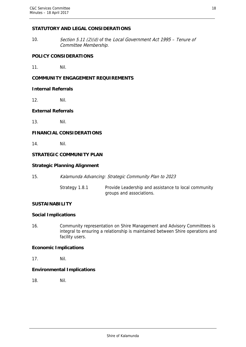## **STATUTORY AND LEGAL CONSIDERATIONS**

10. Section 5.11 (2)(d) of the Local Government Act 1995 – Tenure of Committee Membership.

## **POLICY CONSIDERATIONS**

11. Nil.

## **COMMUNITY ENGAGEMENT REQUIREMENTS**

### **Internal Referrals**

12. Nil.

## **External Referrals**

13. Nil.

## **FINANCIAL CONSIDERATIONS**

14. Nil.

## **STRATEGIC COMMUNITY PLAN**

## **Strategic Planning Alignment**

| 15. | Kalamunda Advancing: Strategic Community Plan to 2023 |  |  |  |  |  |
|-----|-------------------------------------------------------|--|--|--|--|--|
|-----|-------------------------------------------------------|--|--|--|--|--|

Strategy 1.8.1 Provide Leadership and assistance to local community groups and associations.

## **SUSTAINABILITY**

### **Social Implications**

16. Community representation on Shire Management and Advisory Committees is integral to ensuring a relationship is maintained between Shire operations and facility users.

## **Economic Implications**

17. Nil.

## **Environmental Implications**

18. Nil.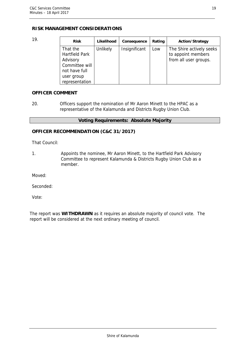## **RISK MANAGEMENT CONSIDERATIONS**

| 19. | <b>Risk</b>                                                                                                      | Likelihood | Consequence   | Rating | <b>Action/Strategy</b>                                                  |
|-----|------------------------------------------------------------------------------------------------------------------|------------|---------------|--------|-------------------------------------------------------------------------|
|     | That the<br><b>Hartfield Park</b><br>Advisory<br>Committee will<br>not have full<br>user group<br>representation | Unlikely   | Insignificant | Low    | The Shire actively seeks<br>to appoint members<br>from all user groups. |

## **OFFICER COMMENT**

20. Officers support the nomination of Mr Aaron Minett to the HPAC as a representative of the Kalamunda and Districts Rugby Union Club.

## **Voting Requirements: Absolute Majority**

## **OFFICER RECOMMENDATION (C&C 31/2017)**

That Council:

1. Appoints the nominee, Mr Aaron Minett, to the Hartfield Park Advisory Committee to represent Kalamunda & Districts Rugby Union Club as a member.

Moved:

Seconded:

Vote:

The report was **WITHDRAWN** as it requires an absolute majority of council vote. The report will be considered at the next ordinary meeting of council.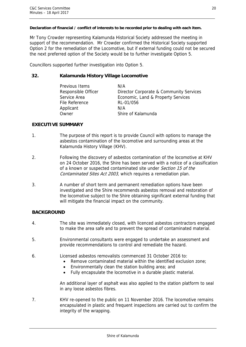### **Declaration of financial / conflict of interests to be recorded prior to dealing with each item.**

Mr Tony Crowder representing Kalamunda Historical Society addressed the meeting in support of the recommendation. Mr Crowder confirmed the Historical Society supported Option 2 for the remediation of the Locomotive, but if external funding could not be secured the next preferred option of the Society would be to further investigate Option 5.

Councillors supported further investigation into Option 5.

## **32. Kalamunda History Village Locomotive**

| Previous Items      | N/A                                     |
|---------------------|-----------------------------------------|
| Responsible Officer | Director Corporate & Community Services |
| Service Area        | Economic, Land & Property Services      |
| File Reference      | RL-01/056                               |
| Applicant           | N/A                                     |
| Owner               | Shire of Kalamunda                      |

## **EXECUTIVE SUMMARY**

- 1. The purpose of this report is to provide Council with options to manage the asbestos contamination of the locomotive and surrounding areas at the Kalamunda History Village (KHV).
- 2. Following the discovery of asbestos contamination of the locomotive at KHV on 24 October 2016, the Shire has been served with a notice of a classification of a known or suspected contaminated site under Section 15 of the Contaminated Sites Act 2003, which requires a remediation plan.
- 3. A number of short term and permanent remediation options have been investigated and the Shire recommends asbestos removal and restoration of the locomotive subject to the Shire obtaining significant external funding that will mitigate the financial impact on the community.

## **BACKGROUND**

- 4. The site was immediately closed, with licenced asbestos contractors engaged to make the area safe and to prevent the spread of contaminated material.
- 5. Environmental consultants were engaged to undertake an assessment and provide recommendations to control and remediate the hazard.
- 6. Licensed asbestos removalists commenced 31 October 2016 to:
	- Remove contaminated material within the identified exclusion zone;
	- Environmentally clean the station building area; and
	- Fully encapsulate the locomotive in a durable plastic material.

An additional layer of asphalt was also applied to the station platform to seal in any loose asbestos fibres.

7. KHV re-opened to the public on 11 November 2016. The locomotive remains encapsulated in plastic and frequent inspections are carried out to confirm the integrity of the wrapping.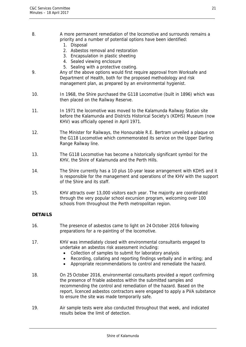- 8. A more permanent remediation of the locomotive and surrounds remains a priority and a number of potential options have been identified:
	- 1. Disposal
	- 2. Asbestos removal and restoration
	- 3. Encapsulation in plastic sheeting
	- 4. Sealed viewing enclosure
	- 5. Sealing with a protective coating.
- 9. Any of the above options would first require approval from Worksafe and Department of Health, both for the proposed methodology and risk management plan, as prepared by an environmental hygienist.
- 10. In 1968, the Shire purchased the G118 Locomotive (built in 1896) which was then placed on the Railway Reserve.
- 11. In 1971 the locomotive was moved to the Kalamunda Railway Station site before the Kalamunda and Districts Historical Society's (KDHS) Museum (now KHV) was officially opened in April 1971.
- 12. The Minister for Railways, the Honourable R.E. Bertram unveiled a plaque on the G118 Locomotive which commemorated its service on the Upper Darling Range Railway line.
- 13. The G118 Locomotive has become a historically significant symbol for the KHV, the Shire of Kalamunda and the Perth Hills.
- 14. The Shire currently has a 10 plus 10-year lease arrangement with KDHS and it is responsible for the management and operations of the KHV with the support of the Shire and its staff.
- 15. KHV attracts over 13,000 visitors each year. The majority are coordinated through the very popular school excursion program, welcoming over 100 schools from throughout the Perth metropolitan region.

## **DETAILS**

- 16. The presence of asbestos came to light on 24 October 2016 following preparations for a re-painting of the locomotive.
- 17. KHV was immediately closed with environmental consultants engaged to undertake an asbestos risk assessment including:
	- Collection of samples to submit for laboratory analysis
	- Recording, collating and reporting findings verbally and in writing; and
	- Appropriate recommendations to control and remediate the hazard.
- 18. On 25 October 2016, environmental consultants provided a report confirming the presence of friable asbestos within the submitted samples and recommending the control and remediation of the hazard. Based on the report, licenced asbestos contractors were engaged to apply a PVA substance to ensure the site was made temporarily safe.
- 19. Air sample tests were also conducted throughout that week, and indicated results below the limit of detection.

21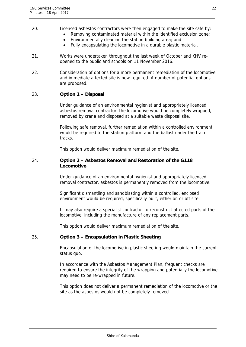## 20. Licensed asbestos contractors were then engaged to make the site safe by:

- Removing contaminated material within the identified exclusion zone;
	- Environmentally cleaning the station building area; and
	- Fully encapsulating the locomotive in a durable plastic material.
- 21. Works were undertaken throughout the last week of October and KHV reopened to the public and schools on 11 November 2016.
- 22. Consideration of options for a more permanent remediation of the locomotive and immediate affected site is now required. A number of potential options are proposed.

## 23. **Option 1 – Disposal**

Under guidance of an environmental hygienist and appropriately licenced asbestos removal contractor, the locomotive would be completely wrapped, removed by crane and disposed at a suitable waste disposal site.

Following safe removal, further remediation within a controlled environment would be required to the station platform and the ballast under the train tracks.

This option would deliver maximum remediation of the site.

## 24. **Option 2 – Asbestos Removal and Restoration of the G118 Locomotive**

Under guidance of an environmental hygienist and appropriately licenced removal contractor, asbestos is permanently removed from the locomotive.

Significant dismantling and sandblasting within a controlled, enclosed environment would be required, specifically built, either on or off site.

It may also require a specialist contractor to reconstruct affected parts of the locomotive, including the manufacture of any replacement parts.

This option would deliver maximum remediation of the site.

## 25. **Option 3 – Encapsulation in Plastic Sheeting**

Encapsulation of the locomotive in plastic sheeting would maintain the current status quo.

In accordance with the Asbestos Management Plan, frequent checks are required to ensure the integrity of the wrapping and potentially the locomotive may need to be re-wrapped in future.

This option does not deliver a permanent remediation of the locomotive or the site as the asbestos would not be completely removed.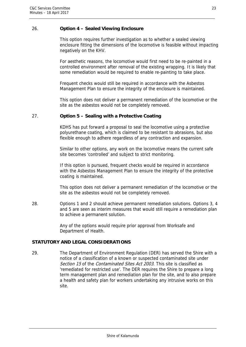## 26. **Option 4 – Sealed Viewing Enclosure**

This option requires further investigation as to whether a sealed viewing enclosure fitting the dimensions of the locomotive is feasible without impacting negatively on the KHV.

For aesthetic reasons, the locomotive would first need to be re-painted in a controlled environment after removal of the existing wrapping. It is likely that some remediation would be required to enable re-painting to take place.

Frequent checks would still be required in accordance with the Asbestos Management Plan to ensure the integrity of the enclosure is maintained.

This option does not deliver a permanent remediation of the locomotive or the site as the asbestos would not be completely removed.

## 27. **Option 5 – Sealing with a Protective Coating**

KDHS has put forward a proposal to seal the locomotive using a protective polyurethane coating, which is claimed to be resistant to abrasions, but also flexible enough to adhere regardless of any contraction and expansion.

Similar to other options, any work on the locomotive means the current safe site becomes 'controlled' and subject to strict monitoring.

If this option is pursued, frequent checks would be required in accordance with the Asbestos Management Plan to ensure the integrity of the protective coating is maintained.

This option does not deliver a permanent remediation of the locomotive or the site as the asbestos would not be completely removed.

28. Options 1 and 2 should achieve permanent remediation solutions. Options 3, 4 and 5 are seen as interim measures that would still require a remediation plan to achieve a permanent solution.

> Any of the options would require prior approval from Worksafe and Department of Health.

## **STATUTORY AND LEGAL CONSIDERATIONS**

29. The Department of Environment Regulation (DER) has served the Shire with a notice of a classification of a known or suspected contaminated site under Section 15 of the Contaminated Sites Act 2003. This site is classified as 'remediated for restricted use'. The DER requires the Shire to prepare a long term management plan and remediation plan for the site, and to also prepare a health and safety plan for workers undertaking any intrusive works on this site.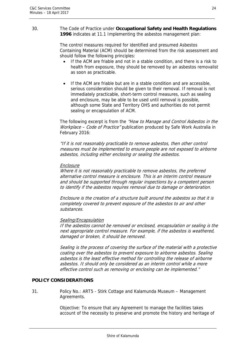#### 30. The Code of Practice under **Occupational Safety and Health Regulations 1996** indicates at 11.1 Implementing the asbestos management plan:

The control measures required for identified and presumed Asbestos Containing Material (ACM) should be determined from the risk assessment and should follow the following principles:

- If the ACM are friable and not in a stable condition, and there is a risk to health from exposure, they should be removed by an asbestos removalist as soon as practicable.
- If the ACM are friable but are in a stable condition and are accessible, serious consideration should be given to their removal. If removal is not immediately practicable, short-term control measures, such as sealing and enclosure, may be able to be used until removal is possible, although some State and Territory OHS and authorities do not permit sealing or encapsulation of ACM.

The following excerpt is from the "How to Manage and Control Asbestos in the Workplace - Code of Practice" publication produced by Safe Work Australia in February 2016:

"If it is not reasonably practicable to remove asbestos, then other control measures must be implemented to ensure people are not exposed to airborne asbestos, including either enclosing or sealing the asbestos.

## **Enclosure**

Where it is not reasonably practicable to remove asbestos, the preferred alternative control measure is enclosure. This is an interim control measure and should be supported through regular inspections by a competent person to identify if the asbestos requires removal due to damage or deterioration.

Enclosure is the creation of a structure built around the asbestos so that it is completely covered to prevent exposure of the asbestos to air and other substances.

## Sealing/Encapsulation

If the asbestos cannot be removed or enclosed, encapsulation or sealing is the next appropriate control measure. For example, if the asbestos is weathered, damaged or broken, it should be removed.

Sealing is the process of covering the surface of the material with a protective coating over the asbestos to prevent exposure to airborne asbestos. Sealing asbestos is the least effective method for controlling the release of airborne asbestos. It should only be considered as an interim control while a more effective control such as removing or enclosing can be implemented."

## **POLICY CONSIDERATIONS**

31. Policy No.: ART5 - Stirk Cottage and Kalamunda Museum – Management Agreements.

> Objective: To ensure that any Agreement to manage the facilities takes account of the necessity to preserve and promote the history and heritage of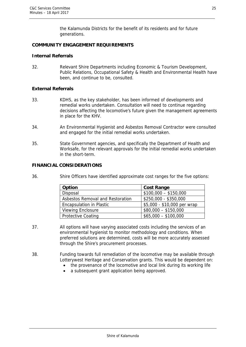the Kalamunda Districts for the benefit of its residents and for future generations.

## **COMMUNITY ENGAGEMENT REQUIREMENTS**

## **Internal Referrals**

32. Relevant Shire Departments including Economic & Tourism Development, Public Relations, Occupational Safety & Health and Environmental Health have been, and continue to be, consulted.

## **External Referrals**

- 33. KDHS, as the key stakeholder, has been informed of developments and remedial works undertaken. Consultation will need to continue regarding decisions affecting the locomotive's future given the management agreements in place for the KHV.
- 34. An Environmental Hygienist and Asbestos Removal Contractor were consulted and engaged for the initial remedial works undertaken.
- 35. State Government agencies, and specifically the Department of Health and Worksafe, for the relevant approvals for the initial remedial works undertaken in the short-term.

## **FINANCIAL CONSIDERATIONS**

36. Shire Officers have identified approximate cost ranges for the five options:

| <b>Option</b>                    | <b>Cost Range</b>           |
|----------------------------------|-----------------------------|
| Disposal                         | $$100,000 - $150,000$       |
| Asbestos Removal and Restoration | \$250,000 - \$350,000       |
| <b>Encapsulation in Plastic</b>  | \$5,000 - \$10,000 per wrap |
| <b>Viewing Enclosure</b>         | $$80,000 - $150,000$        |
| <b>Protective Coating</b>        | $$65,000 - $100,000$        |

- 37. All options will have varying associated costs including the services of an environmental hygienist to monitor methodology and conditions. When preferred solutions are determined, costs will be more accurately assessed through the Shire's procurement processes.
- 38. Funding towards full remediation of the locomotive may be available through Lotterywest Heritage and Conservation grants. This would be dependent on:
	- the provenance of the locomotive and local link during its working life
	- a subsequent grant application being approved.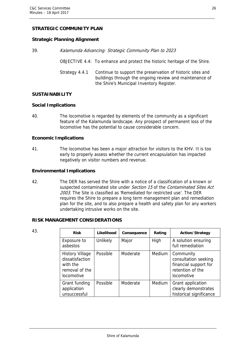# **STRATEGIC COMMUNITY PLAN**

# **Strategic Planning Alignment**

39. Kalamunda Advancing: Strategic Community Plan to 2023

- OBJECTIVE 4.4: To enhance and protect the historic heritage of the Shire.
- Strategy 4.4.1 Continue to support the preservation of historic sites and buildings through the ongoing review and maintenance of the Shire's Municipal Inventory Register.

#### **SUSTAINABILITY**

#### **Social Implications**

40. The locomotive is regarded by elements of the community as a significant feature of the Kalamunda landscape. Any prospect of permanent loss of the locomotive has the potential to cause considerable concern.

#### **Economic Implications**

41. The locomotive has been a major attraction for visitors to the KHV. It is too early to properly assess whether the current encapsulation has impacted negatively on visitor numbers and revenue.

#### **Environmental Implications**

42. The DER has served the Shire with a notice of a classification of a known or suspected contaminated site under Section 15 of the Contaminated Sites Act 2003. The Site is classified as 'Remediated for restricted use'. The DER requires the Shire to prepare a long term management plan and remediation plan for the site, and to also prepare a health and safety plan for any workers undertaking intrusive works on the site.

#### **RISK MANAGEMENT CONSIDERATIONS**

| 43. | <b>Risk</b>                                                                                  | Likelihood | Consequence | Rating | <b>Action/Strategy</b>                                                                              |
|-----|----------------------------------------------------------------------------------------------|------------|-------------|--------|-----------------------------------------------------------------------------------------------------|
|     | Exposure to<br>asbestos                                                                      | Unlikely   | Major       | High   | A solution ensuring<br>full remediation                                                             |
|     | <b>History Village</b><br>dissatisfaction<br>with the<br>removal of the<br><i>locomotive</i> | Possible   | Moderate    | Medium | Community<br>consultation seeking<br>financial support for<br>retention of the<br><i>locomotive</i> |
|     | Grant funding<br>application<br>unsuccessful                                                 | Possible   | Moderate    | Medium | Grant application<br>clearly demonstrates<br>historical significance                                |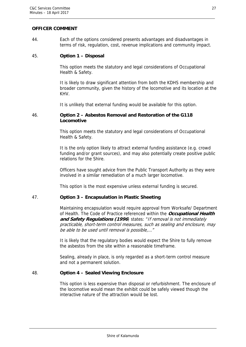#### **OFFICER COMMENT**

44. Each of the options considered presents advantages and disadvantages in terms of risk, regulation, cost, revenue implications and community impact.

#### 45. **Option 1 – Disposal**

This option meets the statutory and legal considerations of Occupational Health & Safety.

It is likely to draw significant attention from both the KDHS membership and broader community, given the history of the locomotive and its location at the KHV.

It is unlikely that external funding would be available for this option.

# 46. **Option 2 – Asbestos Removal and Restoration of the G118 Locomotive**

This option meets the statutory and legal considerations of Occupational Health & Safety.

It is the only option likely to attract external funding assistance (e.g. crowd funding and/or grant sources), and may also potentially create positive public relations for the Shire.

Officers have sought advice from the Public Transport Authority as they were involved in a similar remediation of a much larger locomotive.

This option is the most expensive unless external funding is secured.

#### 47. **Option 3 – Encapsulation in Plastic Sheeting**

Maintaining encapsulation would require approval from Worksafe/ Department of Health. The Code of Practice referenced within the **Occupational Health**  and Safety Regulations (1996) states: "If removal is not immediately practicable, short-term control measures, such as sealing and enclosure, may be able to be used until removal is possible,…"

It is likely that the regulatory bodies would expect the Shire to fully remove the asbestos from the site within a reasonable timeframe.

Sealing, already in place, is only regarded as a short-term control measure and not a permanent solution.

#### 48. **Option 4 – Sealed Viewing Enclosure**

This option is less expensive than disposal or refurbishment. The enclosure of the locomotive would mean the exhibit could be safely viewed though the interactive nature of the attraction would be lost.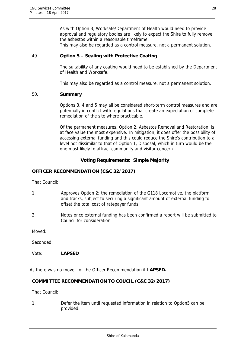As with Option 3, Worksafe/Department of Health would need to provide approval and regulatory bodies are likely to expect the Shire to fully remove the asbestos within a reasonable timeframe.

This may also be regarded as a control measure, not a permanent solution.

#### 49. **Option 5 – Sealing with Protective Coating**

The suitability of any coating would need to be established by the Department of Health and Worksafe.

This may also be regarded as a control measure, not a permanent solution.

#### 50. **Summary**

Options 3, 4 and 5 may all be considered short-term control measures and are potentially in conflict with regulations that create an expectation of complete remediation of the site where practicable.

Of the permanent measures, Option 2, Asbestos Removal and Restoration, is at face value the most expensive. In mitigation, it does offer the possibility of accessing external funding and this could reduce the Shire's contribution to a level not dissimilar to that of Option 1, Disposal, which in turn would be the one most likely to attract community and visitor concern.

# **Voting Requirements: Simple Majority**

#### **OFFICER RECOMMENDATION (C&C 32/2017)**

That Council:

- 1. Approves Option 2; the remediation of the G118 Locomotive, the platform and tracks, subject to securing a significant amount of external funding to offset the total cost of ratepayer funds.
- 2. Notes once external funding has been confirmed a report will be submitted to Council for consideration.

Moved:

Seconded:

Vote: **LAPSED** 

As there was no mover for the Officer Recommendation it **LAPSED.** 

#### **COMMITTEE RECOMMENDATION TO COUCIL (C&C 32/2017)**

That Council:

1. Defer the item until requested information in relation to Option5 can be provided.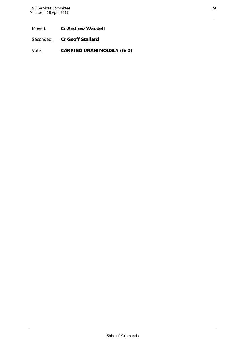Moved: **Cr Andrew Waddell** 

Seconded: **Cr Geoff Stallard** 

Vote: **CARRIED UNANIMOUSLY (6/0)**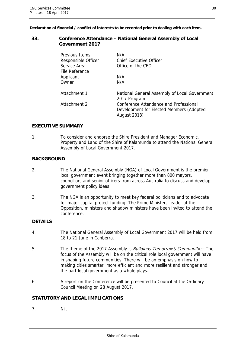**Declaration of financial / conflict of interests to be recorded prior to dealing with each item.** 

#### **33. Conference Attendance – National General Assembly of Local Government 2017**

| <b>Previous Items</b><br>Responsible Officer<br>Service Area<br>File Reference | N/A<br>Chief Executive Officer<br>Office of the CEO                                                       |
|--------------------------------------------------------------------------------|-----------------------------------------------------------------------------------------------------------|
| Applicant<br>Owner                                                             | N/A<br>N/A                                                                                                |
| Attachment 1                                                                   | National General Assembly of Local Government<br>2017 Program                                             |
| Attachment 2                                                                   | Conference Attendance and Professional<br>Development for Elected Members (Adopted<br><b>August 2013)</b> |

# **EXECUTIVE SUMMARY**

1. To consider and endorse the Shire President and Manager Economic, Property and Land of the Shire of Kalamunda to attend the National General Assembly of Local Government 2017.

# **BACKGROUND**

- 2. The National General Assembly (NGA) of Local Government is the premier local government event bringing together more than 800 mayors, councillors and senior officers from across Australia to discuss and develop government policy ideas.
- 3. The NGA is an opportunity to meet key federal politicians and to advocate for major capital project funding. The Prime Minister, Leader of the Opposition, ministers and shadow ministers have been invited to attend the conference.

# **DETAILS**

- 4. The National General Assembly of Local Government 2017 will be held from 18 to 21 June in Canberra.
- 5. The theme of the 2017 Assembly is *Buildings Tomorrow's Communities*. The focus of the Assembly will be on the critical role local government will have in shaping future communities. There will be an emphasis on how to making cities smarter, more efficient and more resilient and stronger and the part local government as a whole plays.
- 6. A report on the Conference will be presented to Council at the Ordinary Council Meeting on 28 August 2017.

#### **STATUTORY AND LEGAL IMPLICATIONS**

7. Nil.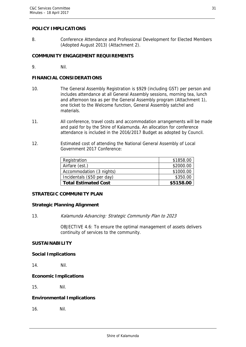#### **POLICY IMPLICATIONS**

8. Conference Attendance and Professional Development for Elected Members (Adopted August 2013) (Attachment 2).

# **COMMUNITY ENGAGEMENT REQUIREMENTS**

9. Nil.

#### **FINANCIAL CONSIDERATIONS**

- 10. The General Assembly Registration is \$929 (including GST) per person and includes attendance at all General Assembly sessions, morning tea, lunch and afternoon tea as per the General Assembly program (Attachment 1), one ticket to the Welcome function, General Assembly satchel and materials.
- 11. All conference, travel costs and accommodation arrangements will be made and paid for by the Shire of Kalamunda. An allocation for conference attendance is included in the 2016/2017 Budget as adopted by Council.
- 12. Estimated cost of attending the National General Assembly of Local Government 2017 Conference:

| Registration                | \$1858.00 |
|-----------------------------|-----------|
| Airfare (est.)              | \$2000.00 |
| Accommodation (3 nights)    | \$1000.00 |
| Incidentals (\$50 per day)  | \$350.00  |
| <b>Total Estimated Cost</b> | \$5158.00 |

#### **STRATEGIC COMMUNITY PLAN**

#### **Strategic Planning Alignment**

13. Kalamunda Advancing: Strategic Community Plan to 2023

OBJECTIVE 4.6: To ensure the optimal management of assets delivers continuity of services to the community.

# **SUSTAINABILITY**

#### **Social Implications**

14. Nil.

#### **Economic Implications**

15. Nil.

#### **Environmental Implications**

16. Nil.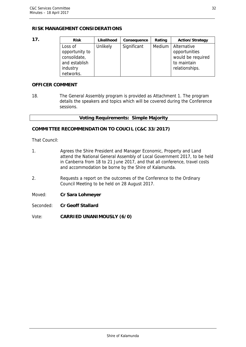# **RISK MANAGEMENT CONSIDERATIONS**

| 17. | <b>Risk</b>                                                | Likelihood      | Consequence | Rating | <b>Action/Strategy</b>                                           |
|-----|------------------------------------------------------------|-----------------|-------------|--------|------------------------------------------------------------------|
|     | Loss of<br>opportunity to<br>consolidate,<br>and establish | <b>Unlikely</b> | Significant | Medium | Alternative<br>opportunities<br>would be required<br>to maintain |
|     | industry<br>networks.                                      |                 |             |        | relationships.                                                   |

#### **OFFICER COMMENT**

18. The General Assembly program is provided as Attachment 1. The program details the speakers and topics which will be covered during the Conference sessions.

# **Voting Requirements: Simple Majority**

# **COMMITTEE RECOMMENDATION TO COUCIL (C&C 33/2017)**

That Council:

- 1. Agrees the Shire President and Manager Economic, Property and Land attend the National General Assembly of Local Government 2017, to be held in Canberra from 18 to 21 June 2017, and that all conference, travel costs and accommodation be borne by the Shire of Kalamunda.
- 2. Requests a report on the outcomes of the Conference to the Ordinary Council Meeting to be held on 28 August 2017.
- Moved: **Cr Sara Lohmeyer**
- Seconded: **Cr Geoff Stallard**
- Vote: **CARRIED UNANIMOUSLY (6/0)**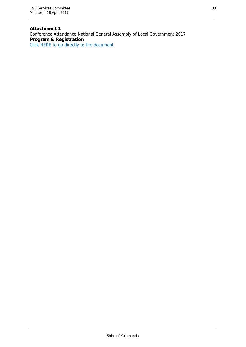**Attachment 1**  Conference Attendance National General Assembly of Local Government 2017 **Program & Registration** Click HERE to go directly to the document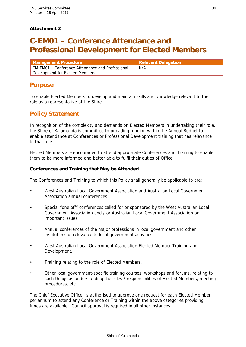# **Attachment 2**

# **C-EM01 – Conference Attendance and Professional Development for Elected Members**

| l Management Procedure \                         | <b>Relevant Delegation</b> |
|--------------------------------------------------|----------------------------|
| CM-EM01 – Conference Attendance and Professional | N/A                        |
| Development for Elected Members                  |                            |

# **Purpose**

To enable Elected Members to develop and maintain skills and knowledge relevant to their role as a representative of the Shire.

# **Policy Statement**

In recognition of the complexity and demands on Elected Members in undertaking their role, the Shire of Kalamunda is committed to providing funding within the Annual Budget to enable attendance at Conferences or Professional Development training that has relevance to that role.

Elected Members are encouraged to attend appropriate Conferences and Training to enable them to be more informed and better able to fulfil their duties of Office.

# **Conferences and Training that May be Attended**

The Conferences and Training to which this Policy shall generally be applicable to are:

- West Australian Local Government Association and Australian Local Government Association annual conferences.
- Special "one off" conferences called for or sponsored by the West Australian Local Government Association and / or Australian Local Government Association on important issues.
- Annual conferences of the major professions in local government and other institutions of relevance to local government activities.
- West Australian Local Government Association Elected Member Training and Development.
- Training relating to the role of Elected Members.
- Other local government-specific training courses, workshops and forums, relating to such things as understanding the roles / responsibilities of Elected Members, meeting procedures, etc.

The Chief Executive Officer is authorised to approve one request for each Elected Member per annum to attend any Conference or Training within the above categories providing funds are available. Council approval is required in all other instances.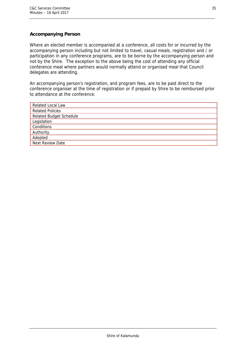# **Accompanying Person**

Where an elected member is accompanied at a conference, all costs for or incurred by the accompanying person including but not limited to travel, casual meals, registration and / or participation in any conference programs, are to be borne by the accompanying person and not by the Shire. The exception to the above being the cost of attending any official conference meal where partners would normally attend or organised meal that Council delegates are attending.

An accompanying person's registration, and program fees, are to be paid direct to the conference organiser at the time of registration or if prepaid by Shire to be reimbursed prior to attendance at the conference.

| <b>Related Local Law</b>       |
|--------------------------------|
| <b>Related Policies</b>        |
| <b>Related Budget Schedule</b> |
| Legislation                    |
| Conditions                     |
| Authority                      |
| Adopted                        |
| Next Review Date               |
|                                |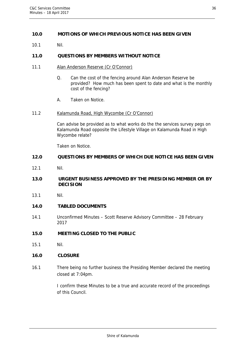# 9B**10.0 MOTIONS OF WHICH PREVIOUS NOTICE HAS BEEN GIVEN**

10.1 Nil.

# 10B**11.0 QUESTIONS BY MEMBERS WITHOUT NOTICE**

- 11.1 Alan Anderson Reserve (Cr O'Connor)
	- Q. Can the cost of the fencing around Alan Anderson Reserve be provided? How much has been spent to date and what is the monthly cost of the fencing?
	- A. Taken on Notice.
- 11.2 Kalamunda Road, High Wycombe (Cr O'Connor)

Can advise be provided as to what works do the the services survey pegs on Kalamunda Road opposite the Lifestyle Village on Kalamunda Road in High Wycombe relate?

Taken on Notice.

#### 1B**12.0 QUESTIONS BY MEMBERS OF WHICH DUE NOTICE HAS BEEN GIVEN**

12.1 Nil.

# 12B**13.0 URGENT BUSINESS APPROVED BY THE PRESIDING MEMBER OR BY DECISION**

13.1 Nil.

#### 13B**14.0 TABLED DOCUMENTS**

- 14.1 Unconfirmed Minutes Scott Reserve Advisory Committee 28 February 2017
- 14B**15.0 MEETING CLOSED TO THE PUBLIC**
- 15.1 Nil.

# 15B**16.0 CLOSURE**

16.1 There being no further business the Presiding Member declared the meeting closed at 7:04pm.

> I confirm these Minutes to be a true and accurate record of the proceedings of this Council.